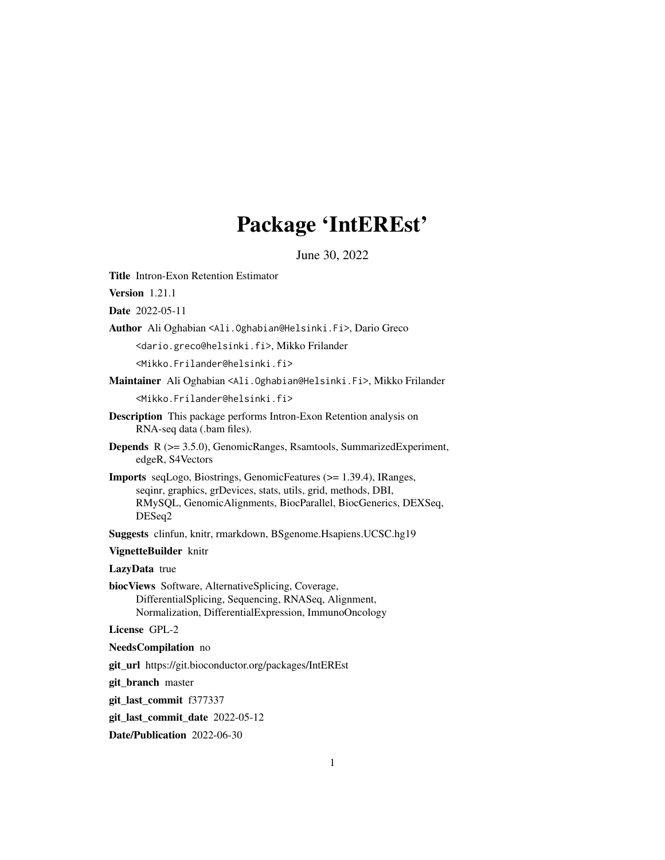# Package 'IntEREst'

June 30, 2022

<span id="page-0-0"></span>Title Intron-Exon Retention Estimator

Version 1.21.1

Date 2022-05-11

Author Ali Oghabian <Ali.Oghabian@Helsinki.Fi>, Dario Greco

<dario.greco@helsinki.fi>, Mikko Frilander

<Mikko.Frilander@helsinki.fi>

Maintainer Ali Oghabian <Ali.Oghabian@Helsinki.Fi>, Mikko Frilander

<Mikko.Frilander@helsinki.fi>

- Description This package performs Intron-Exon Retention analysis on RNA-seq data (.bam files).
- Depends R (>= 3.5.0), GenomicRanges, Rsamtools, SummarizedExperiment, edgeR, S4Vectors
- Imports seqLogo, Biostrings, GenomicFeatures (>= 1.39.4), IRanges, seqinr, graphics, grDevices, stats, utils, grid, methods, DBI, RMySQL, GenomicAlignments, BiocParallel, BiocGenerics, DEXSeq, DESeq2

Suggests clinfun, knitr, rmarkdown, BSgenome.Hsapiens.UCSC.hg19

VignetteBuilder knitr

LazyData true

biocViews Software, AlternativeSplicing, Coverage, DifferentialSplicing, Sequencing, RNASeq, Alignment, Normalization, DifferentialExpression, ImmunoOncology

License GPL-2

#### NeedsCompilation no

git\_url https://git.bioconductor.org/packages/IntEREst

git branch master

git\_last\_commit f377337

git\_last\_commit\_date 2022-05-12

Date/Publication 2022-06-30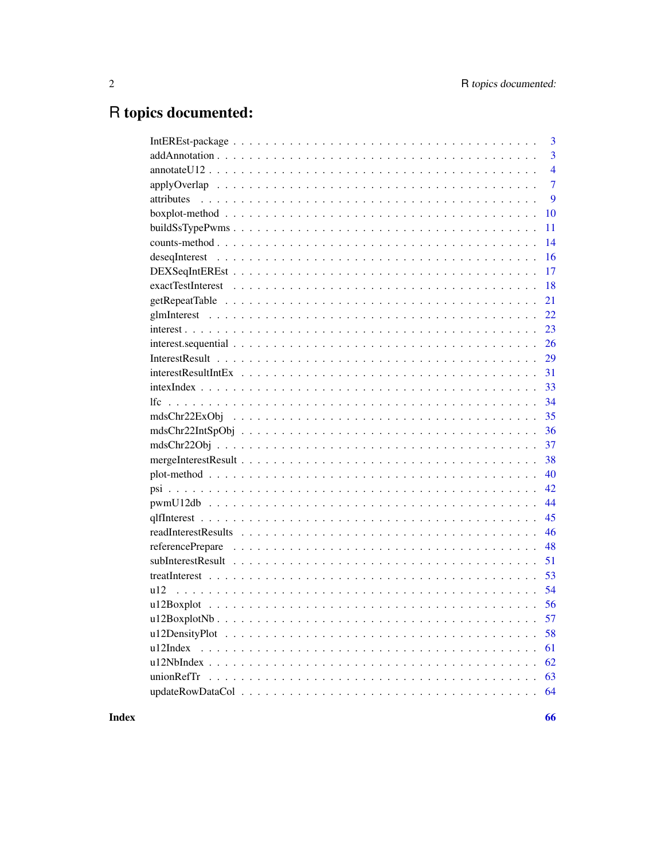# R topics documented:

|                                                                                                                                           | 3              |
|-------------------------------------------------------------------------------------------------------------------------------------------|----------------|
|                                                                                                                                           | $\overline{3}$ |
| $annotateU12$                                                                                                                             | $\overline{4}$ |
|                                                                                                                                           | $\overline{7}$ |
|                                                                                                                                           | 9              |
|                                                                                                                                           | 10             |
|                                                                                                                                           | 11             |
|                                                                                                                                           | 14             |
|                                                                                                                                           | 16             |
|                                                                                                                                           | 17             |
| $exactTest$ $\ldots$ $\ldots$ $\ldots$ $\ldots$ $\ldots$ $\ldots$ $\ldots$ $\ldots$ $\ldots$ $\ldots$ $\ldots$ $\ldots$ $\ldots$ $\ldots$ | 18             |
|                                                                                                                                           | 21             |
|                                                                                                                                           | 22             |
|                                                                                                                                           | 23             |
|                                                                                                                                           | 26             |
|                                                                                                                                           | 29             |
|                                                                                                                                           | 31             |
|                                                                                                                                           | 33             |
|                                                                                                                                           | 34             |
|                                                                                                                                           | 35             |
|                                                                                                                                           | 36             |
|                                                                                                                                           | 37             |
|                                                                                                                                           | 38             |
|                                                                                                                                           | 40             |
|                                                                                                                                           | 42             |
|                                                                                                                                           | 44             |
|                                                                                                                                           | 45             |
|                                                                                                                                           | 46             |
|                                                                                                                                           | 48             |
|                                                                                                                                           | 51             |
|                                                                                                                                           | 53             |
| u12                                                                                                                                       | 54             |
|                                                                                                                                           | 56             |
|                                                                                                                                           | 57             |
|                                                                                                                                           | 58             |
|                                                                                                                                           | 61             |
|                                                                                                                                           | 62             |
|                                                                                                                                           | 63             |
|                                                                                                                                           | 64             |
|                                                                                                                                           |                |

**Index**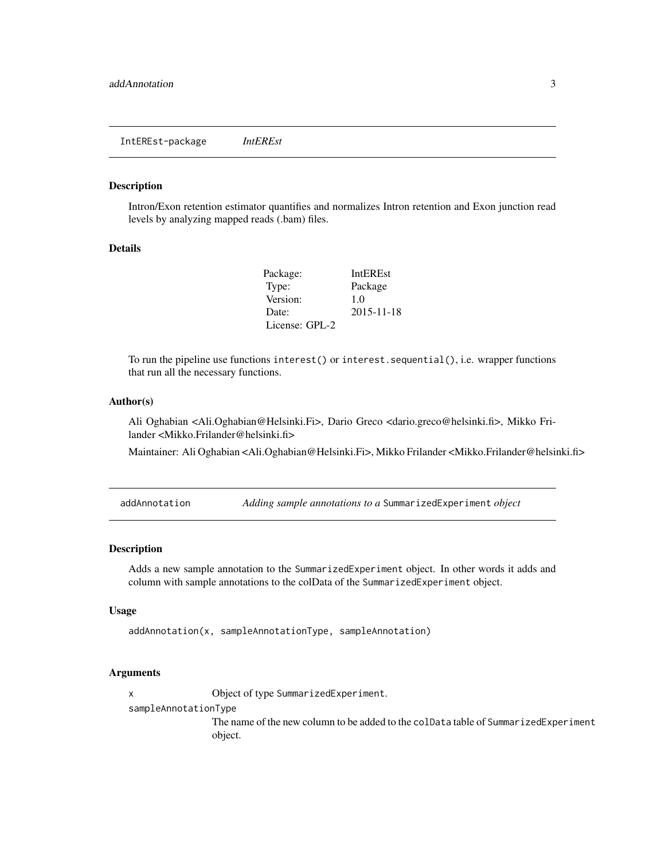<span id="page-2-0"></span>Intron/Exon retention estimator quantifies and normalizes Intron retention and Exon junction read levels by analyzing mapped reads (.bam) files.

#### Details

| Package:       | <b>IntEREst</b> |
|----------------|-----------------|
| Type:          | Package         |
| Version:       | 1.0             |
| Date:          | 2015-11-18      |
| License: GPL-2 |                 |

To run the pipeline use functions interest() or interest.sequential(), i.e. wrapper functions that run all the necessary functions.

### Author(s)

Ali Oghabian <Ali.Oghabian@Helsinki.Fi>, Dario Greco <dario.greco@helsinki.fi>, Mikko Frilander <Mikko.Frilander@helsinki.fi>

Maintainer: Ali Oghabian <Ali.Oghabian@Helsinki.Fi>, Mikko Frilander <Mikko.Frilander@helsinki.fi>

<span id="page-2-1"></span>addAnnotation *Adding sample annotations to a* SummarizedExperiment *object*

### Description

Adds a new sample annotation to the SummarizedExperiment object. In other words it adds and column with sample annotations to the colData of the SummarizedExperiment object.

#### Usage

```
addAnnotation(x, sampleAnnotationType, sampleAnnotation)
```
#### Arguments

x Object of type SummarizedExperiment.

sampleAnnotationType

The name of the new column to be added to the colData table of SummarizedExperiment object.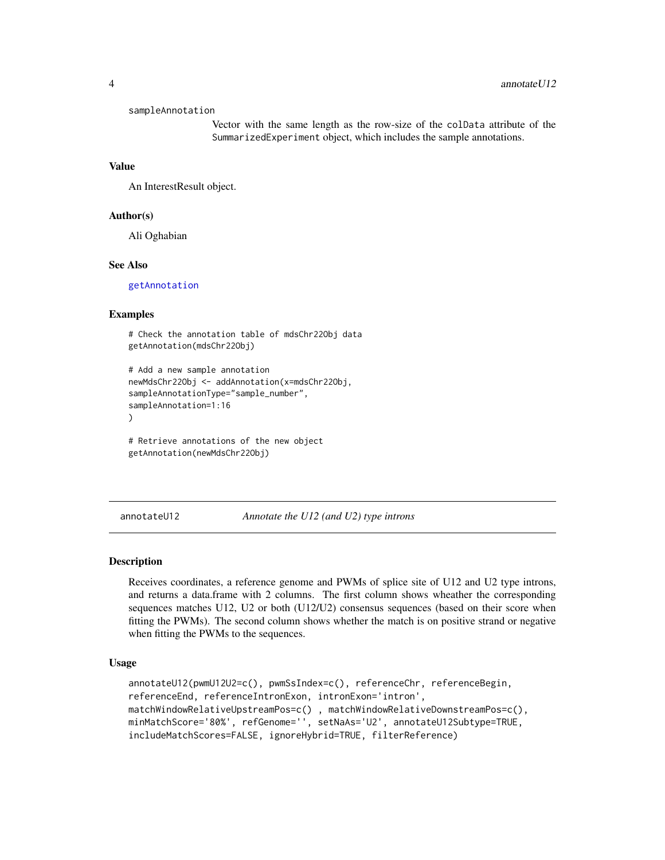#### <span id="page-3-0"></span>sampleAnnotation

Vector with the same length as the row-size of the colData attribute of the SummarizedExperiment object, which includes the sample annotations.

## Value

An InterestResult object.

# Author(s)

Ali Oghabian

### See Also

[getAnnotation](#page-8-1)

#### Examples

```
# Check the annotation table of mdsChr22Obj data
getAnnotation(mdsChr22Obj)
```

```
# Add a new sample annotation
newMdsChr22Obj <- addAnnotation(x=mdsChr22Obj,
sampleAnnotationType="sample_number",
sampleAnnotation=1:16
)
```

```
# Retrieve annotations of the new object
getAnnotation(newMdsChr22Obj)
```

```
annotateU12 Annotate the U12 (and U2) type introns
```
### Description

Receives coordinates, a reference genome and PWMs of splice site of U12 and U2 type introns, and returns a data.frame with 2 columns. The first column shows wheather the corresponding sequences matches U12, U2 or both (U12/U2) consensus sequences (based on their score when fitting the PWMs). The second column shows whether the match is on positive strand or negative when fitting the PWMs to the sequences.

### Usage

```
annotateU12(pwmU12U2=c(), pwmSsIndex=c(), referenceChr, referenceBegin,
referenceEnd, referenceIntronExon, intronExon='intron',
matchWindowRelativeUpstreamPos=c() , matchWindowRelativeDownstreamPos=c(),
minMatchScore='80%', refGenome='', setNaAs='U2', annotateU12Subtype=TRUE,
includeMatchScores=FALSE, ignoreHybrid=TRUE, filterReference)
```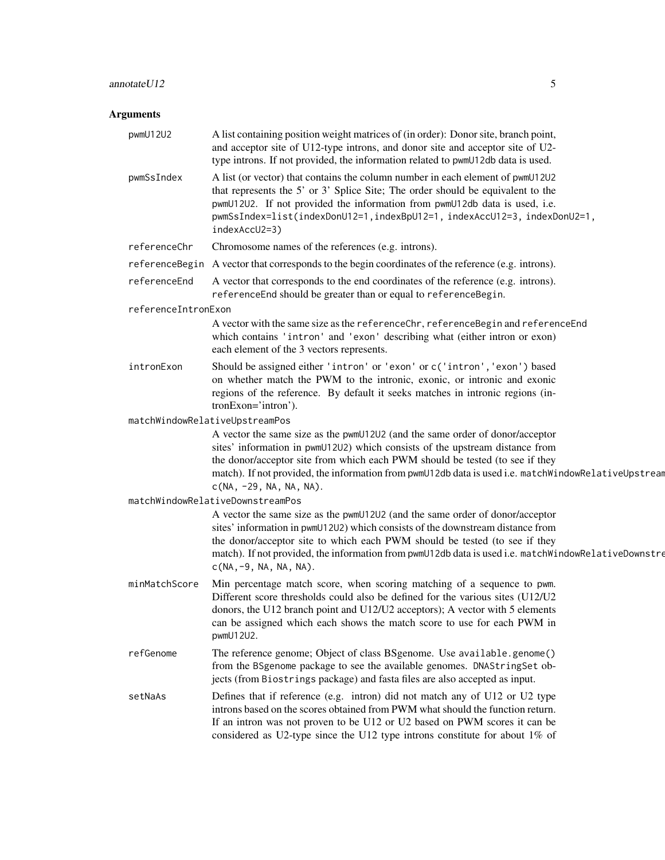# annotateU12 5

# Arguments

| pwmU12U2            | A list containing position weight matrices of (in order): Donor site, branch point,<br>and acceptor site of U12-type introns, and donor site and acceptor site of U2-<br>type introns. If not provided, the information related to pwmU12db data is used.                                                                                                                         |
|---------------------|-----------------------------------------------------------------------------------------------------------------------------------------------------------------------------------------------------------------------------------------------------------------------------------------------------------------------------------------------------------------------------------|
| pwmSsIndex          | A list (or vector) that contains the column number in each element of pwmU12U2<br>that represents the 5' or 3' Splice Site; The order should be equivalent to the<br>pwmU12U2. If not provided the information from pwmU12db data is used, i.e.<br>pwmSsIndex=list(indexDonU12=1,indexBpU12=1,indexAccU12=3,indexDonU2=1,<br>indexAccU2=3)                                        |
| referenceChr        | Chromosome names of the references (e.g. introns).                                                                                                                                                                                                                                                                                                                                |
|                     | reference Begin A vector that corresponds to the begin coordinates of the reference (e.g. introns).                                                                                                                                                                                                                                                                               |
| referenceEnd        | A vector that corresponds to the end coordinates of the reference (e.g. introns).<br>referenceEnd should be greater than or equal to referenceBegin.                                                                                                                                                                                                                              |
| referenceIntronExon |                                                                                                                                                                                                                                                                                                                                                                                   |
|                     | A vector with the same size as the referenceChr, referenceBegin and referenceEnd<br>which contains 'intron' and 'exon' describing what (either intron or exon)<br>each element of the 3 vectors represents.                                                                                                                                                                       |
| intronExon          | Should be assigned either 'intron' or 'exon' or c('intron', 'exon') based<br>on whether match the PWM to the intronic, exonic, or intronic and exonic<br>regions of the reference. By default it seeks matches in intronic regions (in-<br>tronExon='intron').                                                                                                                    |
|                     | matchWindowRelativeUpstreamPos                                                                                                                                                                                                                                                                                                                                                    |
|                     | A vector the same size as the pwmU12U2 (and the same order of donor/acceptor<br>sites' information in pwmU12U2) which consists of the upstream distance from<br>the donor/acceptor site from which each PWM should be tested (to see if they<br>match). If not provided, the information from pwmU12db data is used i.e. matchWindowRelativeUpstream<br>$c(NA, -29, NA, NA, NA).$ |
|                     | matchWindowRelativeDownstreamPos                                                                                                                                                                                                                                                                                                                                                  |
|                     | A vector the same size as the pwmU12U2 (and the same order of donor/acceptor<br>sites' information in pwmU12U2) which consists of the downstream distance from<br>the donor/acceptor site to which each PWM should be tested (to see if they<br>match). If not provided, the information from pwmU12db data is used i.e. matchWindowRelativeDownstre<br>$C(NA, -9, NA, NA, NA)$ . |
| minMatchScore       | Min percentage match score, when scoring matching of a sequence to pwm.<br>Different score thresholds could also be defined for the various sites (U12/U2<br>donors, the U12 branch point and U12/U2 acceptors); A vector with 5 elements<br>can be assigned which each shows the match score to use for each PWM in<br>pwmU12U2.                                                 |
| refGenome           | The reference genome; Object of class BSgenome. Use available.genome()<br>from the BSgenome package to see the available genomes. DNAStringSet ob-<br>jects (from Biostrings package) and fasta files are also accepted as input.                                                                                                                                                 |
| setNaAs             | Defines that if reference (e.g. intron) did not match any of U12 or U2 type<br>introns based on the scores obtained from PWM what should the function return.<br>If an intron was not proven to be U12 or U2 based on PWM scores it can be<br>considered as U2-type since the U12 type introns constitute for about 1% of                                                         |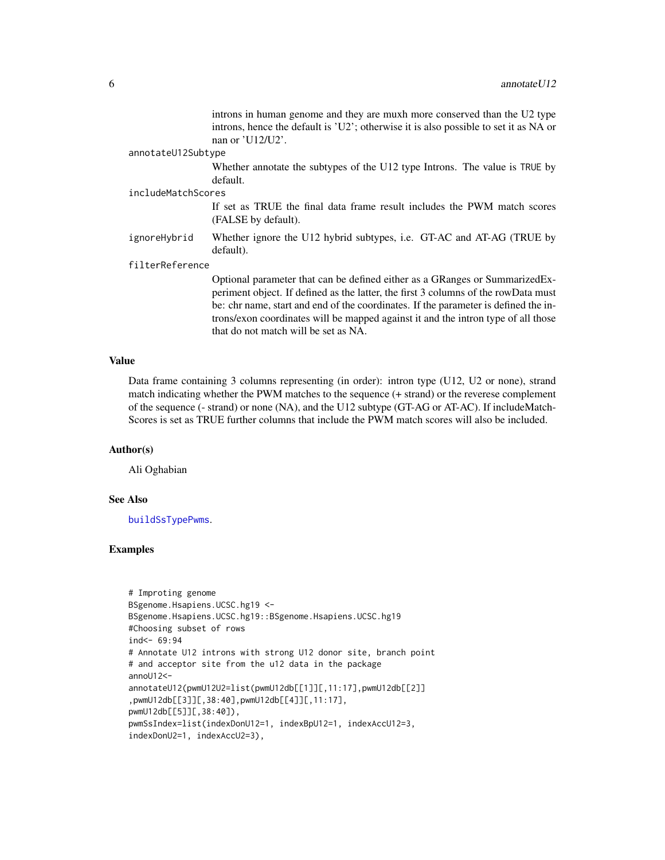introns in human genome and they are muxh more conserved than the U2 type introns, hence the default is 'U2'; otherwise it is also possible to set it as NA or nan or 'U12/U2'.

#### <span id="page-5-0"></span>annotateU12Subtype

Whether annotate the subtypes of the U12 type Introns. The value is TRUE by default.

#### includeMatchScores

If set as TRUE the final data frame result includes the PWM match scores (FALSE by default).

ignoreHybrid Whether ignore the U12 hybrid subtypes, i.e. GT-AC and AT-AG (TRUE by default).

#### filterReference

Optional parameter that can be defined either as a GRanges or SummarizedExperiment object. If defined as the latter, the first 3 columns of the rowData must be: chr name, start and end of the coordinates. If the parameter is defined the introns/exon coordinates will be mapped against it and the intron type of all those that do not match will be set as NA.

### Value

Data frame containing 3 columns representing (in order): intron type (U12, U2 or none), strand match indicating whether the PWM matches to the sequence (+ strand) or the reverese complement of the sequence (- strand) or none (NA), and the U12 subtype (GT-AG or AT-AC). If includeMatch-Scores is set as TRUE further columns that include the PWM match scores will also be included.

#### Author(s)

Ali Oghabian

### See Also

[buildSsTypePwms](#page-10-1).

#### Examples

```
# Improting genome
BSgenome.Hsapiens.UCSC.hg19 <-
BSgenome.Hsapiens.UCSC.hg19::BSgenome.Hsapiens.UCSC.hg19
#Choosing subset of rows
ind < -69:94# Annotate U12 introns with strong U12 donor site, branch point
# and acceptor site from the u12 data in the package
annoU12<-
annotateU12(pwmU12U2=list(pwmU12db[[1]][,11:17],pwmU12db[[2]]
,pwmU12db[[3]][,38:40],pwmU12db[[4]][,11:17],
pwmU12db[[5]][,38:40]),
pwmSsIndex=list(indexDonU12=1, indexBpU12=1, indexAccU12=3,
indexDonU2=1, indexAccU2=3),
```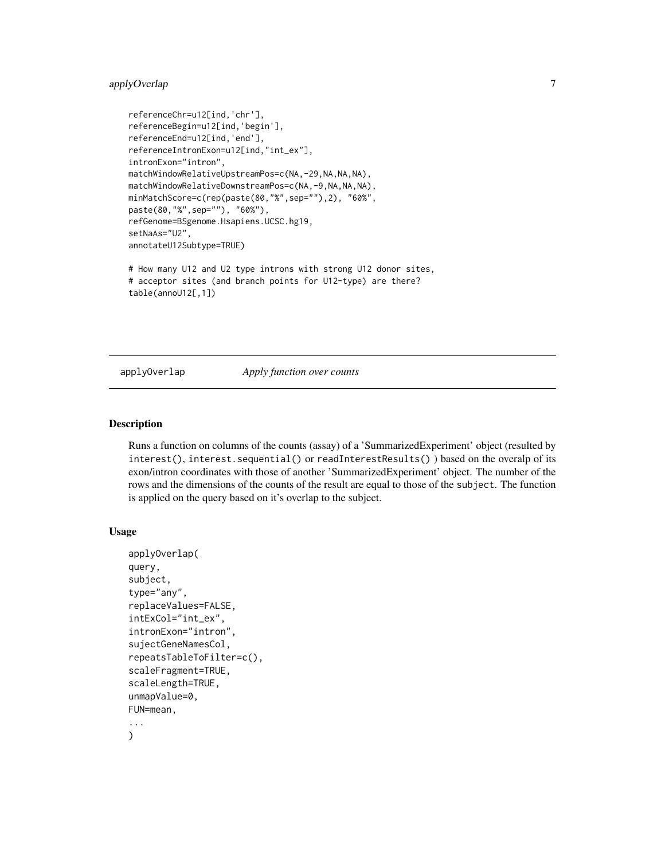# <span id="page-6-0"></span>applyOverlap 7

```
referenceChr=u12[ind,'chr'],
referenceBegin=u12[ind,'begin'],
referenceEnd=u12[ind,'end'],
referenceIntronExon=u12[ind,"int_ex"],
intronExon="intron",
matchWindowRelativeUpstreamPos=c(NA,-29,NA,NA,NA),
matchWindowRelativeDownstreamPos=c(NA,-9,NA,NA,NA),
minMatchScore=c(rep(paste(80,"%",sep=""),2), "60%",
paste(80,"%",sep=""), "60%"),
refGenome=BSgenome.Hsapiens.UCSC.hg19,
setNaAs="U2",
annotateU12Subtype=TRUE)
# How many U12 and U2 type introns with strong U12 donor sites,
# acceptor sites (and branch points for U12-type) are there?
```

```
table(annoU12[,1])
```
applyOverlap *Apply function over counts*

### Description

Runs a function on columns of the counts (assay) of a 'SummarizedExperiment' object (resulted by interest(), interest.sequential() or readInterestResults() ) based on the overalp of its exon/intron coordinates with those of another 'SummarizedExperiment' object. The number of the rows and the dimensions of the counts of the result are equal to those of the subject. The function is applied on the query based on it's overlap to the subject.

# Usage

```
applyOverlap(
query,
subject,
type="any",
replaceValues=FALSE,
intExCol="int_ex",
intronExon="intron",
sujectGeneNamesCol,
repeatsTableToFilter=c(),
scaleFragment=TRUE,
scaleLength=TRUE,
unmapValue=0,
FUN=mean,
...
\mathcal{L}
```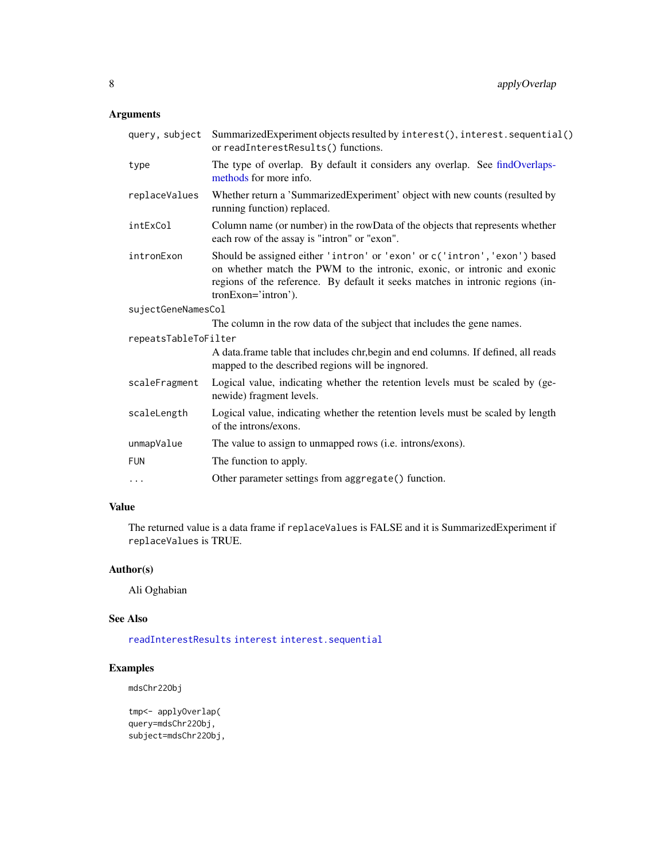# <span id="page-7-0"></span>Arguments

| query, subject       | SummarizedExperiment objects resulted by interest(), interest. sequential()<br>or readInterestResults() functions.                                                                                                                                             |
|----------------------|----------------------------------------------------------------------------------------------------------------------------------------------------------------------------------------------------------------------------------------------------------------|
| type                 | The type of overlap. By default it considers any overlap. See findOverlaps-<br>methods for more info.                                                                                                                                                          |
| replaceValues        | Whether return a 'SummarizedExperiment' object with new counts (resulted by<br>running function) replaced.                                                                                                                                                     |
| intExCol             | Column name (or number) in the rowData of the objects that represents whether<br>each row of the assay is "intron" or "exon".                                                                                                                                  |
| intronExon           | Should be assigned either 'intron' or 'exon' or c('intron', 'exon') based<br>on whether match the PWM to the intronic, exonic, or intronic and exonic<br>regions of the reference. By default it seeks matches in intronic regions (in-<br>tronExon='intron'). |
| sujectGeneNamesCol   |                                                                                                                                                                                                                                                                |
|                      | The column in the row data of the subject that includes the gene names.                                                                                                                                                                                        |
| repeatsTableToFilter |                                                                                                                                                                                                                                                                |
|                      | A data.frame table that includes chr, begin and end columns. If defined, all reads<br>mapped to the described regions will be ingnored.                                                                                                                        |
| scaleFragment        | Logical value, indicating whether the retention levels must be scaled by (ge-<br>newide) fragment levels.                                                                                                                                                      |
| scaleLength          | Logical value, indicating whether the retention levels must be scaled by length<br>of the introns/exons.                                                                                                                                                       |
| unmapValue           | The value to assign to unmapped rows (i.e. introns/exons).                                                                                                                                                                                                     |
| <b>FUN</b>           | The function to apply.                                                                                                                                                                                                                                         |
| $\cdots$             | Other parameter settings from aggregate() function.                                                                                                                                                                                                            |

# Value

The returned value is a data frame if replaceValues is FALSE and it is SummarizedExperiment if replaceValues is TRUE.

# Author(s)

Ali Oghabian

# See Also

[readInterestResults](#page-45-1) [interest](#page-22-1) [interest.sequential](#page-25-1)

# Examples

mdsChr22Obj

```
tmp<- applyOverlap(
query=mdsChr22Obj,
subject=mdsChr22Obj,
```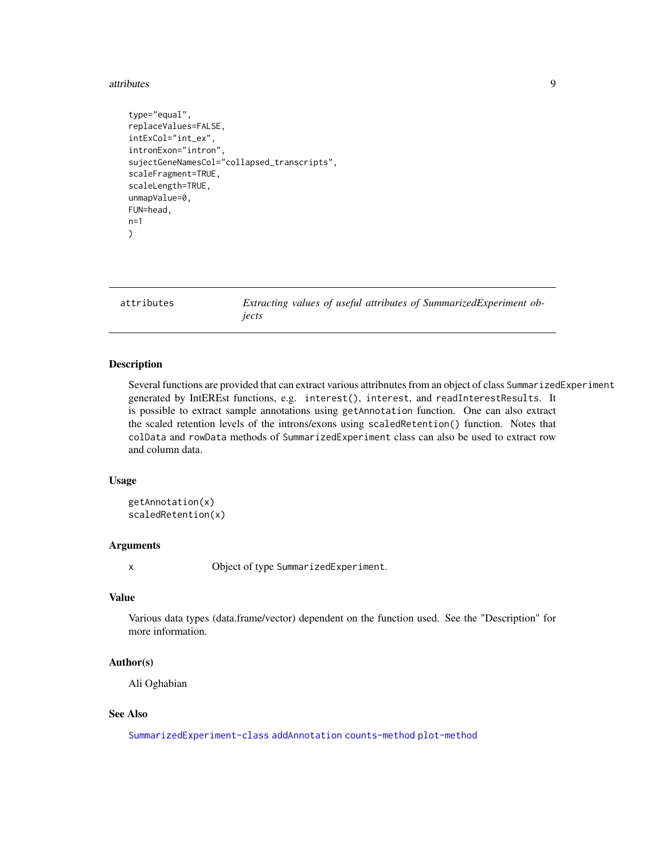#### <span id="page-8-0"></span>attributes **9**

```
type="equal",
replaceValues=FALSE,
intExCol="int_ex",
intronExon="intron",
sujectGeneNamesCol="collapsed_transcripts",
scaleFragment=TRUE,
scaleLength=TRUE,
unmapValue=0,
FUN=head,
n=1
)
```
<span id="page-8-2"></span>attributes *Extracting values of useful attributes of SummarizedExperiment objects*

#### <span id="page-8-1"></span>**Description**

Several functions are provided that can extract various attribnutes from an object of class SummarizedExperiment generated by IntEREst functions, e.g. interest(), interest, and readInterestResults. It is possible to extract sample annotations using getAnnotation function. One can also extract the scaled retention levels of the introns/exons using scaledRetention() function. Notes that colData and rowData methods of SummarizedExperiment class can also be used to extract row and column data.

#### Usage

```
getAnnotation(x)
scaledRetention(x)
```
#### **Arguments**

x Object of type SummarizedExperiment.

#### Value

Various data types (data.frame/vector) dependent on the function used. See the "Description" for more information.

### Author(s)

Ali Oghabian

#### See Also

[SummarizedExperiment-class](#page-0-0) [addAnnotation](#page-2-1) [counts-method](#page-13-1) [plot-method](#page-39-1)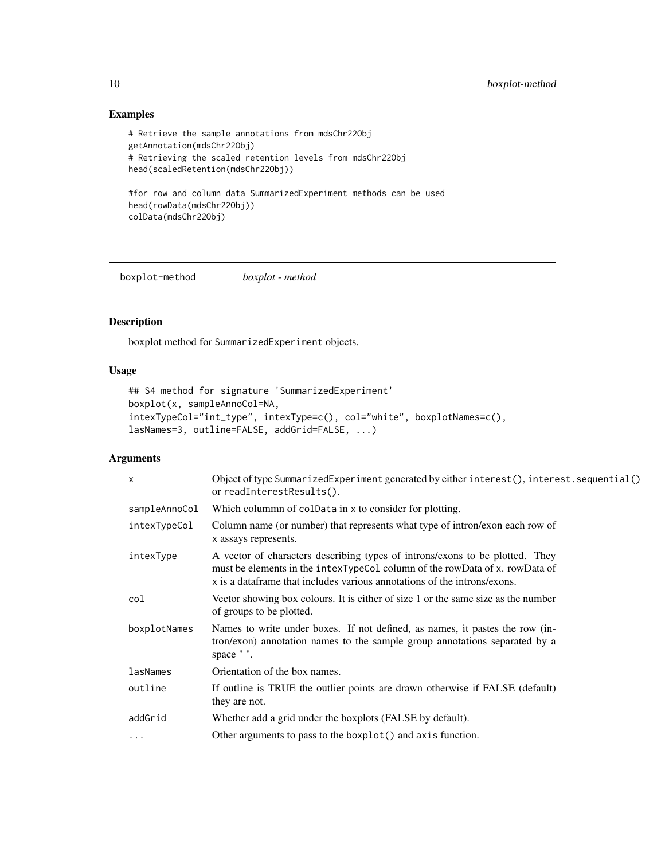# Examples

```
# Retrieve the sample annotations from mdsChr22Obj
getAnnotation(mdsChr22Obj)
# Retrieving the scaled retention levels from mdsChr22Obj
head(scaledRetention(mdsChr22Obj))
#for row and column data SummarizedExperiment methods can be used
head(rowData(mdsChr22Obj))
```

```
colData(mdsChr22Obj)
```
<span id="page-9-1"></span>boxplot-method *boxplot - method*

# Description

boxplot method for SummarizedExperiment objects.

# Usage

```
## S4 method for signature 'SummarizedExperiment'
boxplot(x, sampleAnnoCol=NA,
intexTypeCol="int_type", intexType=c(), col="white", boxplotNames=c(),
lasNames=3, outline=FALSE, addGrid=FALSE, ...)
```
### Arguments

| $\times$      | Object of type SummarizedExperiment generated by either interest(), interest.sequential()<br>or readInterestResults().                                                                                                                      |
|---------------|---------------------------------------------------------------------------------------------------------------------------------------------------------------------------------------------------------------------------------------------|
| sampleAnnoCol | Which colummn of coldata in x to consider for plotting.                                                                                                                                                                                     |
| intexTypeCol  | Column name (or number) that represents what type of intron/exon each row of<br>x assays represents.                                                                                                                                        |
| intexType     | A vector of characters describing types of introns/exons to be plotted. They<br>must be elements in the intext ype Col column of the row Data of x. row Data of<br>x is a dataframe that includes various annotations of the introns/exons. |
| col           | Vector showing box colours. It is either of size 1 or the same size as the number<br>of groups to be plotted.                                                                                                                               |
| boxplotNames  | Names to write under boxes. If not defined, as names, it pastes the row (in-<br>tron/exon) annotation names to the sample group annotations separated by a<br>space "".                                                                     |
| lasNames      | Orientation of the box names.                                                                                                                                                                                                               |
| outline       | If outline is TRUE the outlier points are drawn otherwise if FALSE (default)<br>they are not.                                                                                                                                               |
| addGrid       | Whether add a grid under the boxplots (FALSE by default).                                                                                                                                                                                   |
| $\cdots$      | Other arguments to pass to the boxplot() and axis function.                                                                                                                                                                                 |

<span id="page-9-0"></span>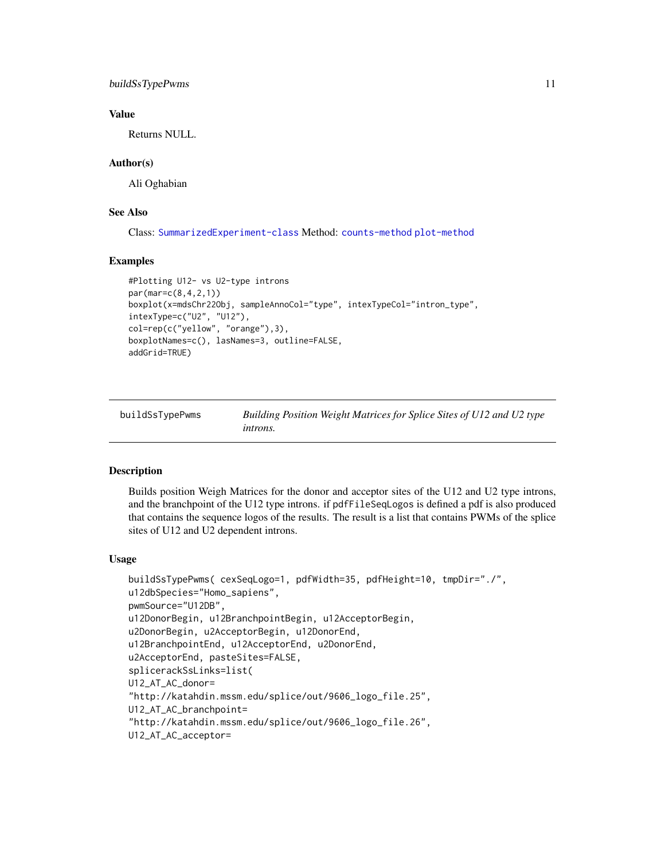# <span id="page-10-0"></span>buildSsTypePwms 11

# Value

Returns NULL.

### Author(s)

Ali Oghabian

# See Also

Class: [SummarizedExperiment-class](#page-0-0) Method: [counts-method](#page-13-1) [plot-method](#page-39-1)

#### Examples

```
#Plotting U12- vs U2-type introns
par(mar=c(8,4,2,1))
boxplot(x=mdsChr22Obj, sampleAnnoCol="type", intexTypeCol="intron_type",
intexType=c("U2", "U12"),
col=rep(c("yellow", "orange"),3),
boxplotNames=c(), lasNames=3, outline=FALSE,
addGrid=TRUE)
```
<span id="page-10-1"></span>

| buildSsTypePwms | Building Position Weight Matrices for Splice Sites of U12 and U2 type |
|-----------------|-----------------------------------------------------------------------|
|                 | <i>introns.</i>                                                       |

# Description

Builds position Weigh Matrices for the donor and acceptor sites of the U12 and U2 type introns, and the branchpoint of the U12 type introns. if pdfFileSeqLogos is defined a pdf is also produced that contains the sequence logos of the results. The result is a list that contains PWMs of the splice sites of U12 and U2 dependent introns.

#### Usage

```
buildSsTypePwms( cexSeqLogo=1, pdfWidth=35, pdfHeight=10, tmpDir="./",
u12dbSpecies="Homo_sapiens",
pwmSource="U12DB",
u12DonorBegin, u12BranchpointBegin, u12AcceptorBegin,
u2DonorBegin, u2AcceptorBegin, u12DonorEnd,
u12BranchpointEnd, u12AcceptorEnd, u2DonorEnd,
u2AcceptorEnd, pasteSites=FALSE,
splicerackSsLinks=list(
U12_AT_AC_donor=
"http://katahdin.mssm.edu/splice/out/9606_logo_file.25",
U12_AT_AC_branchpoint=
"http://katahdin.mssm.edu/splice/out/9606_logo_file.26",
U12_AT_AC_acceptor=
```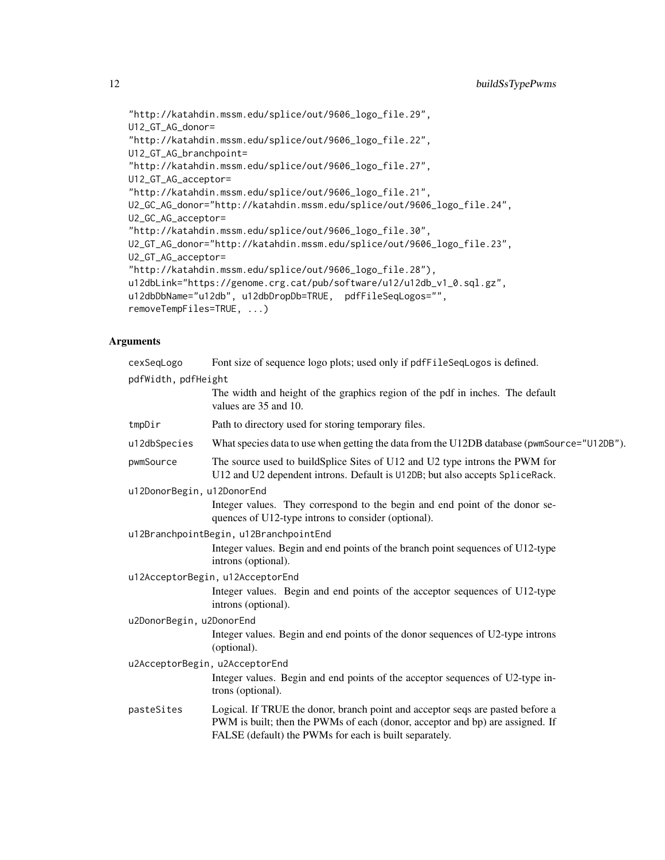"http://katahdin.mssm.edu/splice/out/9606\_logo\_file.29", U12\_GT\_AG\_donor= "http://katahdin.mssm.edu/splice/out/9606\_logo\_file.22", U12\_GT\_AG\_branchpoint= "http://katahdin.mssm.edu/splice/out/9606\_logo\_file.27", U12\_GT\_AG\_acceptor= "http://katahdin.mssm.edu/splice/out/9606\_logo\_file.21", U2\_GC\_AG\_donor="http://katahdin.mssm.edu/splice/out/9606\_logo\_file.24", U2\_GC\_AG\_acceptor= "http://katahdin.mssm.edu/splice/out/9606\_logo\_file.30", U2\_GT\_AG\_donor="http://katahdin.mssm.edu/splice/out/9606\_logo\_file.23", U2\_GT\_AG\_acceptor= "http://katahdin.mssm.edu/splice/out/9606\_logo\_file.28"), u12dbLink="https://genome.crg.cat/pub/software/u12/u12db\_v1\_0.sql.gz", u12dbDbName="u12db", u12dbDropDb=TRUE, pdfFileSeqLogos="", removeTempFiles=TRUE, ...)

# Arguments

| cexSeqLogo                 | Font size of sequence logo plots; used only if pdfFileSeqLogos is defined.                                                                                                                                                |
|----------------------------|---------------------------------------------------------------------------------------------------------------------------------------------------------------------------------------------------------------------------|
| pdfWidth, pdfHeight        |                                                                                                                                                                                                                           |
|                            | The width and height of the graphics region of the pdf in inches. The default<br>values are 35 and 10.                                                                                                                    |
| tmpDir                     | Path to directory used for storing temporary files.                                                                                                                                                                       |
| u12dbSpecies               | What species data to use when getting the data from the U12DB database (pwmSource="U12DB").                                                                                                                               |
| pwmSource                  | The source used to buildSplice Sites of U12 and U2 type introns the PWM for<br>U12 and U2 dependent introns. Default is U12DB; but also accepts SpliceRack.                                                               |
| u12DonorBegin, u12DonorEnd |                                                                                                                                                                                                                           |
|                            | Integer values. They correspond to the begin and end point of the donor se-<br>quences of U12-type introns to consider (optional).                                                                                        |
|                            | u12BranchpointBegin, u12BranchpointEnd                                                                                                                                                                                    |
|                            | Integer values. Begin and end points of the branch point sequences of U12-type<br>introns (optional).                                                                                                                     |
|                            | u12AcceptorBegin, u12AcceptorEnd                                                                                                                                                                                          |
|                            | Integer values. Begin and end points of the acceptor sequences of U12-type<br>introns (optional).                                                                                                                         |
| u2DonorBegin, u2DonorEnd   |                                                                                                                                                                                                                           |
|                            | Integer values. Begin and end points of the donor sequences of U2-type introns<br>(optional).                                                                                                                             |
|                            | u2AcceptorBegin, u2AcceptorEnd                                                                                                                                                                                            |
|                            | Integer values. Begin and end points of the acceptor sequences of U2-type in-<br>trons (optional).                                                                                                                        |
| pasteSites                 | Logical. If TRUE the donor, branch point and acceptor seqs are pasted before a<br>PWM is built; then the PWMs of each (donor, acceptor and bp) are assigned. If<br>FALSE (default) the PWMs for each is built separately. |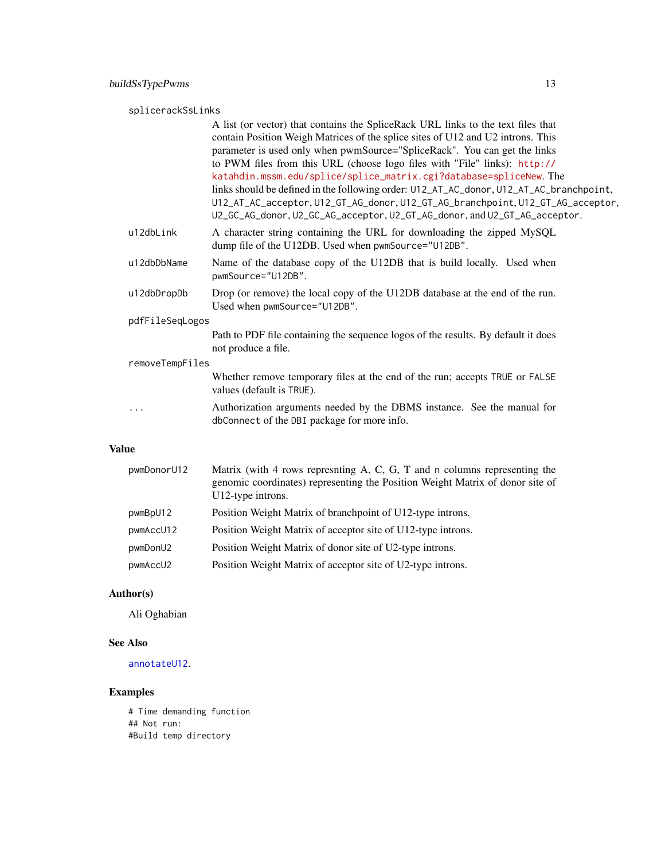# <span id="page-12-0"></span>splicerackSsLinks

|                 | A list (or vector) that contains the SpliceRack URL links to the text files that<br>contain Position Weigh Matrices of the splice sites of U12 and U2 introns. This                                                                                     |  |
|-----------------|---------------------------------------------------------------------------------------------------------------------------------------------------------------------------------------------------------------------------------------------------------|--|
|                 | parameter is used only when pwmSource="SpliceRack". You can get the links                                                                                                                                                                               |  |
|                 | to PWM files from this URL (choose logo files with "File" links): http://<br>katahdin.mssm.edu/splice/splice_matrix.cgi?database=spliceNew. The                                                                                                         |  |
|                 | links should be defined in the following order: U12_AT_AC_donor, U12_AT_AC_branchpoint,<br>U12_AT_AC_acceptor, U12_GT_AG_donor, U12_GT_AG_branchpoint, U12_GT_AG_acceptor,<br>U2_GC_AG_donor, U2_GC_AG_acceptor, U2_GT_AG_donor, and U2_GT_AG_acceptor. |  |
| u12dbLink       | A character string containing the URL for downloading the zipped MySQL<br>dump file of the U12DB. Used when pwmSource="U12DB".                                                                                                                          |  |
| u12dbDbName     | Name of the database copy of the U12DB that is build locally. Used when<br>pwmSource="U12DB".                                                                                                                                                           |  |
| u12dbDropDb     | Drop (or remove) the local copy of the U12DB database at the end of the run.<br>Used when pwmSource="U12DB".                                                                                                                                            |  |
| pdfFileSeqLogos |                                                                                                                                                                                                                                                         |  |
|                 | Path to PDF file containing the sequence logos of the results. By default it does<br>not produce a file.                                                                                                                                                |  |
| removeTempFiles |                                                                                                                                                                                                                                                         |  |
|                 | Whether remove temporary files at the end of the run; accepts TRUE or FALSE<br>values (default is TRUE).                                                                                                                                                |  |
| $\cdots$        | Authorization arguments needed by the DBMS instance. See the manual for<br>dbConnect of the DBI package for more info.                                                                                                                                  |  |
|                 |                                                                                                                                                                                                                                                         |  |

# Value

| pwmDonorU12 | Matrix (with 4 rows represiting A, C, G, T and n columns representing the<br>genomic coordinates) representing the Position Weight Matrix of donor site of<br>U12-type introns. |
|-------------|---------------------------------------------------------------------------------------------------------------------------------------------------------------------------------|
| pwmBpU12    | Position Weight Matrix of branchpoint of U12-type introns.                                                                                                                      |
| pwmAccU12   | Position Weight Matrix of acceptor site of U12-type introns.                                                                                                                    |
| pwmDonU2    | Position Weight Matrix of donor site of U2-type introns.                                                                                                                        |
| pwmAccU2    | Position Weight Matrix of acceptor site of U2-type introns.                                                                                                                     |

# Author(s)

Ali Oghabian

# See Also

[annotateU12](#page-3-1).

# Examples

# Time demanding function ## Not run: #Build temp directory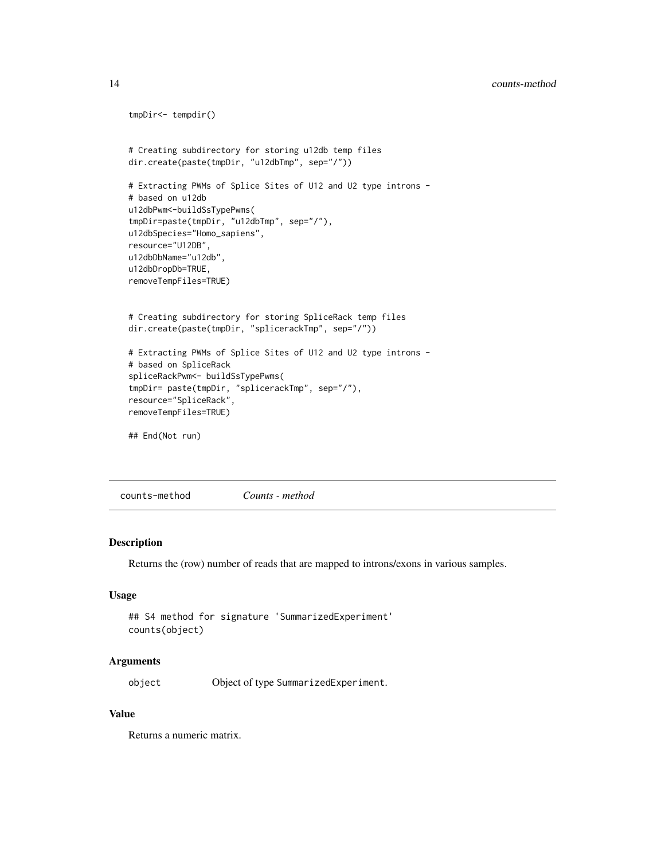### <span id="page-13-0"></span>14 counts-method

```
tmpDir<- tempdir()
# Creating subdirectory for storing u12db temp files
dir.create(paste(tmpDir, "u12dbTmp", sep="/"))
# Extracting PWMs of Splice Sites of U12 and U2 type introns -
# based on u12db
u12dbPwm<-buildSsTypePwms(
tmpDir=paste(tmpDir, "u12dbTmp", sep="/"),
u12dbSpecies="Homo_sapiens",
resource="U12DB",
u12dbDbName="u12db",
u12dbDropDb=TRUE,
removeTempFiles=TRUE)
# Creating subdirectory for storing SpliceRack temp files
dir.create(paste(tmpDir, "splicerackTmp", sep="/"))
# Extracting PWMs of Splice Sites of U12 and U2 type introns -
# based on SpliceRack
spliceRackPwm<- buildSsTypePwms(
tmpDir= paste(tmpDir, "splicerackTmp", sep="/"),
resource="SpliceRack",
removeTempFiles=TRUE)
## End(Not run)
```
<span id="page-13-1"></span>counts-method *Counts - method*

## Description

Returns the (row) number of reads that are mapped to introns/exons in various samples.

#### Usage

```
## S4 method for signature 'SummarizedExperiment'
counts(object)
```
#### Arguments

object Object of type SummarizedExperiment.

#### Value

Returns a numeric matrix.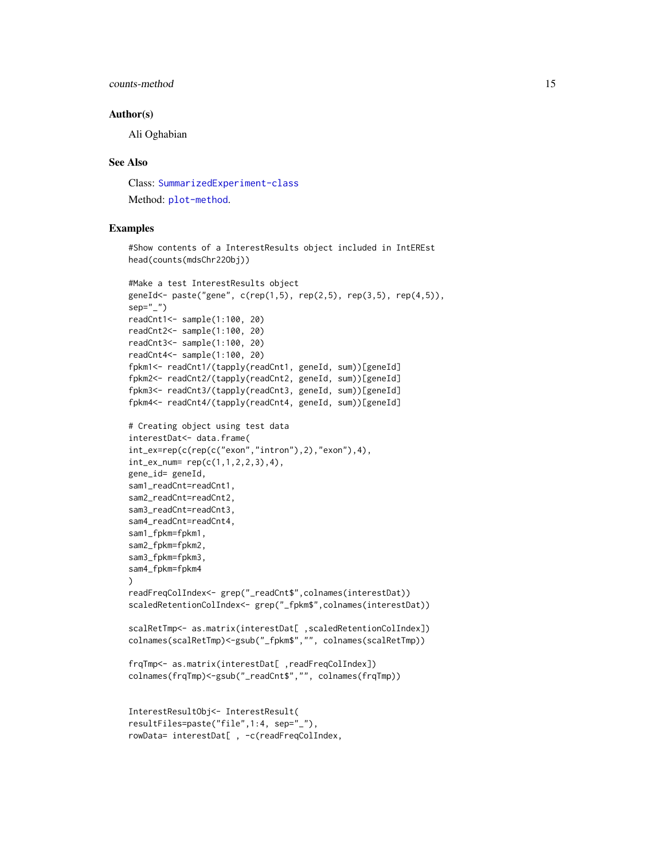### counts-method 15

#### Author(s)

Ali Oghabian

#### See Also

Class: [SummarizedExperiment-class](#page-0-0) Method: [plot-method](#page-39-1).

#### Examples

```
#Show contents of a InterestResults object included in IntEREst
head(counts(mdsChr22Obj))
#Make a test InterestResults object
geneId<- paste("gene", c(rep(1,5), rep(2,5), rep(3,5), rep(4,5)),
sep=""")
readCnt1<- sample(1:100, 20)
readCnt2<- sample(1:100, 20)
readCnt3<- sample(1:100, 20)
readCnt4<- sample(1:100, 20)
fpkm1<- readCnt1/(tapply(readCnt1, geneId, sum))[geneId]
fpkm2<- readCnt2/(tapply(readCnt2, geneId, sum))[geneId]
fpkm3<- readCnt3/(tapply(readCnt3, geneId, sum))[geneId]
fpkm4<- readCnt4/(tapply(readCnt4, geneId, sum))[geneId]
# Creating object using test data
interestDat<- data.frame(
int\_exp(c(rep(c("exon", "intron"),2), "exon"),4),int\_ex\_num= rep(c(1,1,2,2,3),4),gene_id= geneId,
sam1_readCnt=readCnt1,
sam2_readCnt=readCnt2,
sam3_readCnt=readCnt3,
sam4_readCnt=readCnt4,
sam1_fpkm=fpkm1,
sam2_fpkm=fpkm2,
sam3_fpkm=fpkm3,
sam4_fpkm=fpkm4
\lambdareadFreqColIndex<- grep("_readCnt$",colnames(interestDat))
scaledRetentionColIndex<- grep("_fpkm$",colnames(interestDat))
scalRetTmp<- as.matrix(interestDat[ ,scaledRetentionColIndex])
colnames(scalRetTmp)<-gsub("_fpkm$","", colnames(scalRetTmp))
frqTmp<- as.matrix(interestDat[ ,readFreqColIndex])
colnames(frqTmp)<-gsub("_readCnt$","", colnames(frqTmp))
InterestResultObj<- InterestResult(
resultFiles=paste("file",1:4, sep="_"),
rowData= interestDat[ , -c(readFreqColIndex,
```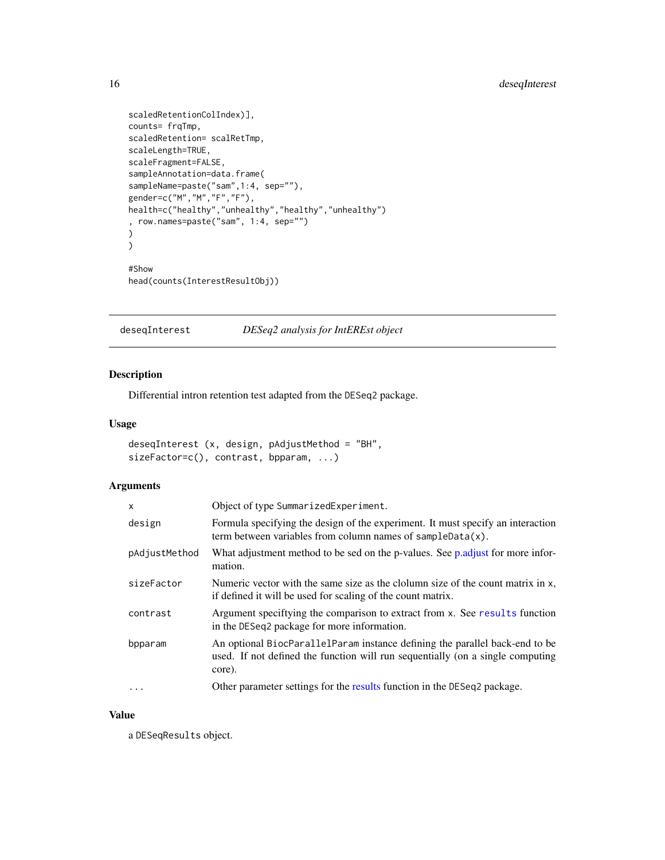```
scaledRetentionColIndex)],
counts= frqTmp,
scaledRetention= scalRetTmp,
scaleLength=TRUE,
scaleFragment=FALSE,
sampleAnnotation=data.frame(
sampleName=paste("sam",1:4, sep=""),
gender=c("M","M","F","F"),
health=c("healthy","unhealthy","healthy","unhealthy")
, row.names=paste("sam", 1:4, sep="")
)
)
#Show
head(counts(InterestResultObj))
```
deseqInterest *DESeq2 analysis for IntEREst object*

# Description

Differential intron retention test adapted from the DESeq2 package.

#### Usage

```
deseqInterest (x, design, pAdjustMethod = "BH",
sizeFactor=c(), contrast, bpparam, ...)
```
# Arguments

| x             | Object of type SummarizedExperiment.                                                                                                                                    |
|---------------|-------------------------------------------------------------------------------------------------------------------------------------------------------------------------|
| design        | Formula specifying the design of the experiment. It must specify an interaction<br>term between variables from column names of sampleData $(x)$ .                       |
| pAdjustMethod | What adjustment method to be sed on the p-values. See p.adjust for more infor-<br>mation.                                                                               |
| sizeFactor    | Numeric vector with the same size as the clolumn size of the count matrix in x,<br>if defined it will be used for scaling of the count matrix.                          |
| contrast      | Argument specifying the comparison to extract from x. See results function<br>in the DESeq2 package for more information.                                               |
| bpparam       | An optional BiocParallelParam instance defining the parallel back-end to be<br>used. If not defined the function will run sequentially (on a single computing<br>core). |
| $\cdots$      | Other parameter settings for the results function in the DESeq2 package.                                                                                                |

### Value

a DESeqResults object.

<span id="page-15-0"></span>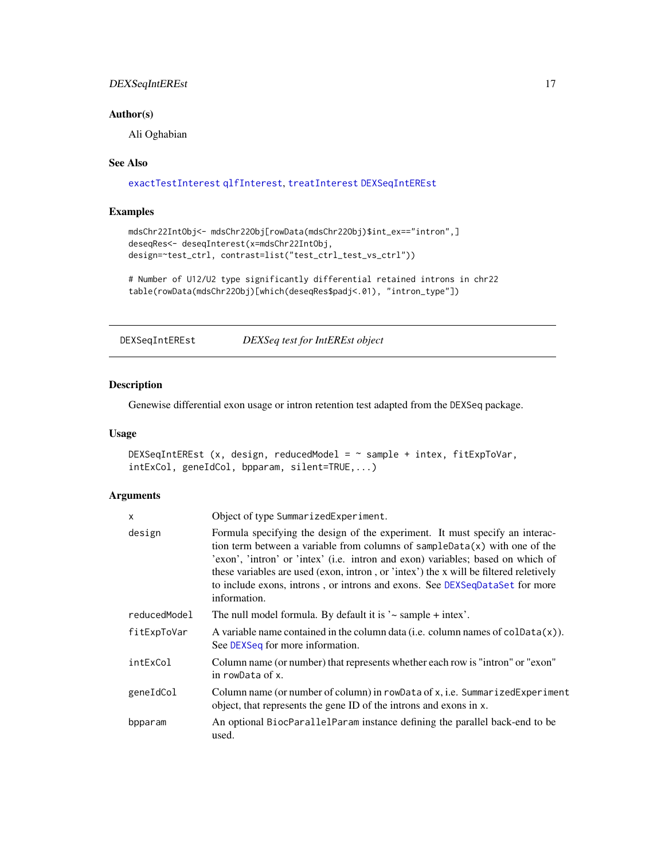# <span id="page-16-0"></span>DEXSeqIntEREst 17

# Author(s)

Ali Oghabian

#### See Also

#### [exactTestInterest](#page-17-1) [qlfInterest](#page-44-1), [treatInterest](#page-52-1) [DEXSeqIntEREst](#page-16-1)

#### Examples

```
mdsChr22IntObj<- mdsChr22Obj[rowData(mdsChr22Obj)$int_ex=="intron",]
deseqRes<- deseqInterest(x=mdsChr22IntObj,
design=~test_ctrl, contrast=list("test_ctrl_test_vs_ctrl"))
```

```
# Number of U12/U2 type significantly differential retained introns in chr22
table(rowData(mdsChr22Obj)[which(deseqRes$padj<.01), "intron_type"])
```
<span id="page-16-1"></span>DEXSeqIntEREst *DEXSeq test for IntEREst object*

# Description

Genewise differential exon usage or intron retention test adapted from the DEXSeq package.

# Usage

```
DEXSeqIntEREst (x, design, reducedModel = \sim sample + intex, fitExpToVar,
intExCol, geneIdCol, bpparam, silent=TRUE,...)
```
# Arguments

| x            | Object of type SummarizedExperiment.                                                                                                                                                                                                                                                                                                                                                                                                    |
|--------------|-----------------------------------------------------------------------------------------------------------------------------------------------------------------------------------------------------------------------------------------------------------------------------------------------------------------------------------------------------------------------------------------------------------------------------------------|
| design       | Formula specifying the design of the experiment. It must specify an interac-<br>tion term between a variable from columns of $sampleData(x)$ with one of the<br>'exon', 'intron' or 'intex' (i.e. intron and exon) variables; based on which of<br>these variables are used (exon, intron, or 'intex') the x will be filtered reletively<br>to include exons, introns, or introns and exons. See DEXSeqDataSet for more<br>information. |
| reducedModel | The null model formula. By default it is $\sim$ sample + intex'.                                                                                                                                                                                                                                                                                                                                                                        |
| fitExpToVar  | A variable name contained in the column data (i.e. column names of $colData(x)$ ).<br>See DEXSeq for more information.                                                                                                                                                                                                                                                                                                                  |
| intExCol     | Column name (or number) that represents whether each row is "intron" or "exon"<br>in rowData of x.                                                                                                                                                                                                                                                                                                                                      |
| geneIdCol    | Column name (or number of column) in rowData of x, i.e. SummarizedExperiment<br>object, that represents the gene ID of the introns and exons in x.                                                                                                                                                                                                                                                                                      |
| bpparam      | An optional BiocParallelParam instance defining the parallel back-end to be<br>used.                                                                                                                                                                                                                                                                                                                                                    |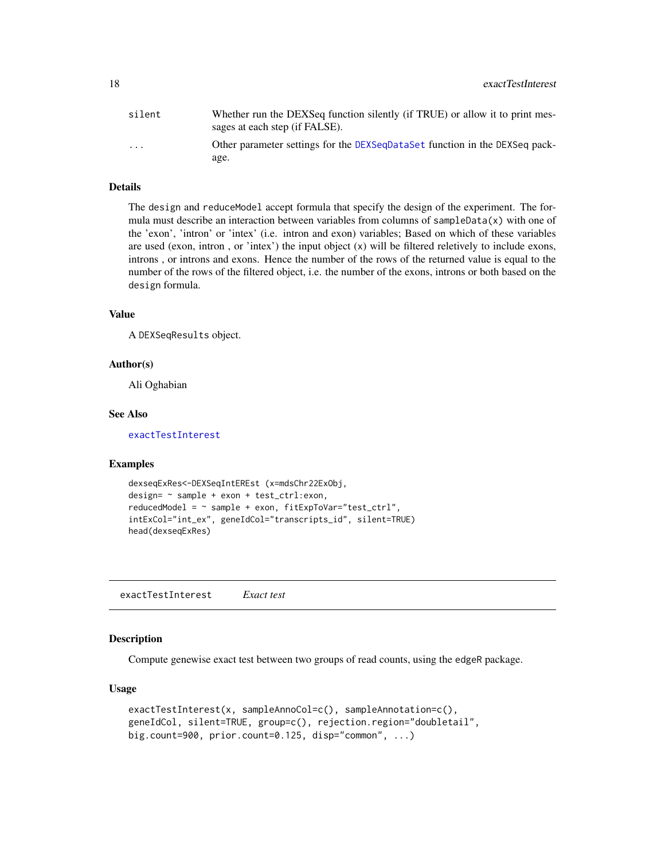<span id="page-17-0"></span>

| silent                  | Whether run the DEXSeq function silently (if TRUE) or allow it to print mes-<br>sages at each step (if FALSE). |
|-------------------------|----------------------------------------------------------------------------------------------------------------|
| $\cdot$ $\cdot$ $\cdot$ | Other parameter settings for the DEXSeqDataSet function in the DEXSeq pack-                                    |
|                         | age.                                                                                                           |

# Details

The design and reduceModel accept formula that specify the design of the experiment. The formula must describe an interaction between variables from columns of sampleData(x) with one of the 'exon', 'intron' or 'intex' (i.e. intron and exon) variables; Based on which of these variables are used (exon, intron, or 'intex') the input object  $(x)$  will be filtered reletively to include exons, introns , or introns and exons. Hence the number of the rows of the returned value is equal to the number of the rows of the filtered object, i.e. the number of the exons, introns or both based on the design formula.

#### Value

A DEXSeqResults object.

#### Author(s)

Ali Oghabian

#### See Also

[exactTestInterest](#page-17-1)

#### Examples

```
dexseqExRes<-DEXSeqIntEREst (x=mdsChr22ExObj,
design= ~ sample + exon + test_ctrl:exon,
reducedModel = ~ sample + exon, fitExpToVar="test_ctrl",
intExCol="int_ex", geneIdCol="transcripts_id", silent=TRUE)
head(dexseqExRes)
```
<span id="page-17-1"></span>exactTestInterest *Exact test*

#### Description

Compute genewise exact test between two groups of read counts, using the edgeR package.

#### Usage

```
exactTestInterest(x, sampleAnnoCol=c(), sampleAnnotation=c(),
geneIdCol, silent=TRUE, group=c(), rejection.region="doubletail",
big.count=900, prior.count=0.125, disp="common", ...)
```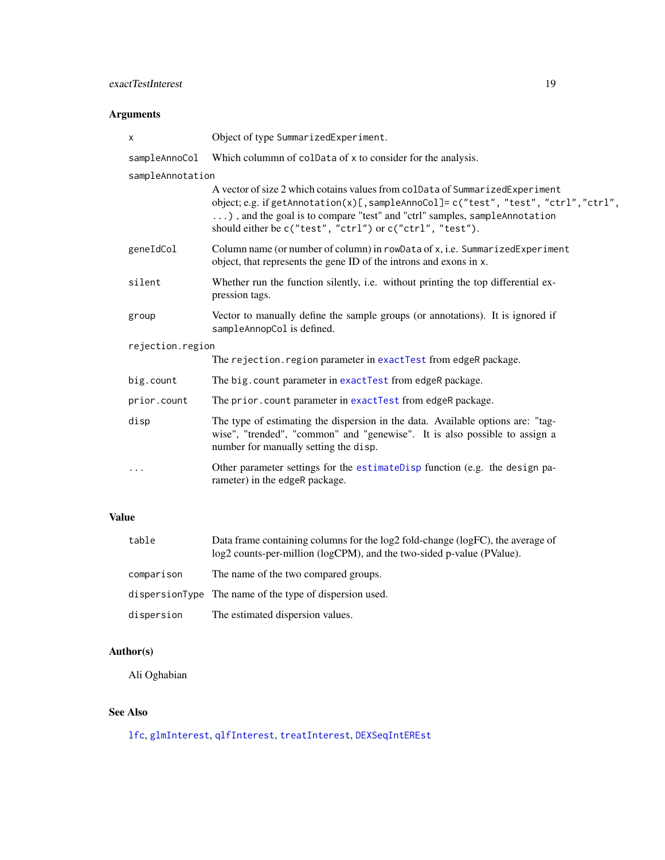# <span id="page-18-0"></span>exactTestInterest 19

# Arguments

| x                | Object of type SummarizedExperiment.                                                                                                                                                                                                                                                                              |  |
|------------------|-------------------------------------------------------------------------------------------------------------------------------------------------------------------------------------------------------------------------------------------------------------------------------------------------------------------|--|
| sampleAnnoCol    | Which column of coldata of x to consider for the analysis.                                                                                                                                                                                                                                                        |  |
| sampleAnnotation |                                                                                                                                                                                                                                                                                                                   |  |
|                  | A vector of size 2 which cotains values from colData of SummarizedExperiment<br>object; e.g. if getAnnotation $(x)$ [, sampleAnnoCol]= c("test", "test", "ctrl", "ctrl",<br>), and the goal is to compare "test" and "ctrl" samples, sampleAnnotation<br>should either be c("test", "ctrl") or c("ctrl", "test"). |  |
| geneIdCol        | Column name (or number of column) in rowData of x, i.e. SummarizedExperiment<br>object, that represents the gene ID of the introns and exons in x.                                                                                                                                                                |  |
| silent           | Whether run the function silently, i.e. without printing the top differential ex-<br>pression tags.                                                                                                                                                                                                               |  |
| group            | Vector to manually define the sample groups (or annotations). It is ignored if<br>sampleAnnopCol is defined.                                                                                                                                                                                                      |  |
| rejection.region |                                                                                                                                                                                                                                                                                                                   |  |
|                  | The rejection. region parameter in exactTest from edgeR package.                                                                                                                                                                                                                                                  |  |
| big.count        | The big. count parameter in exactTest from edgeR package.                                                                                                                                                                                                                                                         |  |
| prior.count      | The prior.count parameter in exactTest from edgeR package.                                                                                                                                                                                                                                                        |  |
| disp             | The type of estimating the dispersion in the data. Available options are: "tag-<br>wise", "trended", "common" and "genewise". It is also possible to assign a<br>number for manually setting the disp.                                                                                                            |  |
| $\cdots$         | Other parameter settings for the estimateDisp function (e.g. the design pa-<br>rameter) in the edgeR package.                                                                                                                                                                                                     |  |

# Value

| table      | Data frame containing columns for the log2 fold-change (logFC), the average of<br>log2 counts-per-million (logCPM), and the two-sided p-value (PValue). |
|------------|---------------------------------------------------------------------------------------------------------------------------------------------------------|
| comparison | The name of the two compared groups.                                                                                                                    |
|            | dispersionType The name of the type of dispersion used.                                                                                                 |
| dispersion | The estimated dispersion values.                                                                                                                        |
|            |                                                                                                                                                         |

# Author(s)

Ali Oghabian

# See Also

[lfc](#page-33-1), [glmInterest](#page-21-1), [qlfInterest](#page-44-1), [treatInterest](#page-52-1), [DEXSeqIntEREst](#page-16-1)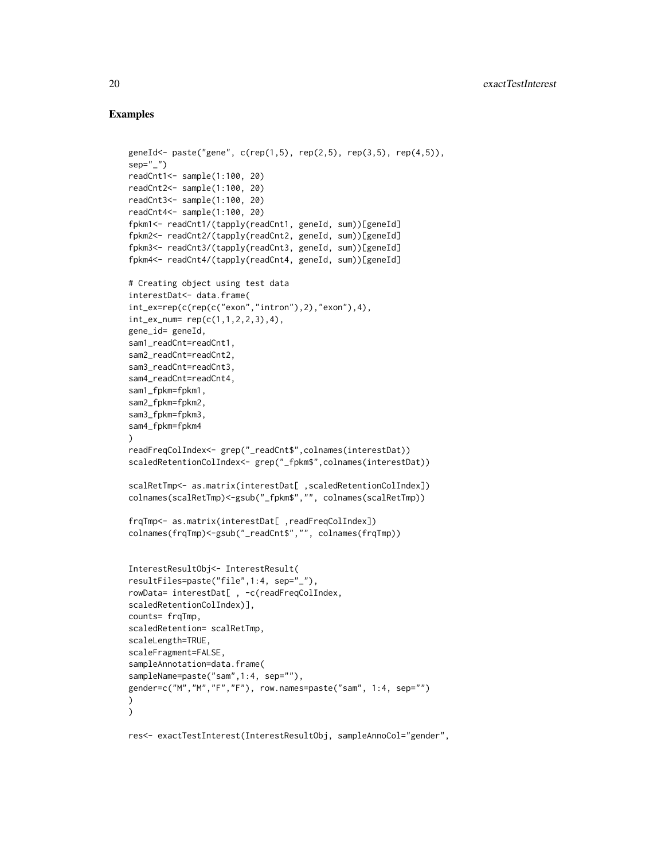### Examples

```
geneId<- paste("gene", c(rep(1,5), rep(2,5), rep(3,5), rep(4,5)),
sep="1"readCnt1<- sample(1:100, 20)
readCnt2<- sample(1:100, 20)
readCnt3<- sample(1:100, 20)
readCnt4<- sample(1:100, 20)
fpkm1<- readCnt1/(tapply(readCnt1, geneId, sum))[geneId]
fpkm2<- readCnt2/(tapply(readCnt2, geneId, sum))[geneId]
fpkm3<- readCnt3/(tapply(readCnt3, geneId, sum))[geneId]
fpkm4<- readCnt4/(tapply(readCnt4, geneId, sum))[geneId]
# Creating object using test data
interestDat<- data.frame(
int_ex=rep(c(rep(c("exon","intron"),2),"exon"),4),
int_{ex_{num}} rep(c(1,1,2,2,3),4),
gene_id= geneId,
sam1_readCnt=readCnt1,
sam2_readCnt=readCnt2,
sam3_readCnt=readCnt3,
sam4_readCnt=readCnt4,
sam1_fpkm=fpkm1,
sam2_fpkm=fpkm2,
sam3_fpkm=fpkm3,
sam4_fpkm=fpkm4
\lambdareadFreqColIndex<- grep("_readCnt$",colnames(interestDat))
scaledRetentionColIndex<- grep("_fpkm$",colnames(interestDat))
scalRetTmp<- as.matrix(interestDat[ ,scaledRetentionColIndex])
colnames(scalRetTmp)<-gsub("_fpkm$","", colnames(scalRetTmp))
frqTmp<- as.matrix(interestDat[ ,readFreqColIndex])
colnames(frqTmp)<-gsub("_readCnt$","", colnames(frqTmp))
InterestResultObj<- InterestResult(
resultFiles=paste("file",1:4, sep="_"),
rowData= interestDat[ , -c(readFreqColIndex,
scaledRetentionColIndex)],
counts= frqTmp,
scaledRetention= scalRetTmp,
scaleLength=TRUE,
scaleFragment=FALSE,
sampleAnnotation=data.frame(
sampleName=paste("sam",1:4, sep=""),
gender=c("M","M","F","F"), row.names=paste("sam", 1:4, sep="")
\lambda)
res<- exactTestInterest(InterestResultObj, sampleAnnoCol="gender",
```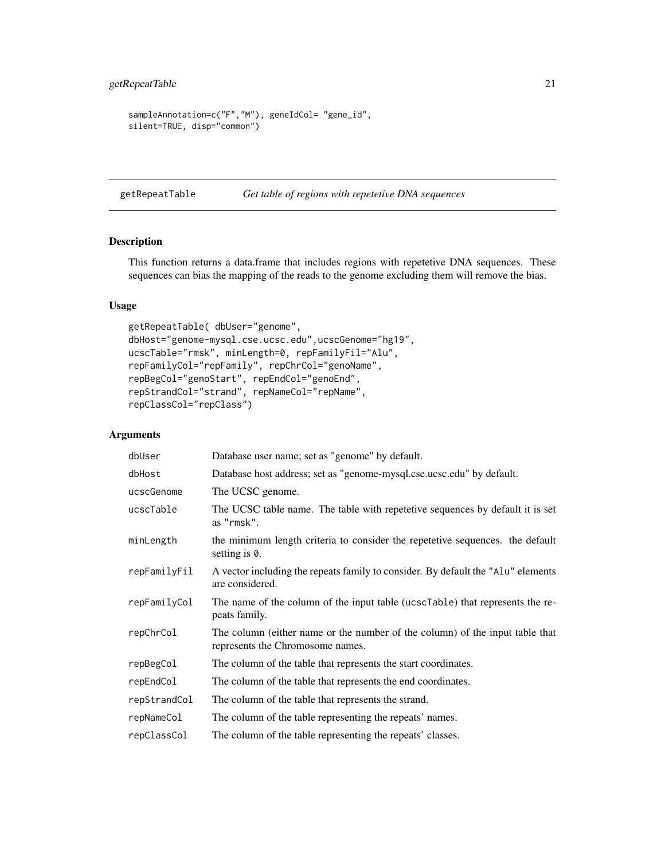```
sampleAnnotation=c("F","M"), geneIdCol= "gene_id",
silent=TRUE, disp="common")
```
<span id="page-20-1"></span>getRepeatTable *Get table of regions with repetetive DNA sequences*

# Description

This function returns a data.frame that includes regions with repetetive DNA sequences. These sequences can bias the mapping of the reads to the genome excluding them will remove the bias.

# Usage

```
getRepeatTable( dbUser="genome",
dbHost="genome-mysql.cse.ucsc.edu",ucscGenome="hg19",
ucscTable="rmsk", minLength=0, repFamilyFil="Alu",
repFamilyCol="repFamily", repChrCol="genoName",
repBegCol="genoStart", repEndCol="genoEnd",
repStrandCol="strand", repNameCol="repName",
repClassCol="repClass")
```
#### Arguments

| dbUser       | Database user name; set as "genome" by default.                                                                  |  |
|--------------|------------------------------------------------------------------------------------------------------------------|--|
| dbHost       | Database host address; set as "genome-mysql.cse.ucsc.edu" by default.                                            |  |
| ucscGenome   | The UCSC genome.                                                                                                 |  |
| ucscTable    | The UCSC table name. The table with repetetive sequences by default it is set<br>as "rmsk".                      |  |
| minLength    | the minimum length criteria to consider the repetetive sequences. the default<br>setting is 0.                   |  |
| repFamilyFil | A vector including the repeats family to consider. By default the "Alu" elements<br>are considered.              |  |
| repFamilyCol | The name of the column of the input table (ucscTable) that represents the re-<br>peats family.                   |  |
| repChrCol    | The column (either name or the number of the column) of the input table that<br>represents the Chromosome names. |  |
| repBegCol    | The column of the table that represents the start coordinates.                                                   |  |
| repEndCol    | The column of the table that represents the end coordinates.                                                     |  |
| repStrandCol | The column of the table that represents the strand.                                                              |  |
| repNameCol   | The column of the table representing the repeats' names.                                                         |  |
| repClassCol  | The column of the table representing the repeats' classes.                                                       |  |
|              |                                                                                                                  |  |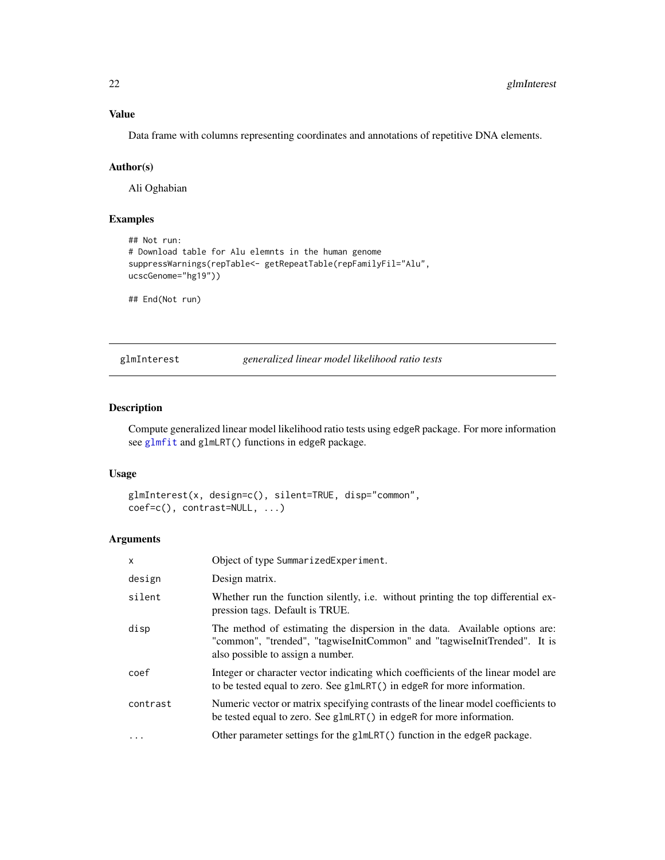# Value

Data frame with columns representing coordinates and annotations of repetitive DNA elements.

# Author(s)

Ali Oghabian

# Examples

```
## Not run:
# Download table for Alu elemnts in the human genome
suppressWarnings(repTable<- getRepeatTable(repFamilyFil="Alu",
ucscGenome="hg19"))
```
## End(Not run)

<span id="page-21-1"></span>glmInterest *generalized linear model likelihood ratio tests*

### Description

Compute generalized linear model likelihood ratio tests using edgeR package. For more information see [glmfit](#page-0-0) and glmLRT() functions in edgeR package.

### Usage

```
glmInterest(x, design=c(), silent=TRUE, disp="common",
coef=c(), contrast=NULL, ...)
```
#### Arguments

| $\mathsf{x}$ | Object of type SummarizedExperiment.                                                                                                                                                         |
|--------------|----------------------------------------------------------------------------------------------------------------------------------------------------------------------------------------------|
| design       | Design matrix.                                                                                                                                                                               |
| silent       | Whether run the function silently, i.e. without printing the top differential ex-<br>pression tags. Default is TRUE.                                                                         |
| disp         | The method of estimating the dispersion in the data. Available options are:<br>"common", "trended", "tagwiseInitCommon" and "tagwiseInitTrended". It is<br>also possible to assign a number. |
| coef         | Integer or character vector indicating which coefficients of the linear model are<br>to be tested equal to zero. See g1mLRT() in edgeR for more information.                                 |
| contrast     | Numeric vector or matrix specifying contrasts of the linear model coefficients to<br>be tested equal to zero. See g1mLRT() in edgeR for more information.                                    |
| $\cdots$     | Other parameter settings for the glmLRT() function in the edgeR package.                                                                                                                     |

<span id="page-21-0"></span>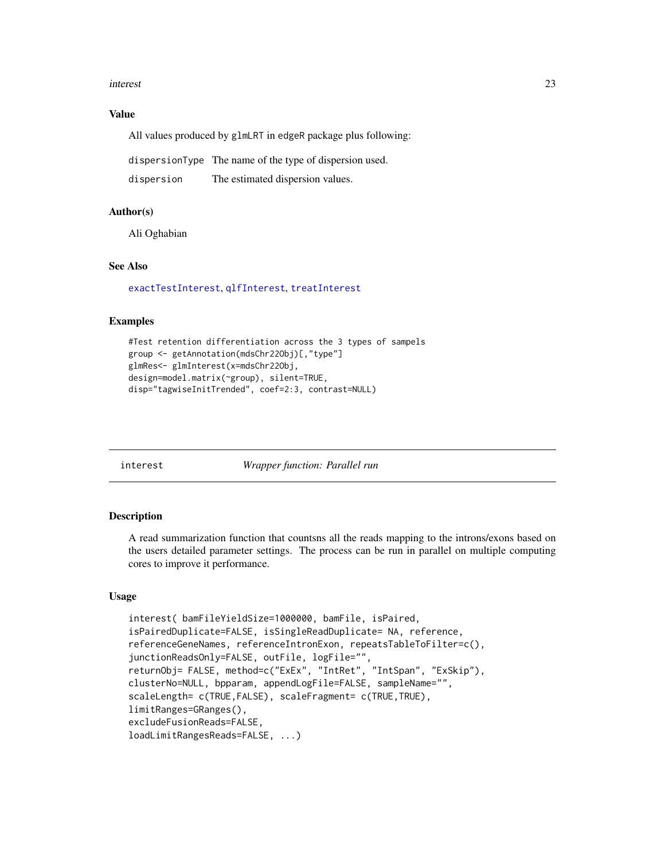#### <span id="page-22-0"></span>interest 23

#### Value

All values produced by glmLRT in edgeR package plus following:

dispersionType The name of the type of dispersion used.

```
dispersion The estimated dispersion values.
```
# Author(s)

Ali Oghabian

# See Also

[exactTestInterest](#page-17-1), [qlfInterest](#page-44-1), [treatInterest](#page-52-1)

#### Examples

```
#Test retention differentiation across the 3 types of sampels
group <- getAnnotation(mdsChr22Obj)[,"type"]
glmRes<- glmInterest(x=mdsChr22Obj,
design=model.matrix(~group), silent=TRUE,
disp="tagwiseInitTrended", coef=2:3, contrast=NULL)
```
<span id="page-22-1"></span>interest *Wrapper function: Parallel run*

#### **Description**

A read summarization function that countsns all the reads mapping to the introns/exons based on the users detailed parameter settings. The process can be run in parallel on multiple computing cores to improve it performance.

# Usage

```
interest( bamFileYieldSize=1000000, bamFile, isPaired,
isPairedDuplicate=FALSE, isSingleReadDuplicate= NA, reference,
referenceGeneNames, referenceIntronExon, repeatsTableToFilter=c(),
junctionReadsOnly=FALSE, outFile, logFile="",
returnObj= FALSE, method=c("ExEx", "IntRet", "IntSpan", "ExSkip"),
clusterNo=NULL, bpparam, appendLogFile=FALSE, sampleName="",
scaleLength= c(TRUE, FALSE), scaleFragment= c(TRUE, TRUE),
limitRanges=GRanges(),
excludeFusionReads=FALSE,
loadLimitRangesReads=FALSE, ...)
```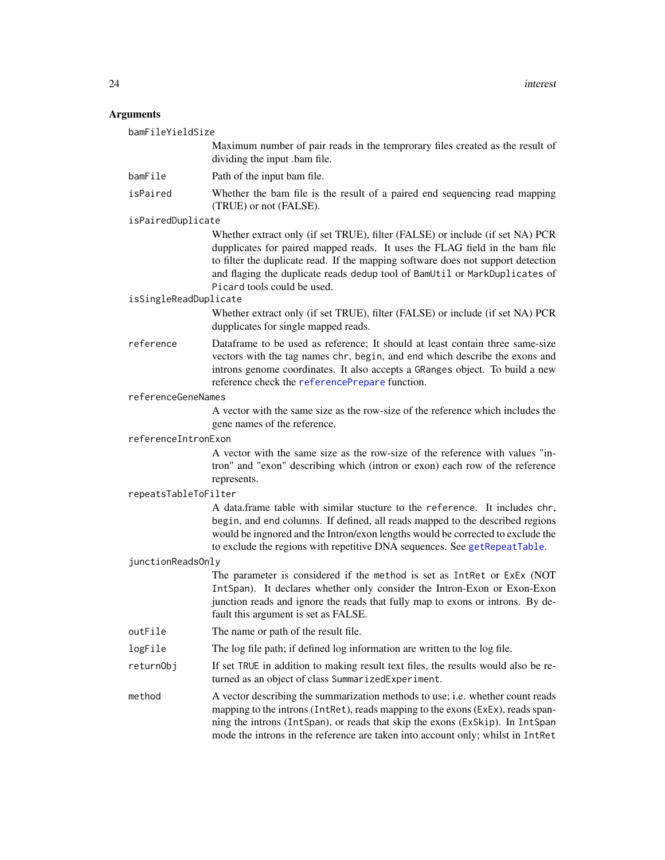#### <span id="page-23-0"></span>Arguments

bamFileYieldSize Maximum number of pair reads in the temprorary files created as the result of dividing the input .bam file. bamFile Path of the input bam file. isPaired Whether the bam file is the result of a paired end sequencing read mapping (TRUE) or not (FALSE). isPairedDuplicate Whether extract only (if set TRUE), filter (FALSE) or include (if set NA) PCR dupplicates for paired mapped reads. It uses the FLAG field in the bam file to filter the duplicate read. If the mapping software does not support detection and flaging the duplicate reads dedup tool of BamUtil or MarkDuplicates of Picard tools could be used. isSingleReadDuplicate Whether extract only (if set TRUE), filter (FALSE) or include (if set NA) PCR dupplicates for single mapped reads. reference Dataframe to be used as reference; It should at least contain three same-size vectors with the tag names chr, begin, and end which describe the exons and introns genome coordinates. It also accepts a GRanges object. To build a new reference check the [referencePrepare](#page-47-1) function. referenceGeneNames A vector with the same size as the row-size of the reference which includes the gene names of the reference. referenceIntronExon A vector with the same size as the row-size of the reference with values "intron" and "exon" describing which (intron or exon) each row of the reference represents. repeatsTableToFilter A data.frame table with similar stucture to the reference. It includes chr, begin, and end columns. If defined, all reads mapped to the described regions would be ingnored and the Intron/exon lengths would be corrected to exclude the to exclude the regions with repetitive DNA sequences. See [getRepeatTable](#page-20-1). junctionReadsOnly The parameter is considered if the method is set as IntRet or ExEx (NOT IntSpan). It declares whether only consider the Intron-Exon or Exon-Exon junction reads and ignore the reads that fully map to exons or introns. By default this argument is set as FALSE. outFile The name or path of the result file. logFile The log file path; if defined log information are written to the log file. returnObj If set TRUE in addition to making result text files, the results would also be returned as an object of class SummarizedExperiment. method A vector describing the summarization methods to use; i.e. whether count reads mapping to the introns (IntRet), reads mapping to the exons (ExEx), reads spanning the introns (IntSpan), or reads that skip the exons (ExSkip). In IntSpan

mode the introns in the reference are taken into account only; whilst in IntRet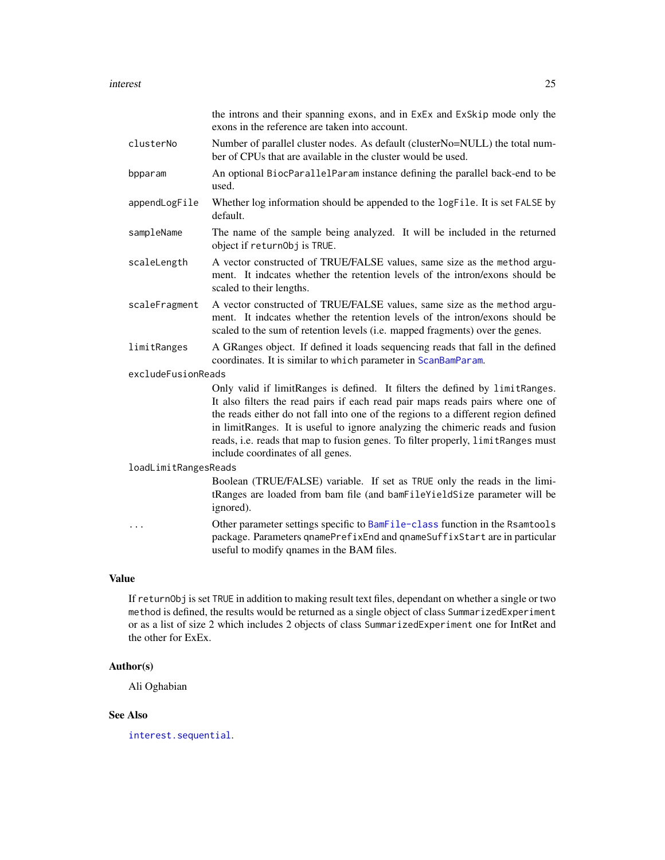<span id="page-24-0"></span>

|                      | the introns and their spanning exons, and in ExEx and ExSkip mode only the<br>exons in the reference are taken into account.                                                                                                                                                                                                                                                                                                                                    |  |
|----------------------|-----------------------------------------------------------------------------------------------------------------------------------------------------------------------------------------------------------------------------------------------------------------------------------------------------------------------------------------------------------------------------------------------------------------------------------------------------------------|--|
| clusterNo            | Number of parallel cluster nodes. As default (clusterNo=NULL) the total num-<br>ber of CPUs that are available in the cluster would be used.                                                                                                                                                                                                                                                                                                                    |  |
| bpparam              | An optional BiocParallelParam instance defining the parallel back-end to be<br>used.                                                                                                                                                                                                                                                                                                                                                                            |  |
| appendLogFile        | Whether log information should be appended to the logFile. It is set FALSE by<br>default.                                                                                                                                                                                                                                                                                                                                                                       |  |
| sampleName           | The name of the sample being analyzed. It will be included in the returned<br>object if returnObj is TRUE.                                                                                                                                                                                                                                                                                                                                                      |  |
| scaleLength          | A vector constructed of TRUE/FALSE values, same size as the method argu-<br>ment. It indcates whether the retention levels of the intron/exons should be<br>scaled to their lengths.                                                                                                                                                                                                                                                                            |  |
| scaleFragment        | A vector constructed of TRUE/FALSE values, same size as the method argu-<br>ment. It indeates whether the retention levels of the intron/exons should be<br>scaled to the sum of retention levels (i.e. mapped fragments) over the genes.                                                                                                                                                                                                                       |  |
| limitRanges          | A GRanges object. If defined it loads sequencing reads that fall in the defined<br>coordinates. It is similar to which parameter in ScanBamParam.                                                                                                                                                                                                                                                                                                               |  |
| excludeFusionReads   |                                                                                                                                                                                                                                                                                                                                                                                                                                                                 |  |
|                      | Only valid if limitRanges is defined. It filters the defined by limitRanges.<br>It also filters the read pairs if each read pair maps reads pairs where one of<br>the reads either do not fall into one of the regions to a different region defined<br>in limitRanges. It is useful to ignore analyzing the chimeric reads and fusion<br>reads, i.e. reads that map to fusion genes. To filter properly, limitRanges must<br>include coordinates of all genes. |  |
| loadLimitRangesReads |                                                                                                                                                                                                                                                                                                                                                                                                                                                                 |  |
|                      | Boolean (TRUE/FALSE) variable. If set as TRUE only the reads in the limi-<br>tRanges are loaded from bam file (and bamFileYieldSize parameter will be<br>ignored).                                                                                                                                                                                                                                                                                              |  |
|                      | Other parameter settings specific to BamFile-class function in the Rsamtools<br>package. Parameters qnamePrefixEnd and qnameSuffixStart are in particular                                                                                                                                                                                                                                                                                                       |  |
|                      | useful to modify qnames in the BAM files.                                                                                                                                                                                                                                                                                                                                                                                                                       |  |

# Value

If returnObj is set TRUE in addition to making result text files, dependant on whether a single or two method is defined, the results would be returned as a single object of class SummarizedExperiment or as a list of size 2 which includes 2 objects of class SummarizedExperiment one for IntRet and the other for ExEx.

# Author(s)

Ali Oghabian

# See Also

[interest.sequential](#page-25-1).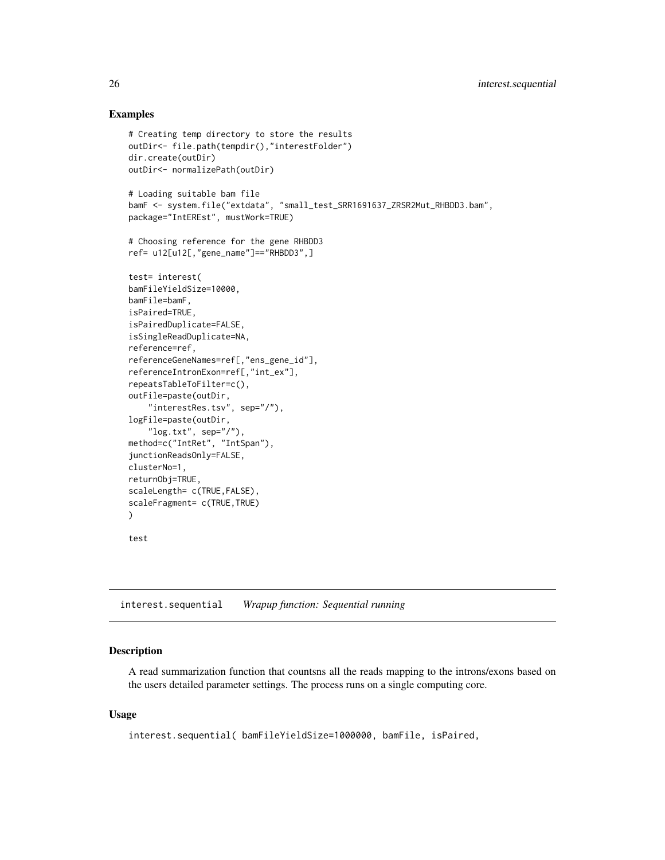# Examples

```
# Creating temp directory to store the results
outDir<- file.path(tempdir(),"interestFolder")
dir.create(outDir)
outDir<- normalizePath(outDir)
# Loading suitable bam file
bamF <- system.file("extdata", "small_test_SRR1691637_ZRSR2Mut_RHBDD3.bam",
package="IntEREst", mustWork=TRUE)
# Choosing reference for the gene RHBDD3
ref= u12[u12[,"gene_name"]=="RHBDD3",]
test= interest(
bamFileYieldSize=10000,
bamFile=bamF,
isPaired=TRUE,
isPairedDuplicate=FALSE,
isSingleReadDuplicate=NA,
reference=ref,
referenceGeneNames=ref[,"ens_gene_id"],
referenceIntronExon=ref[,"int_ex"],
repeatsTableToFilter=c(),
outFile=paste(outDir,
    "interestRes.tsv", sep="/"),
logFile=paste(outDir,
    "log.txt", sep="/"),
method=c("IntRet", "IntSpan"),
junctionReadsOnly=FALSE,
clusterNo=1,
returnObj=TRUE,
scaleLength= c(TRUE, FALSE),
scaleFragment= c(TRUE, TRUE)
)
```

```
test
```
<span id="page-25-1"></span>interest.sequential *Wrapup function: Sequential running*

# Description

A read summarization function that countsns all the reads mapping to the introns/exons based on the users detailed parameter settings. The process runs on a single computing core.

#### Usage

```
interest.sequential( bamFileYieldSize=1000000, bamFile, isPaired,
```
<span id="page-25-0"></span>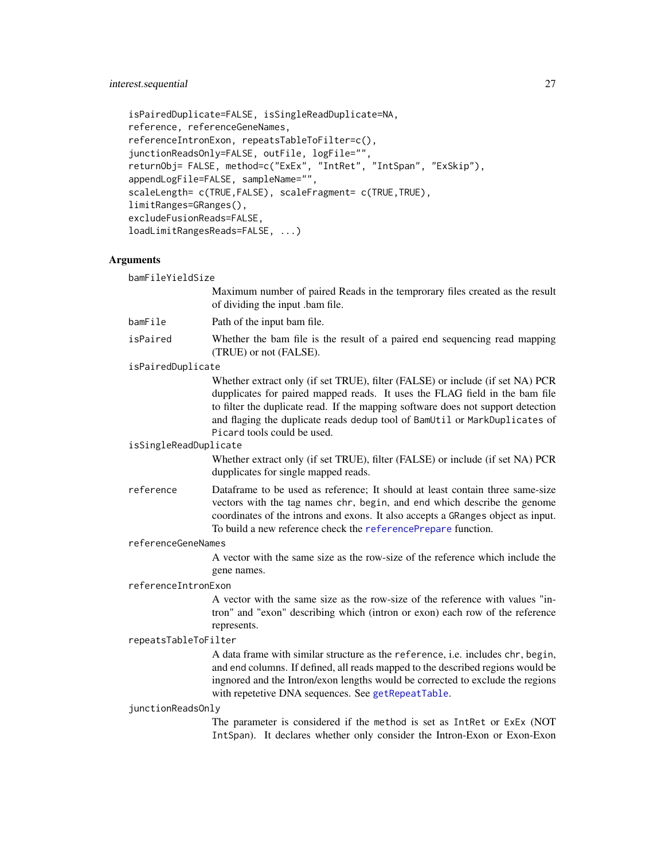#### <span id="page-26-0"></span>interest.sequential 27

```
isPairedDuplicate=FALSE, isSingleReadDuplicate=NA,
reference, referenceGeneNames,
referenceIntronExon, repeatsTableToFilter=c(),
junctionReadsOnly=FALSE, outFile, logFile="",
returnObj= FALSE, method=c("ExEx", "IntRet", "IntSpan", "ExSkip"),
appendLogFile=FALSE, sampleName="",
scaleLength= c(TRUE,FALSE), scaleFragment= c(TRUE,TRUE),
limitRanges=GRanges(),
excludeFusionReads=FALSE,
loadLimitRangesReads=FALSE, ...)
```
#### Arguments

bamFileYieldSize Maximum number of paired Reads in the temprorary files created as the result of dividing the input .bam file. bamFile Path of the input bam file. isPaired Whether the bam file is the result of a paired end sequencing read mapping (TRUE) or not (FALSE). isPairedDuplicate Whether extract only (if set TRUE), filter (FALSE) or include (if set NA) PCR dupplicates for paired mapped reads. It uses the FLAG field in the bam file to filter the duplicate read. If the mapping software does not support detection and flaging the duplicate reads dedup tool of BamUtil or MarkDuplicates of Picard tools could be used. isSingleReadDuplicate Whether extract only (if set TRUE), filter (FALSE) or include (if set NA) PCR dupplicates for single mapped reads. reference Dataframe to be used as reference; It should at least contain three same-size vectors with the tag names chr, begin, and end which describe the genome coordinates of the introns and exons. It also accepts a GRanges object as input. To build a new reference check the [referencePrepare](#page-47-1) function. referenceGeneNames A vector with the same size as the row-size of the reference which include the gene names. referenceIntronExon A vector with the same size as the row-size of the reference with values "intron" and "exon" describing which (intron or exon) each row of the reference represents. repeatsTableToFilter A data frame with similar structure as the reference, i.e. includes chr, begin, and end columns. If defined, all reads mapped to the described regions would be ingnored and the Intron/exon lengths would be corrected to exclude the regions with repetetive DNA sequences. See [getRepeatTable](#page-20-1). junctionReadsOnly

The parameter is considered if the method is set as IntRet or ExEx (NOT IntSpan). It declares whether only consider the Intron-Exon or Exon-Exon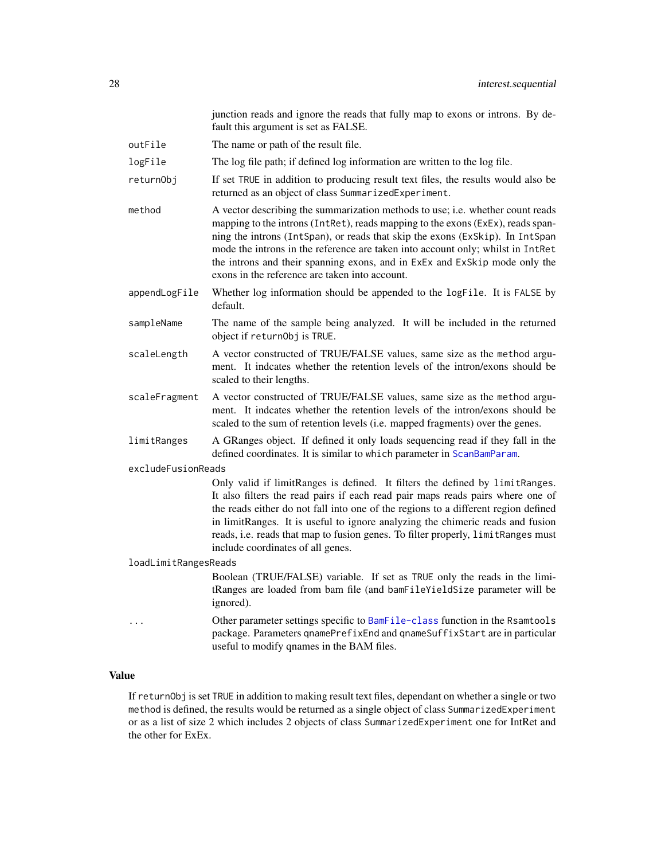junction reads and ignore the reads that fully map to exons or introns. By default this argument is set as FALSE.

<span id="page-27-0"></span>outFile The name or path of the result file.

logFile The log file path; if defined log information are written to the log file.

- returnObj If set TRUE in addition to producing result text files, the results would also be returned as an object of class SummarizedExperiment.
- method A vector describing the summarization methods to use; i.e. whether count reads mapping to the introns (IntRet), reads mapping to the exons (ExEx), reads spanning the introns (IntSpan), or reads that skip the exons (ExSkip). In IntSpan mode the introns in the reference are taken into account only; whilst in IntRet the introns and their spanning exons, and in ExEx and ExSkip mode only the exons in the reference are taken into account.
- appendLogFile Whether log information should be appended to the logFile. It is FALSE by default.
- sampleName The name of the sample being analyzed. It will be included in the returned object if returnObj is TRUE.
- scaleLength A vector constructed of TRUE/FALSE values, same size as the method argument. It indcates whether the retention levels of the intron/exons should be scaled to their lengths.
- scaleFragment A vector constructed of TRUE/FALSE values, same size as the method argument. It indcates whether the retention levels of the intron/exons should be scaled to the sum of retention levels (i.e. mapped fragments) over the genes.
- limitRanges A GRanges object. If defined it only loads sequencing read if they fall in the defined coordinates. It is similar to which parameter in [ScanBamParam](#page-0-0).

excludeFusionReads

Only valid if limitRanges is defined. It filters the defined by limitRanges. It also filters the read pairs if each read pair maps reads pairs where one of the reads either do not fall into one of the regions to a different region defined in limitRanges. It is useful to ignore analyzing the chimeric reads and fusion reads, i.e. reads that map to fusion genes. To filter properly, limitRanges must include coordinates of all genes.

loadLimitRangesReads

Boolean (TRUE/FALSE) variable. If set as TRUE only the reads in the limitRanges are loaded from bam file (and bamFileYieldSize parameter will be ignored).

Other parameter settings specific to [BamFile-class](#page-0-0) function in the Rsamtools package. Parameters qnamePrefixEnd and qnameSuffixStart are in particular useful to modify qnames in the BAM files.

#### Value

If returnObj is set TRUE in addition to making result text files, dependant on whether a single or two method is defined, the results would be returned as a single object of class SummarizedExperiment or as a list of size 2 which includes 2 objects of class SummarizedExperiment one for IntRet and the other for ExEx.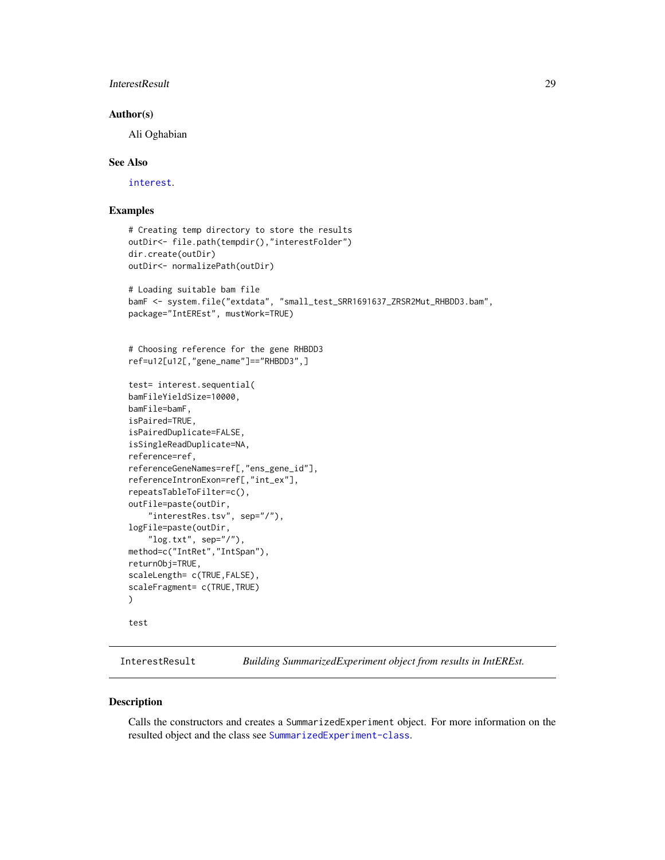# <span id="page-28-0"></span>InterestResult 29

#### Author(s)

Ali Oghabian

#### See Also

[interest](#page-22-1).

### Examples

```
# Creating temp directory to store the results
outDir<- file.path(tempdir(),"interestFolder")
dir.create(outDir)
outDir<- normalizePath(outDir)
# Loading suitable bam file
bamF <- system.file("extdata", "small_test_SRR1691637_ZRSR2Mut_RHBDD3.bam",
package="IntEREst", mustWork=TRUE)
# Choosing reference for the gene RHBDD3
ref=u12[u12[,"gene_name"]=="RHBDD3",]
test= interest.sequential(
bamFileYieldSize=10000,
bamFile=bamF,
isPaired=TRUE,
isPairedDuplicate=FALSE,
isSingleReadDuplicate=NA,
reference=ref,
referenceGeneNames=ref[,"ens_gene_id"],
referenceIntronExon=ref[,"int_ex"],
repeatsTableToFilter=c(),
outFile=paste(outDir,
    "interestRes.tsv", sep="/"),
logFile=paste(outDir,
    "\log.txt", sep="/"),
method=c("IntRet","IntSpan"),
returnObj=TRUE,
scaleLength= c(TRUE, FALSE),
scaleFragment= c(TRUE, TRUE)
\lambdatest
```
<span id="page-28-1"></span>InterestResult *Building SummarizedExperiment object from results in IntEREst.*

#### Description

Calls the constructors and creates a SummarizedExperiment object. For more information on the resulted object and the class see [SummarizedExperiment-class](#page-0-0).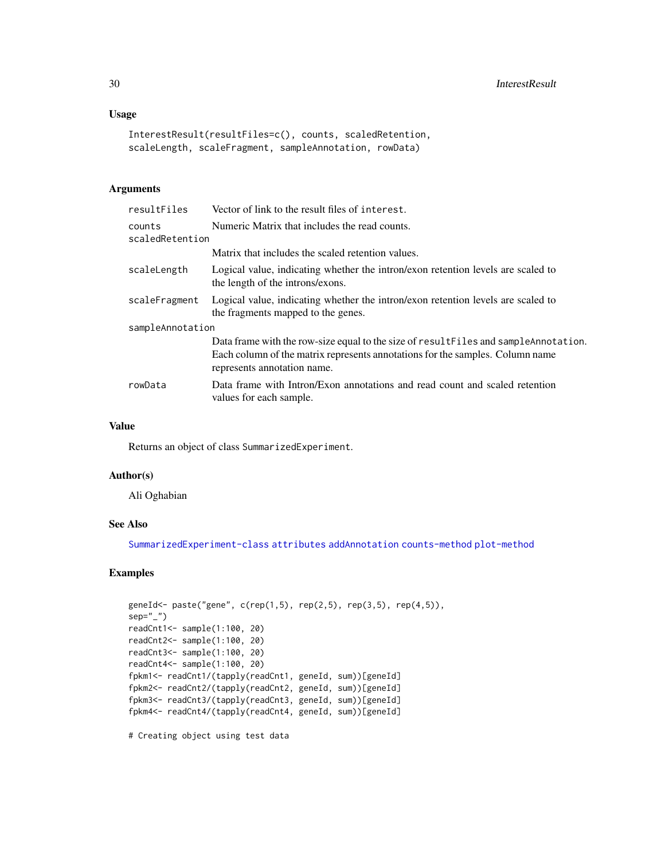# <span id="page-29-0"></span>Usage

```
InterestResult(resultFiles=c(), counts, scaledRetention,
scaleLength, scaleFragment, sampleAnnotation, rowData)
```
### Arguments

| resultFiles               | Vector of link to the result files of interest.                                                                                                                                                       |  |
|---------------------------|-------------------------------------------------------------------------------------------------------------------------------------------------------------------------------------------------------|--|
| counts<br>scaledRetention | Numeric Matrix that includes the read counts.                                                                                                                                                         |  |
|                           | Matrix that includes the scaled retention values.                                                                                                                                                     |  |
| scaleLength               | Logical value, indicating whether the intron/exon retention levels are scaled to<br>the length of the introns/exons.                                                                                  |  |
| scaleFragment             | Logical value, indicating whether the intron/exon retention levels are scaled to<br>the fragments mapped to the genes.                                                                                |  |
| sampleAnnotation          |                                                                                                                                                                                                       |  |
|                           | Data frame with the row-size equal to the size of result Files and sample Annotation.<br>Each column of the matrix represents annotations for the samples. Column name<br>represents annotation name. |  |
| rowData                   | Data frame with Intron/Exon annotations and read count and scaled retention<br>values for each sample.                                                                                                |  |
|                           |                                                                                                                                                                                                       |  |

#### Value

Returns an object of class SummarizedExperiment.

#### Author(s)

Ali Oghabian

#### See Also

[SummarizedExperiment-class](#page-0-0) [attributes](#page-8-2) [addAnnotation](#page-2-1) [counts-method](#page-13-1) [plot-method](#page-39-1)

# Examples

```
geneId<- paste("gene", c(rep(1,5), rep(2,5), rep(3,5), rep(4,5)),
sep="")
readCnt1<- sample(1:100, 20)
readCnt2<- sample(1:100, 20)
readCnt3<- sample(1:100, 20)
readCnt4<- sample(1:100, 20)
fpkm1<- readCnt1/(tapply(readCnt1, geneId, sum))[geneId]
fpkm2<- readCnt2/(tapply(readCnt2, geneId, sum))[geneId]
fpkm3<- readCnt3/(tapply(readCnt3, geneId, sum))[geneId]
fpkm4<- readCnt4/(tapply(readCnt4, geneId, sum))[geneId]
```
# Creating object using test data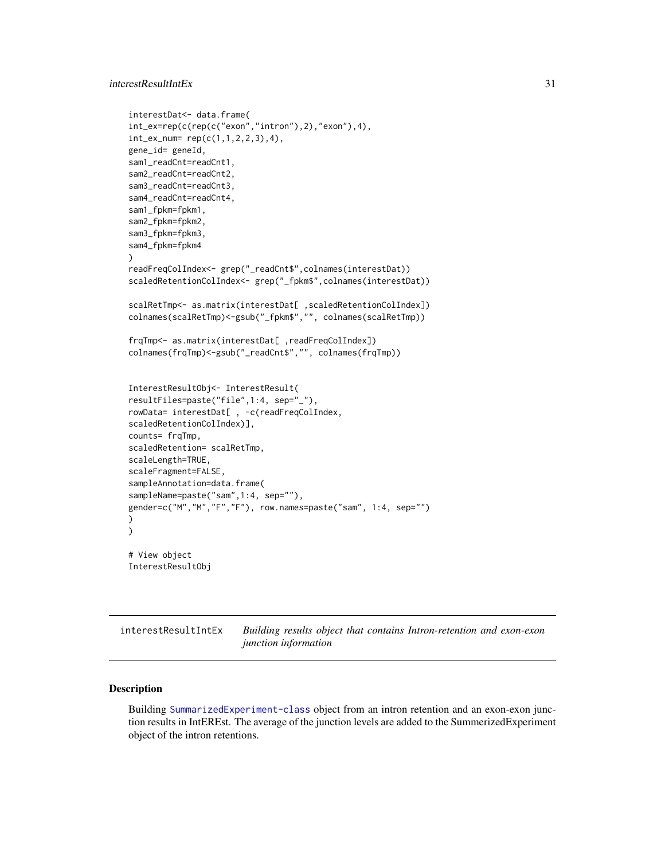# <span id="page-30-0"></span>interestResultIntEx 31

```
interestDat<- data.frame(
int_ex=rep(c(rep(c("exon","intron"),2),"exon"),4),
int_ex_num= rep(c(1,1,2,2,3),4),
gene_id= geneId,
sam1_readCnt=readCnt1,
sam2_readCnt=readCnt2,
sam3_readCnt=readCnt3,
sam4_readCnt=readCnt4,
sam1_fpkm=fpkm1,
sam2_fpkm=fpkm2,
sam3_fpkm=fpkm3,
sam4_fpkm=fpkm4
)
readFreqColIndex<- grep("_readCnt$",colnames(interestDat))
scaledRetentionColIndex<- grep("_fpkm$",colnames(interestDat))
scalRetTmp<- as.matrix(interestDat[ ,scaledRetentionColIndex])
colnames(scalRetTmp)<-gsub("_fpkm$","", colnames(scalRetTmp))
frqTmp<- as.matrix(interestDat[ ,readFreqColIndex])
colnames(frqTmp)<-gsub("_readCnt$","", colnames(frqTmp))
InterestResultObj<- InterestResult(
resultFiles=paste("file",1:4, sep="_"),
rowData= interestDat[ , -c(readFreqColIndex,
scaledRetentionColIndex)],
counts= frqTmp,
scaledRetention= scalRetTmp,
scaleLength=TRUE,
scaleFragment=FALSE,
sampleAnnotation=data.frame(
sampleName=paste("sam",1:4, sep=""),
gender=c("M","M","F","F"), row.names=paste("sam", 1:4, sep="")
)
)
# View object
InterestResultObj
```
<span id="page-30-1"></span>interestResultIntEx *Building results object that contains Intron-retention and exon-exon junction information*

#### Description

Building [SummarizedExperiment-class](#page-0-0) object from an intron retention and an exon-exon junction results in IntEREst. The average of the junction levels are added to the SummerizedExperiment object of the intron retentions.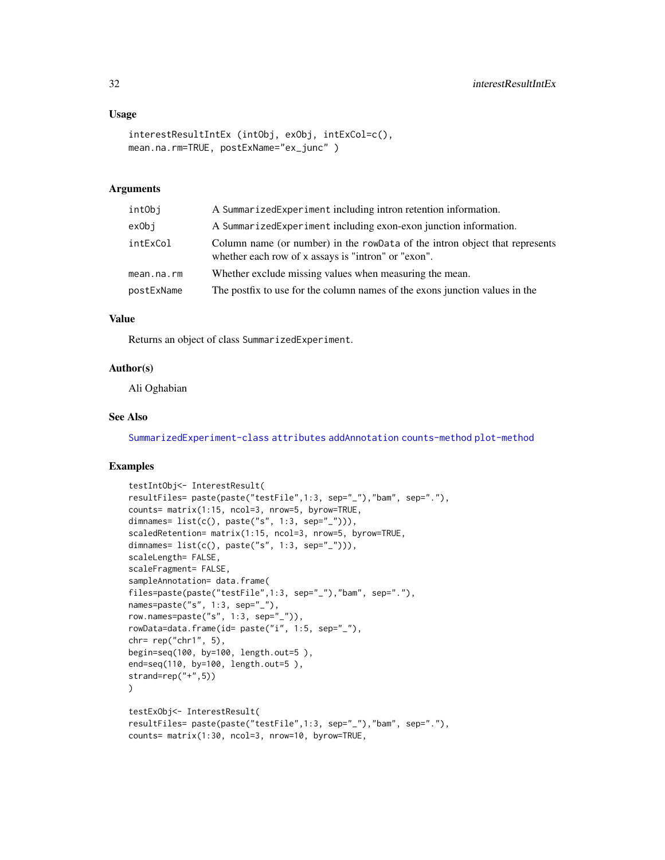#### <span id="page-31-0"></span>Usage

```
interestResultIntEx (intObj, exObj, intExCol=c(),
mean.na.rm=TRUE, postExName="ex_junc" )
```
# Arguments

| A SummarizedExperiment including intron retention information.                                                                     |  |
|------------------------------------------------------------------------------------------------------------------------------------|--|
| A SummarizedExperiment including exon-exon junction information.                                                                   |  |
| Column name (or number) in the rowData of the intron object that represents<br>whether each row of x assays is "intron" or "exon". |  |
| Whether exclude missing values when measuring the mean.                                                                            |  |
| The postfix to use for the column names of the exons junction values in the                                                        |  |
|                                                                                                                                    |  |

### Value

Returns an object of class SummarizedExperiment.

#### Author(s)

Ali Oghabian

# See Also

[SummarizedExperiment-class](#page-0-0) [attributes](#page-8-2) [addAnnotation](#page-2-1) [counts-method](#page-13-1) [plot-method](#page-39-1)

# Examples

```
testIntObj<- InterestResult(
resultFiles= paste(paste("testFile",1:3, sep="_"),"bam", sep="."),
counts= matrix(1:15, ncol=3, nrow=5, byrow=TRUE,
dimnames= list(c(), paste("s", 1:3, sep="_"))),
scaledRetention= matrix(1:15, ncol=3, nrow=5, byrow=TRUE,
dimnames= list(c(), paste("s", 1:3, sep="_"))),
scaleLength= FALSE,
scaleFragment= FALSE,
sampleAnnotation= data.frame(
files=paste(paste("testFile",1:3, sep="_"),"bam", sep="."),
names=paste("s", 1:3, sep="_"),
row.names=paste("s", 1:3, sep="_")),
rowData=data.frame(id= paste("i", 1:5, sep="_"),
chr= rep("chr1", 5),
begin=seq(100, by=100, length.out=5 ),
end=seq(110, by=100, length.out=5 ),
strand=rep("+",5))
)
testExObj<- InterestResult(
resultFiles= paste(paste("testFile",1:3, sep="_"),"bam", sep="."),
counts= matrix(1:30, ncol=3, nrow=10, byrow=TRUE,
```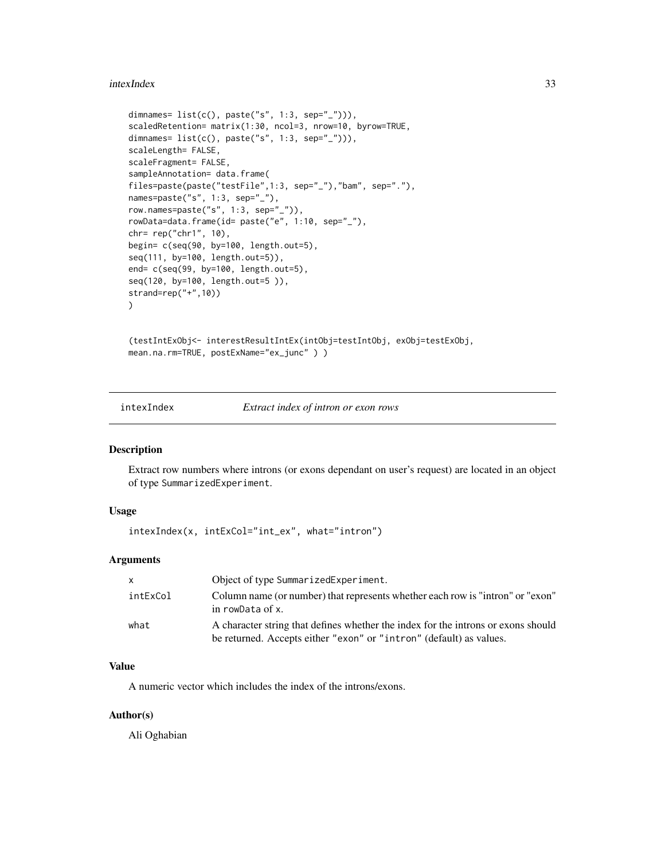#### <span id="page-32-0"></span>intexIndex 33

```
dimnames= list(c(), paste("s", 1:3, sep="_"))),
scaledRetention= matrix(1:30, ncol=3, nrow=10, byrow=TRUE,
dimnames= list(c(), paste("s", 1:3, sep="_"))),
scaleLength= FALSE,
scaleFragment= FALSE,
sampleAnnotation= data.frame(
files=paste(paste("testFile",1:3, sep="_"),"bam", sep="."),
names=paste("s", 1:3, sep="_"),
row.names=paste("s", 1:3, sep="_")),
rowData=data.frame(id= paste("e", 1:10, sep="_"),
chr= rep("chr1", 10),
begin= c(seq(90, by=100, length.out=5),
seq(111, by=100, length.out=5)),
end= c(seq(99, by=100, length.out=5),
seq(120, by=100, length.out=5 )),
strand=rep("+",10))
)
```
(testIntExObj<- interestResultIntEx(intObj=testIntObj, exObj=testExObj, mean.na.rm=TRUE, postExName="ex\_junc" ) )

intexIndex *Extract index of intron or exon rows*

#### Description

Extract row numbers where introns (or exons dependant on user's request) are located in an object of type SummarizedExperiment.

### Usage

```
intexIndex(x, intExCol="int_ex", what="intron")
```
#### Arguments

| X        | Object of type SummarizedExperiment.                                                                                                                     |
|----------|----------------------------------------------------------------------------------------------------------------------------------------------------------|
| intExCol | Column name (or number) that represents whether each row is "intron" or "exon"<br>in rowData of x.                                                       |
| what     | A character string that defines whether the index for the introns or exons should<br>be returned. Accepts either "exon" or "intron" (default) as values. |

# Value

A numeric vector which includes the index of the introns/exons.

#### Author(s)

Ali Oghabian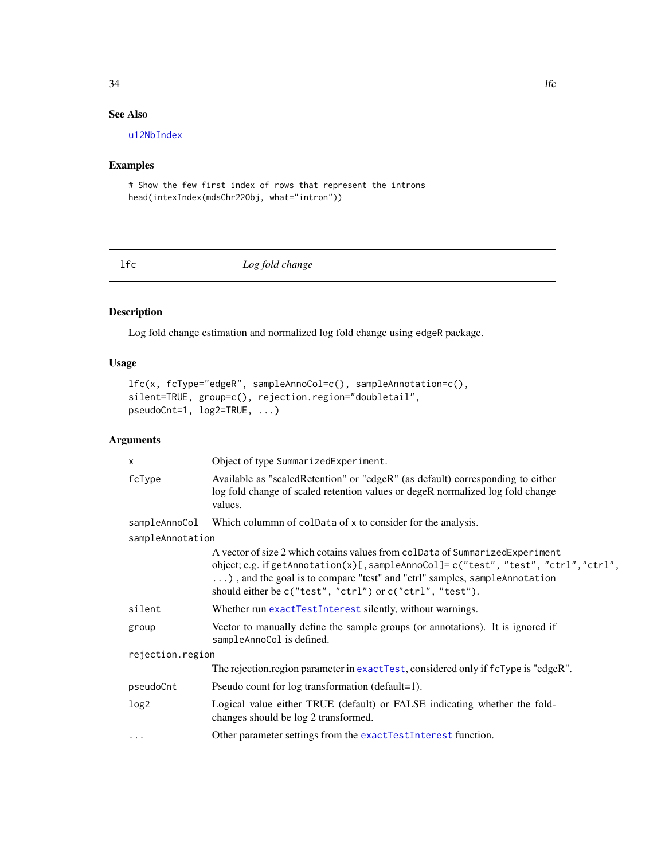# <span id="page-33-0"></span>See Also

[u12NbIndex](#page-61-1)

# Examples

# Show the few first index of rows that represent the introns head(intexIndex(mdsChr22Obj, what="intron"))

<span id="page-33-1"></span>lfc *Log fold change*

# Description

Log fold change estimation and normalized log fold change using edgeR package.

# Usage

```
lfc(x, fcType="edgeR", sampleAnnoCol=c(), sampleAnnotation=c(),
silent=TRUE, group=c(), rejection.region="doubletail",
pseudoCnt=1, log2=TRUE, ...)
```
# Arguments

| Object of type SummarizedExperiment.                                                                                                                                                                                                                                                                          |  |  |
|---------------------------------------------------------------------------------------------------------------------------------------------------------------------------------------------------------------------------------------------------------------------------------------------------------------|--|--|
| Available as "scaledRetention" or "edgeR" (as default) corresponding to either<br>log fold change of scaled retention values or degeR normalized log fold change<br>values.                                                                                                                                   |  |  |
| sampleAnnoCol<br>Which colummn of coldata of x to consider for the analysis.                                                                                                                                                                                                                                  |  |  |
| sampleAnnotation                                                                                                                                                                                                                                                                                              |  |  |
| A vector of size 2 which cotains values from colData of SummarizedExperiment<br>object; e.g. if getAnnotation(x)[, sampleAnnoCol]= c("test", "test", "ctrl", "ctrl",<br>), and the goal is to compare "test" and "ctrl" samples, sampleAnnotation<br>should either be c("test", "ctrl") or c("ctrl", "test"). |  |  |
| Whether run exactTestInterest silently, without warnings.                                                                                                                                                                                                                                                     |  |  |
| Vector to manually define the sample groups (or annotations). It is ignored if<br>sampleAnnoCol is defined.                                                                                                                                                                                                   |  |  |
| rejection.region                                                                                                                                                                                                                                                                                              |  |  |
| The rejection.region parameter in exactTest, considered only if fcType is "edgeR".                                                                                                                                                                                                                            |  |  |
| Pseudo count for log transformation (default=1).                                                                                                                                                                                                                                                              |  |  |
| Logical value either TRUE (default) or FALSE indicating whether the fold-<br>changes should be log 2 transformed.                                                                                                                                                                                             |  |  |
| Other parameter settings from the exactTestInterest function.                                                                                                                                                                                                                                                 |  |  |
|                                                                                                                                                                                                                                                                                                               |  |  |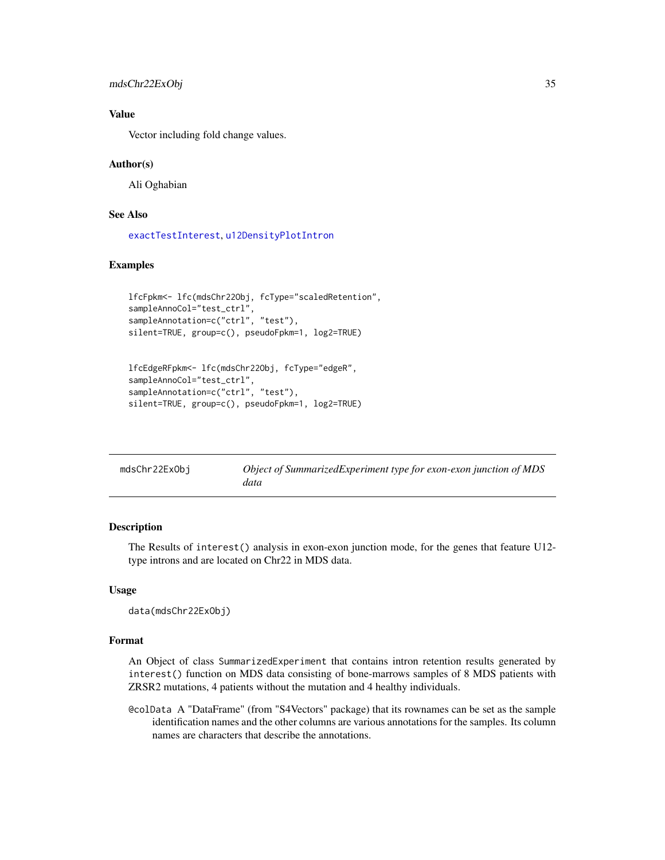```
mdsChr22ExObj 35
```
# Value

Vector including fold change values.

#### Author(s)

Ali Oghabian

# See Also

[exactTestInterest](#page-17-1), [u12DensityPlotIntron](#page-57-1)

### Examples

```
lfcFpkm<- lfc(mdsChr22Obj, fcType="scaledRetention",
sampleAnnoCol="test_ctrl"
sampleAnnotation=c("ctrl", "test"),
silent=TRUE, group=c(), pseudoFpkm=1, log2=TRUE)
```

```
lfcEdgeRFpkm<- lfc(mdsChr22Obj, fcType="edgeR",
sampleAnnoCol="test_ctrl",
sampleAnnotation=c("ctrl", "test"),
silent=TRUE, group=c(), pseudoFpkm=1, log2=TRUE)
```

| mdsChr22ExObi | Object of SummarizedExperiment type for exon-exon junction of MDS |
|---------------|-------------------------------------------------------------------|
|               | data                                                              |

### Description

The Results of interest() analysis in exon-exon junction mode, for the genes that feature U12 type introns and are located on Chr22 in MDS data.

#### Usage

data(mdsChr22ExObj)

# Format

An Object of class SummarizedExperiment that contains intron retention results generated by interest() function on MDS data consisting of bone-marrows samples of 8 MDS patients with ZRSR2 mutations, 4 patients without the mutation and 4 healthy individuals.

@colData A "DataFrame" (from "S4Vectors" package) that its rownames can be set as the sample identification names and the other columns are various annotations for the samples. Its column names are characters that describe the annotations.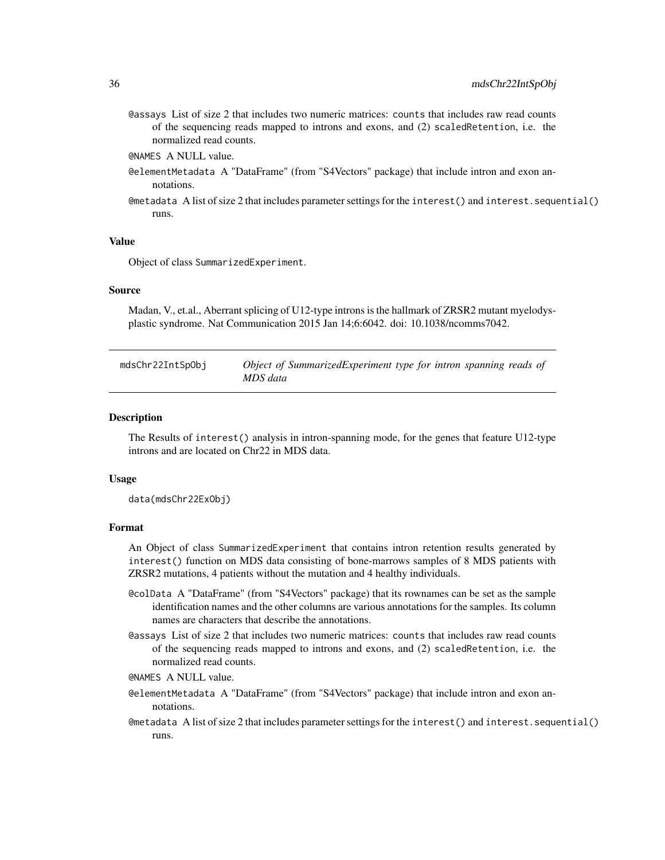<span id="page-35-0"></span>@assays List of size 2 that includes two numeric matrices: counts that includes raw read counts of the sequencing reads mapped to introns and exons, and (2) scaledRetention, i.e. the normalized read counts.

@NAMES A NULL value.

- @elementMetadata A "DataFrame" (from "S4Vectors" package) that include intron and exon annotations.
- @metadata A list of size 2 that includes parameter settings for the interest() and interest.sequential() runs.

#### Value

Object of class SummarizedExperiment.

#### Source

Madan, V., et.al., Aberrant splicing of U12-type introns is the hallmark of ZRSR2 mutant myelodysplastic syndrome. Nat Communication 2015 Jan 14;6:6042. doi: 10.1038/ncomms7042.

| mdsChr22IntSpObj | Object of SummarizedExperiment type for intron spanning reads of |
|------------------|------------------------------------------------------------------|
|                  | MDS data                                                         |

#### **Description**

The Results of interest() analysis in intron-spanning mode, for the genes that feature U12-type introns and are located on Chr22 in MDS data.

#### Usage

data(mdsChr22ExObj)

#### Format

An Object of class SummarizedExperiment that contains intron retention results generated by interest() function on MDS data consisting of bone-marrows samples of 8 MDS patients with ZRSR2 mutations, 4 patients without the mutation and 4 healthy individuals.

- @colData A "DataFrame" (from "S4Vectors" package) that its rownames can be set as the sample identification names and the other columns are various annotations for the samples. Its column names are characters that describe the annotations.
- @assays List of size 2 that includes two numeric matrices: counts that includes raw read counts of the sequencing reads mapped to introns and exons, and (2) scaledRetention, i.e. the normalized read counts.

@NAMES A NULL value.

- @elementMetadata A "DataFrame" (from "S4Vectors" package) that include intron and exon annotations.
- @metadata A list of size 2 that includes parameter settings for the interest() and interest.sequential() runs.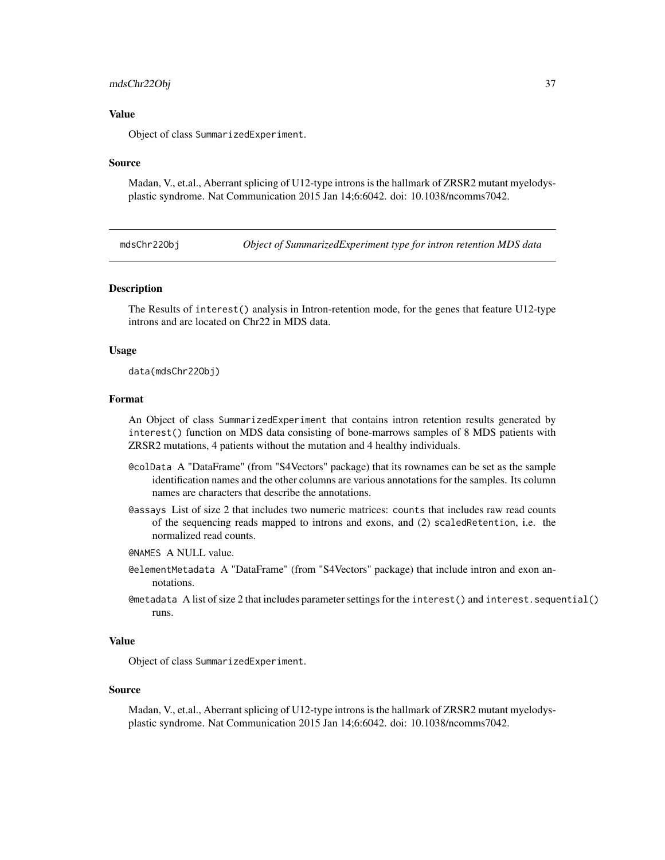#### <span id="page-36-0"></span>mdsChr22Obj 37

#### Value

Object of class SummarizedExperiment.

#### Source

Madan, V., et.al., Aberrant splicing of U12-type introns is the hallmark of ZRSR2 mutant myelodysplastic syndrome. Nat Communication 2015 Jan 14;6:6042. doi: 10.1038/ncomms7042.

mdsChr22Obj *Object of SummarizedExperiment type for intron retention MDS data*

#### **Description**

The Results of interest() analysis in Intron-retention mode, for the genes that feature U12-type introns and are located on Chr22 in MDS data.

#### Usage

data(mdsChr22Obj)

### Format

An Object of class SummarizedExperiment that contains intron retention results generated by interest() function on MDS data consisting of bone-marrows samples of 8 MDS patients with ZRSR2 mutations, 4 patients without the mutation and 4 healthy individuals.

- @colData A "DataFrame" (from "S4Vectors" package) that its rownames can be set as the sample identification names and the other columns are various annotations for the samples. Its column names are characters that describe the annotations.
- @assays List of size 2 that includes two numeric matrices: counts that includes raw read counts of the sequencing reads mapped to introns and exons, and (2) scaledRetention, i.e. the normalized read counts.
- @NAMES A NULL value.
- @elementMetadata A "DataFrame" (from "S4Vectors" package) that include intron and exon annotations.
- @metadata A list of size 2 that includes parameter settings for the interest() and interest.sequential() runs.

#### Value

Object of class SummarizedExperiment.

#### Source

Madan, V., et.al., Aberrant splicing of U12-type introns is the hallmark of ZRSR2 mutant myelodysplastic syndrome. Nat Communication 2015 Jan 14;6:6042. doi: 10.1038/ncomms7042.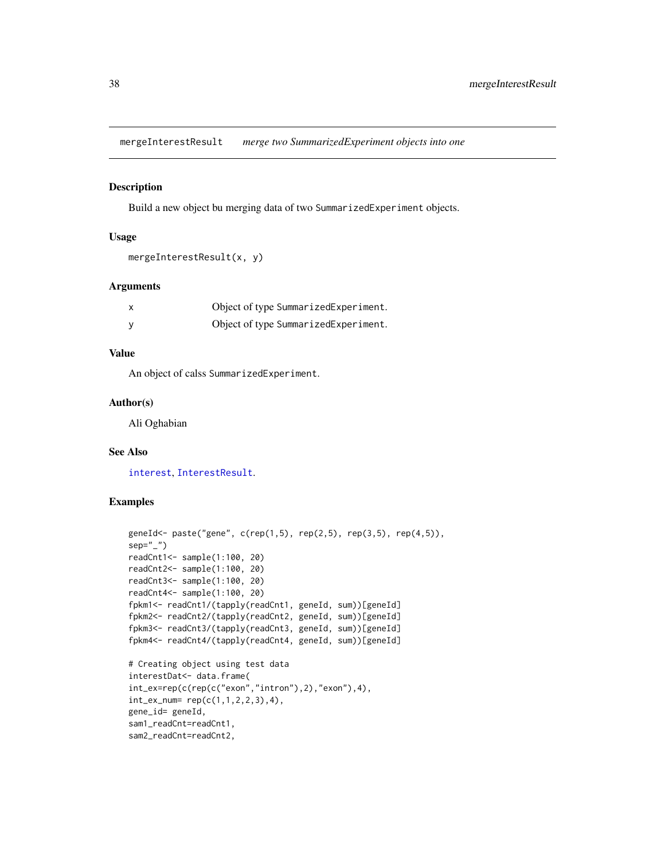<span id="page-37-0"></span>mergeInterestResult *merge two SummarizedExperiment objects into one*

#### Description

Build a new object bu merging data of two SummarizedExperiment objects.

### Usage

```
mergeInterestResult(x, y)
```
# Arguments

| Object of type SummarizedExperiment. |
|--------------------------------------|
| Object of type SummarizedExperiment. |

# Value

An object of calss SummarizedExperiment.

#### Author(s)

Ali Oghabian

# See Also

[interest](#page-22-1), [InterestResult](#page-28-1).

# Examples

```
geneId<- paste("gene", c(rep(1,5), rep(2,5), rep(3,5), rep(4,5)),
sep="_")
readCnt1<- sample(1:100, 20)
readCnt2<- sample(1:100, 20)
readCnt3<- sample(1:100, 20)
readCnt4<- sample(1:100, 20)
fpkm1<- readCnt1/(tapply(readCnt1, geneId, sum))[geneId]
fpkm2<- readCnt2/(tapply(readCnt2, geneId, sum))[geneId]
fpkm3<- readCnt3/(tapply(readCnt3, geneId, sum))[geneId]
fpkm4<- readCnt4/(tapply(readCnt4, geneId, sum))[geneId]
# Creating object using test data
interestDat<- data.frame(
int_ex=rep(c(rep(c("exon","intron"),2),"exon"),4),
int_{ex_{num}} rep(c(1,1,2,2,3),4),
gene_id= geneId,
sam1_readCnt=readCnt1,
sam2_readCnt=readCnt2,
```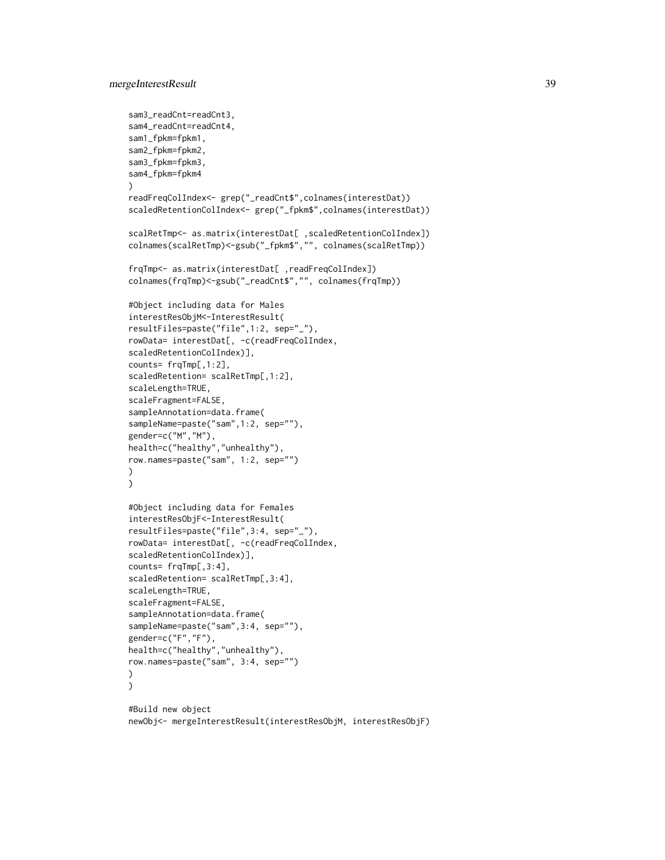```
sam3_readCnt=readCnt3,
sam4_readCnt=readCnt4,
sam1_fpkm=fpkm1,
sam2_fpkm=fpkm2,
sam3_fpkm=fpkm3,
sam4_fpkm=fpkm4
\lambdareadFreqColIndex<- grep("_readCnt$",colnames(interestDat))
scaledRetentionColIndex<- grep("_fpkm$",colnames(interestDat))
scalRetTmp<- as.matrix(interestDat[ ,scaledRetentionColIndex])
colnames(scalRetTmp)<-gsub("_fpkm$","", colnames(scalRetTmp))
frqTmp<- as.matrix(interestDat[ ,readFreqColIndex])
colnames(frqTmp)<-gsub("_readCnt$","", colnames(frqTmp))
#Object including data for Males
interestResObjM<-InterestResult(
resultFiles=paste("file",1:2, sep="_"),
rowData= interestDat[, -c(readFreqColIndex,
scaledRetentionColIndex)],
counts= frqTmp[,1:2],
scaledRetention= scalRetTmp[,1:2],
scaleLength=TRUE,
scaleFragment=FALSE,
sampleAnnotation=data.frame(
sampleName=paste("sam",1:2, sep=""),
gender=c("M","M"),
health=c("healthy","unhealthy"),
row.names=paste("sam", 1:2, sep="")
)
)
#Object including data for Females
interestResObjF<-InterestResult(
resultFiles=paste("file",3:4, sep="_"),
rowData= interestDat[, -c(readFreqColIndex,
scaledRetentionColIndex)],
counts= frqTmp[,3:4],
scaledRetention= scalRetTmp[,3:4],
scaleLength=TRUE,
scaleFragment=FALSE,
sampleAnnotation=data.frame(
sampleName=paste("sam",3:4, sep=""),
gender=c("F","F"),
health=c("healthy","unhealthy"),
row.names=paste("sam", 3:4, sep="")
)
\mathcal{L}#Build new object
```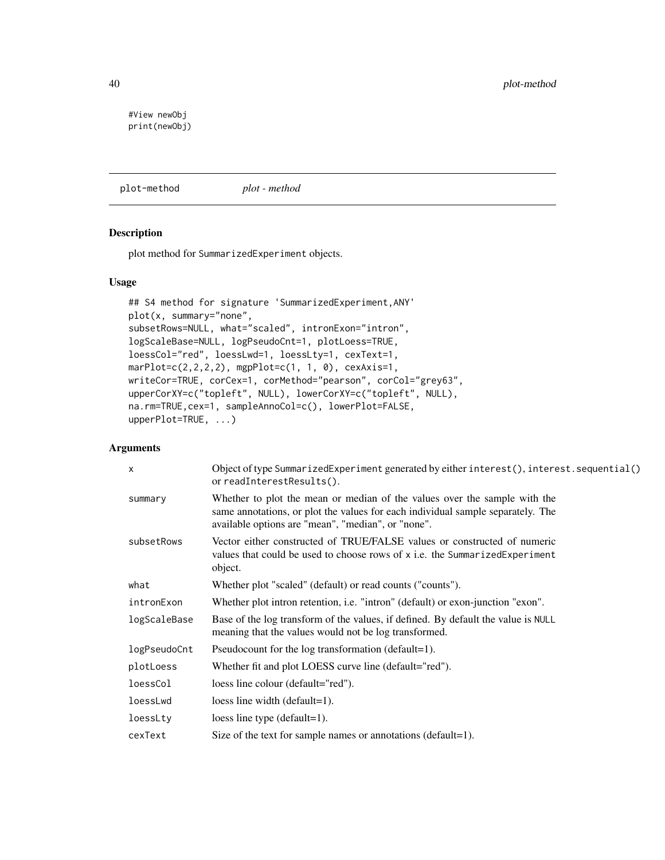<span id="page-39-0"></span>#View newObj print(newObj)

<span id="page-39-1"></span>plot-method *plot - method*

# Description

plot method for SummarizedExperiment objects.

# Usage

```
## S4 method for signature 'SummarizedExperiment,ANY'
plot(x, summary="none",
subsetRows=NULL, what="scaled", intronExon="intron",
logScaleBase=NULL, logPseudoCnt=1, plotLoess=TRUE,
loessCol="red", loessLwd=1, loessLty=1, cexText=1,
marPlot=c(2,2,2,2), mgpPlot=c(1, 1, 0), cexAxis=1,
writeCor=TRUE, corCex=1, corMethod="pearson", corCol="grey63",
upperCorXY=c("topleft", NULL), lowerCorXY=c("topleft", NULL),
na.rm=TRUE,cex=1, sampleAnnoCol=c(), lowerPlot=FALSE,
upperPlot=TRUE, ...)
```
# Arguments

| Object of type SummarizedExperiment generated by either interest(), interest.sequential()<br>or readInterestResults().                                                                                             |
|--------------------------------------------------------------------------------------------------------------------------------------------------------------------------------------------------------------------|
| Whether to plot the mean or median of the values over the sample with the<br>same annotations, or plot the values for each individual sample separately. The<br>available options are "mean", "median", or "none". |
| Vector either constructed of TRUE/FALSE values or constructed of numeric<br>values that could be used to choose rows of x i.e. the SummarizedExperiment<br>object.                                                 |
| Whether plot "scaled" (default) or read counts ("counts").                                                                                                                                                         |
| Whether plot intron retention, i.e. "intron" (default) or exon-junction "exon".                                                                                                                                    |
| Base of the log transform of the values, if defined. By default the value is NULL<br>meaning that the values would not be log transformed.                                                                         |
| Pseudocount for the log transformation (default=1).                                                                                                                                                                |
| Whether fit and plot LOESS curve line (default="red").                                                                                                                                                             |
| loess line colour (default="red").                                                                                                                                                                                 |
| loess line width $(default=1)$ .                                                                                                                                                                                   |
| loess line type $(detault=1)$ .                                                                                                                                                                                    |
| Size of the text for sample names or annotations (default=1).                                                                                                                                                      |
|                                                                                                                                                                                                                    |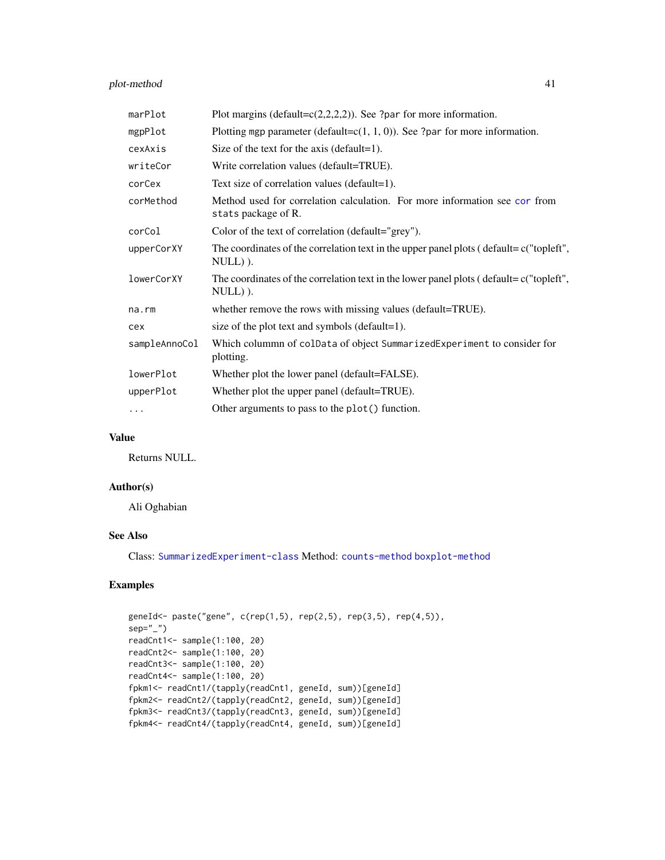# <span id="page-40-0"></span>plot-method 41

| marPlot       | Plot margins (default= $c(2,2,2,2)$ ). See ?par for more information.                                  |
|---------------|--------------------------------------------------------------------------------------------------------|
| mgpPlot       | Plotting mgp parameter (default= $c(1, 1, 0)$ ). See ?par for more information.                        |
| cexAxis       | Size of the text for the axis (default=1).                                                             |
| writeCor      | Write correlation values (default=TRUE).                                                               |
| corCex        | Text size of correlation values (default=1).                                                           |
| corMethod     | Method used for correlation calculation. For more information see cor from<br>stats package of R.      |
| corCol        | Color of the text of correlation (default="grey").                                                     |
| upperCorXY    | The coordinates of the correlation text in the upper panel plots ( $delta = c("toplet",$<br>$NULL)$ ). |
| lowerCorXY    | The coordinates of the correlation text in the lower panel plots (default=c("topleft",<br>$NULL)$ ).   |
| $na$ . $rm$   | whether remove the rows with missing values (default=TRUE).                                            |
| cex           | size of the plot text and symbols (default=1).                                                         |
| sampleAnnoCol | Which colummn of colData of object SummarizedExperiment to consider for<br>plotting.                   |
| lowerPlot     | Whether plot the lower panel (default=FALSE).                                                          |
| upperPlot     | Whether plot the upper panel (default=TRUE).                                                           |
| $\cdots$      | Other arguments to pass to the plot() function.                                                        |

#### Value

Returns NULL.

#### Author(s)

Ali Oghabian

# See Also

Class: [SummarizedExperiment-class](#page-0-0) Method: [counts-method](#page-13-1) [boxplot-method](#page-9-1)

# Examples

```
geneId<- paste("gene", c(rep(1,5), rep(2,5), rep(3,5), rep(4,5)),
sep="1"readCnt1<- sample(1:100, 20)
readCnt2<- sample(1:100, 20)
readCnt3<- sample(1:100, 20)
readCnt4<- sample(1:100, 20)
fpkm1<- readCnt1/(tapply(readCnt1, geneId, sum))[geneId]
fpkm2<- readCnt2/(tapply(readCnt2, geneId, sum))[geneId]
fpkm3<- readCnt3/(tapply(readCnt3, geneId, sum))[geneId]
fpkm4<- readCnt4/(tapply(readCnt4, geneId, sum))[geneId]
```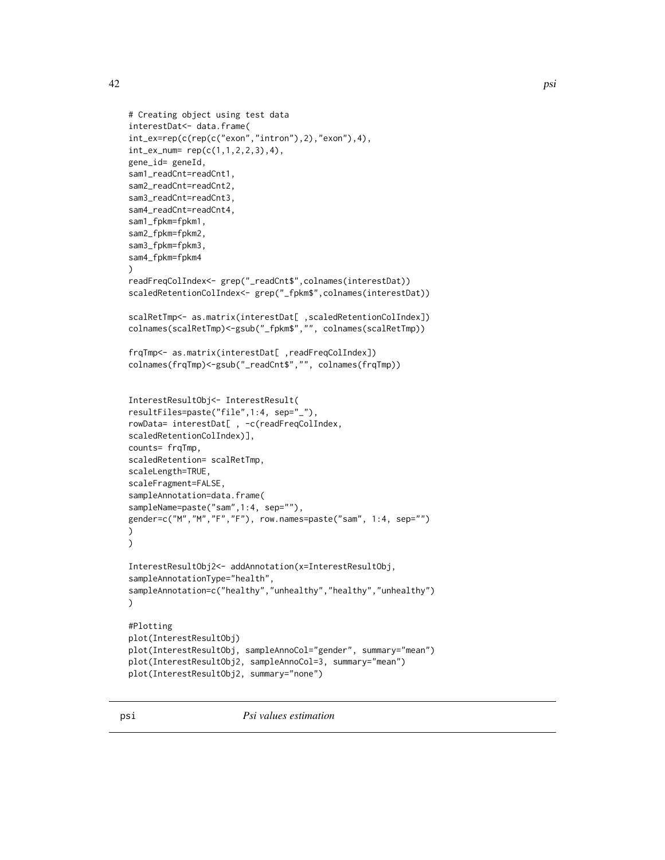<span id="page-41-0"></span>

```
# Creating object using test data
interestDat<- data.frame(
int_ex=rep(c(rep(c("exon","intron"),2),"exon"),4),
int_{ex_{num}} rep(c(1,1,2,2,3),4),
gene_id= geneId,
sam1_readCnt=readCnt1,
sam2_readCnt=readCnt2,
sam3_readCnt=readCnt3,
sam4_readCnt=readCnt4,
sam1_fpkm=fpkm1,
sam2_fpkm=fpkm2,
sam3_fpkm=fpkm3,
sam4_fpkm=fpkm4
)
readFreqColIndex<- grep("_readCnt$",colnames(interestDat))
scaledRetentionColIndex<- grep("_fpkm$",colnames(interestDat))
scalRetTmp<- as.matrix(interestDat[ ,scaledRetentionColIndex])
colnames(scalRetTmp)<-gsub("_fpkm$","", colnames(scalRetTmp))
frqTmp<- as.matrix(interestDat[ ,readFreqColIndex])
colnames(frqTmp)<-gsub("_readCnt$","", colnames(frqTmp))
InterestResultObj<- InterestResult(
resultFiles=paste("file",1:4, sep="_"),
rowData= interestDat[ , -c(readFreqColIndex,
scaledRetentionColIndex)],
counts= frqTmp,
scaledRetention= scalRetTmp,
scaleLength=TRUE,
scaleFragment=FALSE,
sampleAnnotation=data.frame(
sampleName=paste("sam",1:4, sep=""),
gender=c("M","M","F","F"), row.names=paste("sam", 1:4, sep="")
\mathcal{L}\lambdaInterestResultObj2<- addAnnotation(x=InterestResultObj,
sampleAnnotationType="health",
sampleAnnotation=c("healthy","unhealthy","healthy","unhealthy")
)
#Plotting
plot(InterestResultObj)
plot(InterestResultObj, sampleAnnoCol="gender", summary="mean")
plot(InterestResultObj2, sampleAnnoCol=3, summary="mean")
plot(InterestResultObj2, summary="none")
```
psi *Psi values estimation*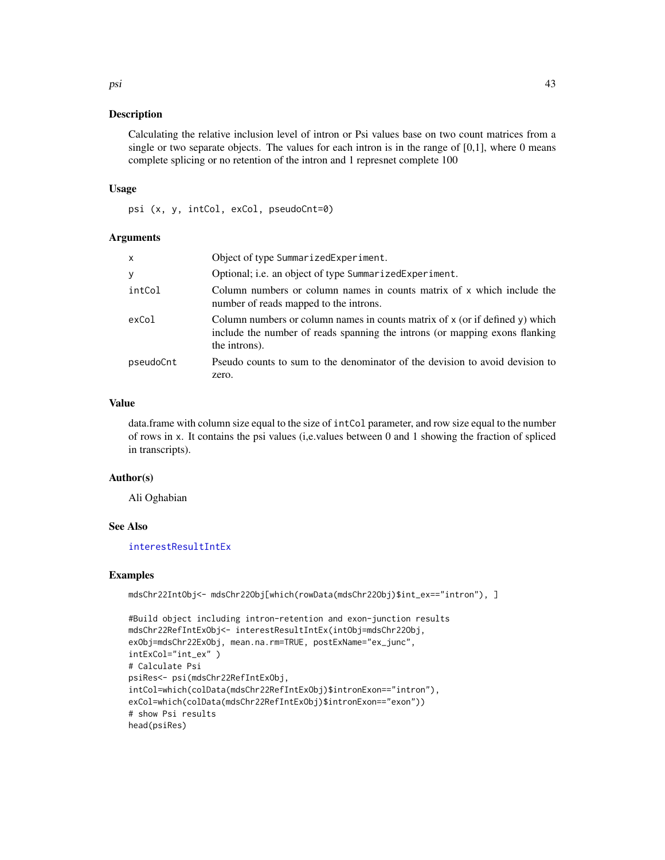Calculating the relative inclusion level of intron or Psi values base on two count matrices from a single or two separate objects. The values for each intron is in the range of  $[0,1]$ , where 0 means complete splicing or no retention of the intron and 1 represnet complete 100

#### Usage

psi (x, y, intCol, exCol, pseudoCnt=0)

#### Arguments

| X         | Object of type SummarizedExperiment.                                                                                                                                         |
|-----------|------------------------------------------------------------------------------------------------------------------------------------------------------------------------------|
| У         | Optional; i.e. an object of type SummarizedExperiment.                                                                                                                       |
| intCol    | Column numbers or column names in counts matrix of x which include the<br>number of reads mapped to the introns.                                                             |
| exCol     | Column numbers or column names in counts matrix of x (or if defined y) which<br>include the number of reads spanning the introns (or mapping exons flanking<br>the introns). |
| pseudoCnt | Pseudo counts to sum to the denominator of the devision to avoid devision to<br>zero.                                                                                        |

# Value

data.frame with column size equal to the size of intCol parameter, and row size equal to the number of rows in x. It contains the psi values (i,e.values between 0 and 1 showing the fraction of spliced in transcripts).

#### Author(s)

Ali Oghabian

#### See Also

[interestResultIntEx](#page-30-1)

#### Examples

mdsChr22IntObj<- mdsChr22Obj[which(rowData(mdsChr22Obj)\$int\_ex=="intron"), ]

```
#Build object including intron-retention and exon-junction results
mdsChr22RefIntExObj<- interestResultIntEx(intObj=mdsChr22Obj,
exObj=mdsChr22ExObj, mean.na.rm=TRUE, postExName="ex_junc",
intExCol="int_ex" )
# Calculate Psi
psiRes<- psi(mdsChr22RefIntExObj,
intCol=which(colData(mdsChr22RefIntExObj)$intronExon=="intron"),
exCol=which(colData(mdsChr22RefIntExObj)$intronExon=="exon"))
# show Psi results
head(psiRes)
```
<span id="page-42-0"></span>psi 43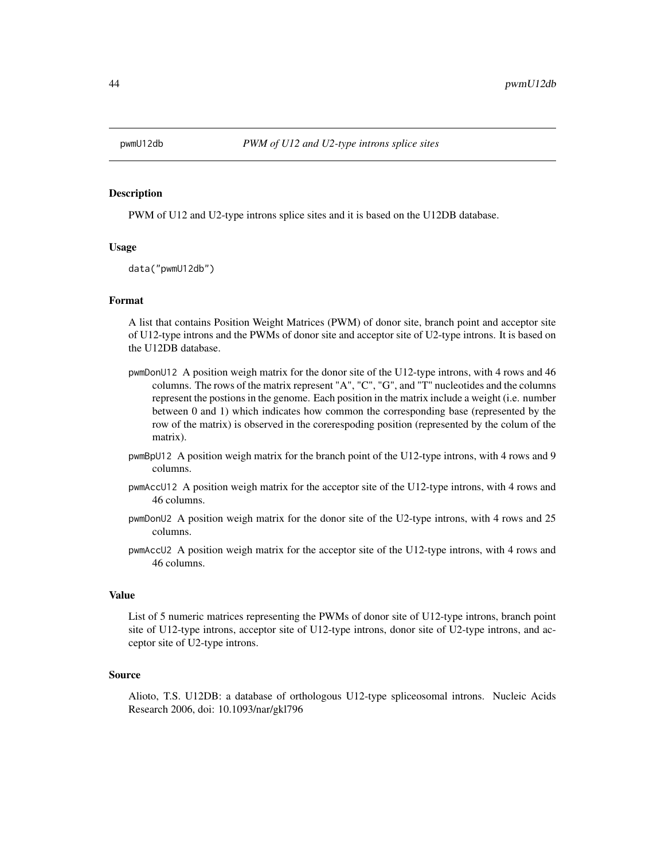<span id="page-43-0"></span>

PWM of U12 and U2-type introns splice sites and it is based on the U12DB database.

#### Usage

data("pwmU12db")

#### Format

A list that contains Position Weight Matrices (PWM) of donor site, branch point and acceptor site of U12-type introns and the PWMs of donor site and acceptor site of U2-type introns. It is based on the U12DB database.

- pwmDonU12 A position weigh matrix for the donor site of the U12-type introns, with 4 rows and 46 columns. The rows of the matrix represent "A", "C", "G", and "T" nucleotides and the columns represent the postions in the genome. Each position in the matrix include a weight (i.e. number between 0 and 1) which indicates how common the corresponding base (represented by the row of the matrix) is observed in the corerespoding position (represented by the colum of the matrix).
- pwmBpU12 A position weigh matrix for the branch point of the U12-type introns, with 4 rows and 9 columns.
- pwmAccU12 A position weigh matrix for the acceptor site of the U12-type introns, with 4 rows and 46 columns.
- pwmDonU2 A position weigh matrix for the donor site of the U2-type introns, with 4 rows and 25 columns.
- pwmAccU2 A position weigh matrix for the acceptor site of the U12-type introns, with 4 rows and 46 columns.

#### Value

List of 5 numeric matrices representing the PWMs of donor site of U12-type introns, branch point site of U12-type introns, acceptor site of U12-type introns, donor site of U2-type introns, and acceptor site of U2-type introns.

#### Source

Alioto, T.S. U12DB: a database of orthologous U12-type spliceosomal introns. Nucleic Acids Research 2006, doi: 10.1093/nar/gkl796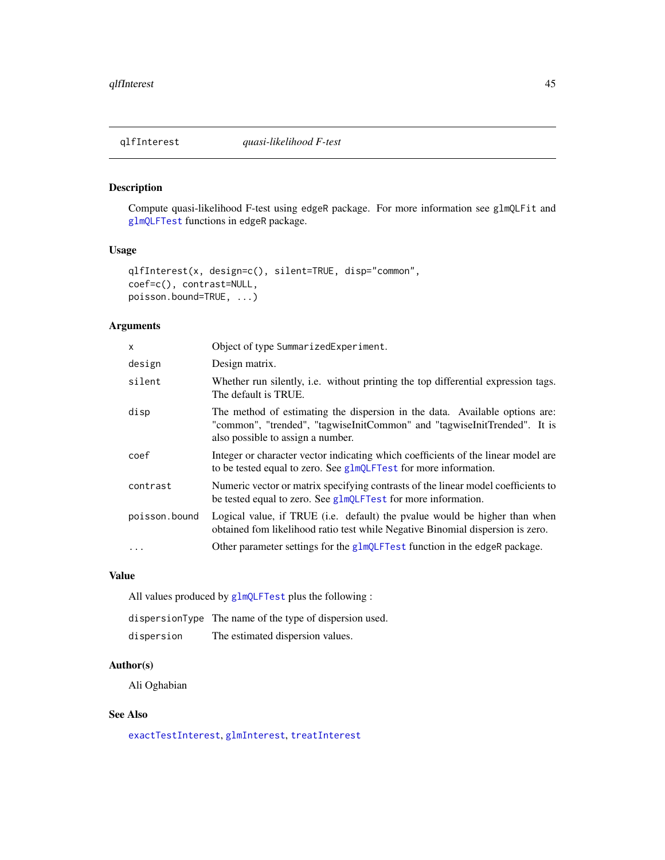<span id="page-44-1"></span><span id="page-44-0"></span>

Compute quasi-likelihood F-test using edgeR package. For more information see glmQLFit and [glmQLFTest](#page-0-0) functions in edgeR package.

# Usage

```
qlfInterest(x, design=c(), silent=TRUE, disp="common",
coef=c(), contrast=NULL,
poisson.bound=TRUE, ...)
```
#### Arguments

| x             | Object of type SummarizedExperiment.                                                                                                                                                         |
|---------------|----------------------------------------------------------------------------------------------------------------------------------------------------------------------------------------------|
| design        | Design matrix.                                                                                                                                                                               |
| silent        | Whether run silently, i.e. without printing the top differential expression tags.<br>The default is TRUE.                                                                                    |
| disp          | The method of estimating the dispersion in the data. Available options are:<br>"common", "trended", "tagwiseInitCommon" and "tagwiseInitTrended". It is<br>also possible to assign a number. |
| coef          | Integer or character vector indicating which coefficients of the linear model are<br>to be tested equal to zero. See glmQLFTest for more information.                                        |
| contrast      | Numeric vector or matrix specifying contrasts of the linear model coefficients to<br>be tested equal to zero. See glmQLFTest for more information.                                           |
| poisson.bound | Logical value, if TRUE (i.e. default) the pvalue would be higher than when<br>obtained fom likelihood ratio test while Negative Binomial dispersion is zero.                                 |
| $\ddots$ .    | Other parameter settings for the glmQLFTest function in the edgeR package.                                                                                                                   |

#### Value

All values produced by [glmQLFTest](#page-0-0) plus the following :

dispersionType The name of the type of dispersion used. dispersion The estimated dispersion values.

#### Author(s)

Ali Oghabian

# See Also

[exactTestInterest](#page-17-1), [glmInterest](#page-21-1), [treatInterest](#page-52-1)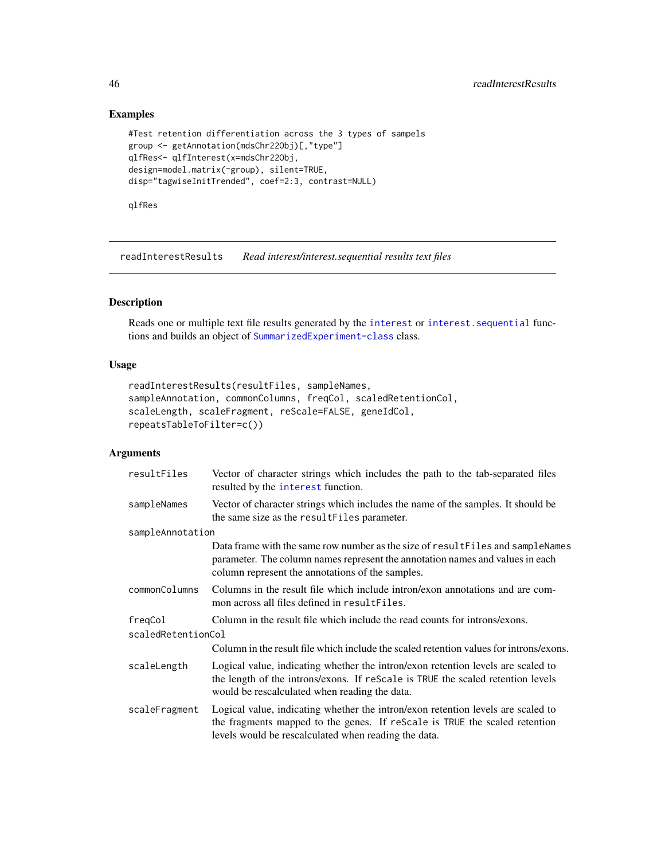# Examples

```
#Test retention differentiation across the 3 types of sampels
group <- getAnnotation(mdsChr22Obj)[,"type"]
qlfRes<- qlfInterest(x=mdsChr22Obj,
design=model.matrix(~group), silent=TRUE,
disp="tagwiseInitTrended", coef=2:3, contrast=NULL)
```
qlfRes

<span id="page-45-1"></span>readInterestResults *Read interest/interest.sequential results text files*

### Description

Reads one or multiple text file results generated by the [interest](#page-22-1) or interest. sequential functions and builds an object of [SummarizedExperiment-class](#page-0-0) class.

# Usage

```
readInterestResults(resultFiles, sampleNames,
sampleAnnotation, commonColumns, freqCol, scaledRetentionCol,
scaleLength, scaleFragment, reScale=FALSE, geneIdCol,
repeatsTableToFilter=c())
```
# Arguments

| resultFiles                   | Vector of character strings which includes the path to the tab-separated files<br>resulted by the interest function.                                                                                                   |  |
|-------------------------------|------------------------------------------------------------------------------------------------------------------------------------------------------------------------------------------------------------------------|--|
| sampleNames                   | Vector of character strings which includes the name of the samples. It should be<br>the same size as the resultFiles parameter.                                                                                        |  |
| sampleAnnotation              |                                                                                                                                                                                                                        |  |
|                               | Data frame with the same row number as the size of result Files and sample Names<br>parameter. The column names represent the annotation names and values in each<br>column represent the annotations of the samples.  |  |
| commonColumns                 | Columns in the result file which include intron/exon annotations and are com-<br>mon across all files defined in resultFiles.                                                                                          |  |
| freqCol<br>scaledRetentionCol | Column in the result file which include the read counts for introns/exons.                                                                                                                                             |  |
|                               | Column in the result file which include the scaled retention values for introns/exons.                                                                                                                                 |  |
| scaleLength                   | Logical value, indicating whether the intron/exon retention levels are scaled to<br>the length of the introns/exons. If reScale is TRUE the scaled retention levels<br>would be rescalculated when reading the data.   |  |
| scaleFragment                 | Logical value, indicating whether the intron/exon retention levels are scaled to<br>the fragments mapped to the genes. If reScale is TRUE the scaled retention<br>levels would be rescalculated when reading the data. |  |

<span id="page-45-0"></span>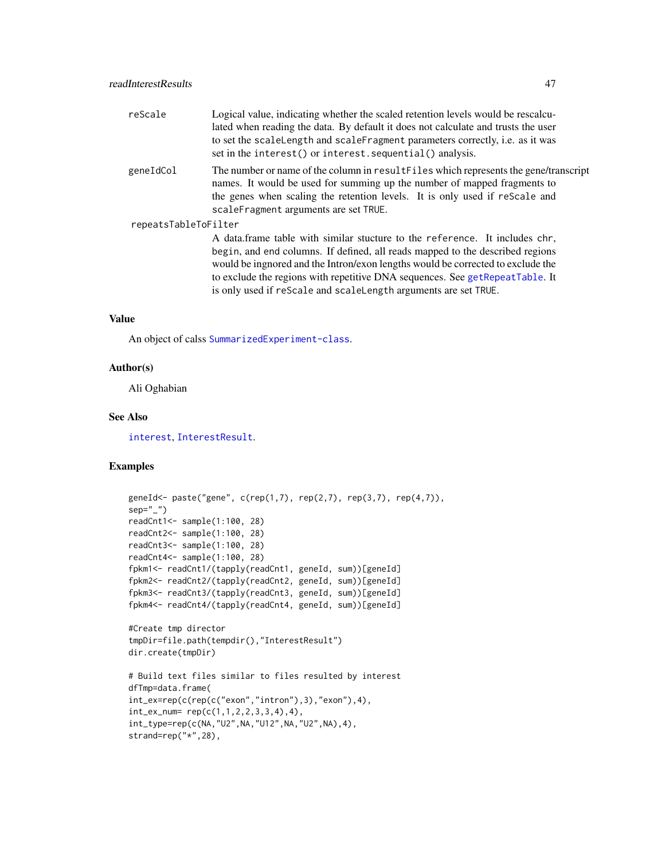<span id="page-46-0"></span>

| reScale              | Logical value, indicating whether the scaled retention levels would be rescalcu-<br>lated when reading the data. By default it does not calculate and trusts the user<br>to set the scaleLength and scaleFragment parameters correctly, i.e. as it was<br>set in the interest() or interest. sequential() analysis.                                                                                |  |
|----------------------|----------------------------------------------------------------------------------------------------------------------------------------------------------------------------------------------------------------------------------------------------------------------------------------------------------------------------------------------------------------------------------------------------|--|
| geneIdCol            | The number or name of the column in result Files which represents the gene/transcript<br>names. It would be used for summing up the number of mapped fragments to<br>the genes when scaling the retention levels. It is only used if rescale and<br>scaleFragment arguments are set TRUE.                                                                                                          |  |
| repeatsTableToFilter |                                                                                                                                                                                                                                                                                                                                                                                                    |  |
|                      | A data frame table with similar stucture to the reference. It includes chr,<br>begin, and end columns. If defined, all reads mapped to the described regions<br>would be ingnored and the Intron/exon lengths would be corrected to exclude the<br>to exclude the regions with repetitive DNA sequences. See getRepeatTable. It<br>is only used if reScale and scaleLength arguments are set TRUE. |  |

# Value

An object of calss [SummarizedExperiment-class](#page-0-0).

### Author(s)

Ali Oghabian

# See Also

[interest](#page-22-1), [InterestResult](#page-28-1).

# Examples

```
geneId<- paste("gene", c(rep(1,7), rep(2,7), rep(3,7), rep(4,7)),
sep="1"readCnt1<- sample(1:100, 28)
readCnt2<- sample(1:100, 28)
readCnt3<- sample(1:100, 28)
readCnt4<- sample(1:100, 28)
fpkm1<- readCnt1/(tapply(readCnt1, geneId, sum))[geneId]
fpkm2<- readCnt2/(tapply(readCnt2, geneId, sum))[geneId]
fpkm3<- readCnt3/(tapply(readCnt3, geneId, sum))[geneId]
fpkm4<- readCnt4/(tapply(readCnt4, geneId, sum))[geneId]
#Create tmp director
tmpDir=file.path(tempdir(),"InterestResult")
dir.create(tmpDir)
# Build text files similar to files resulted by interest
dfTmp=data.frame(
int_ex=rep(c(rep(c("exon","intron"),3),"exon"),4),
int_{ex_{num}} rep(c(1,1,2,2,3,3,4),4),
int_type=rep(c(NA,"U2",NA,"U12",NA,"U2",NA),4),
strand=rep("*",28),
```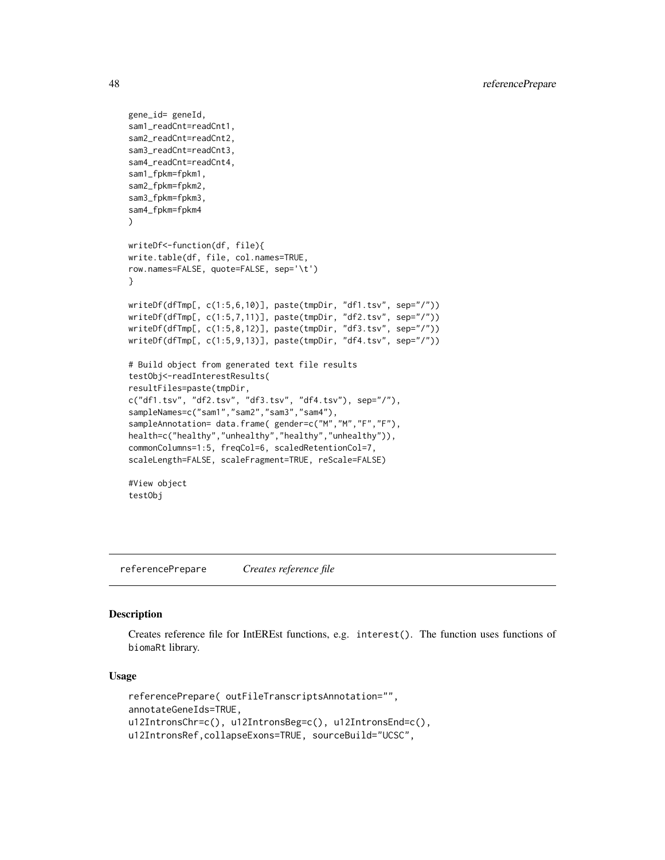```
gene_id= geneId,
sam1_readCnt=readCnt1,
sam2_readCnt=readCnt2,
sam3_readCnt=readCnt3,
sam4_readCnt=readCnt4,
sam1_fpkm=fpkm1,
sam2_fpkm=fpkm2,
sam3_fpkm=fpkm3,
sam4_fpkm=fpkm4
)
writeDf<-function(df, file){
write.table(df, file, col.names=TRUE,
row.names=FALSE, quote=FALSE, sep='\t')
}
writeDf(dfTmp[, c(1:5,6,10)], paste(tmpDir, "df1.tsv", sep="/"))
writeDf(dfTmp[, c(1:5,7,11)], paste(tmpDir, "df2.tsv", sep="/"))
writeDf(dfTmp[, c(1:5,8,12)], paste(tmpDir, "df3.tsv", sep="/"))
writeDf(dfTmp[, c(1:5,9,13)], paste(tmpDir, "df4.tsv", sep="/"))
# Build object from generated text file results
testObj<-readInterestResults(
resultFiles=paste(tmpDir,
c("df1.tsv", "df2.tsv", "df3.tsv", "df4.tsv"), sep="/"),
sampleNames=c("sam1","sam2","sam3","sam4"),
sampleAnnotation= data.frame( gender=c("M","M","F","F"),
health=c("healthy","unhealthy","healthy","unhealthy")),
commonColumns=1:5, freqCol=6, scaledRetentionCol=7,
scaleLength=FALSE, scaleFragment=TRUE, reScale=FALSE)
#View object
testObj
```
<span id="page-47-1"></span>referencePrepare *Creates reference file*

# **Description**

Creates reference file for IntEREst functions, e.g. interest(). The function uses functions of biomaRt library.

#### Usage

```
referencePrepare( outFileTranscriptsAnnotation="",
annotateGeneIds=TRUE,
u12IntronsChr=c(), u12IntronsBeg=c(), u12IntronsEnd=c(),
u12IntronsRef,collapseExons=TRUE, sourceBuild="UCSC",
```
<span id="page-47-0"></span>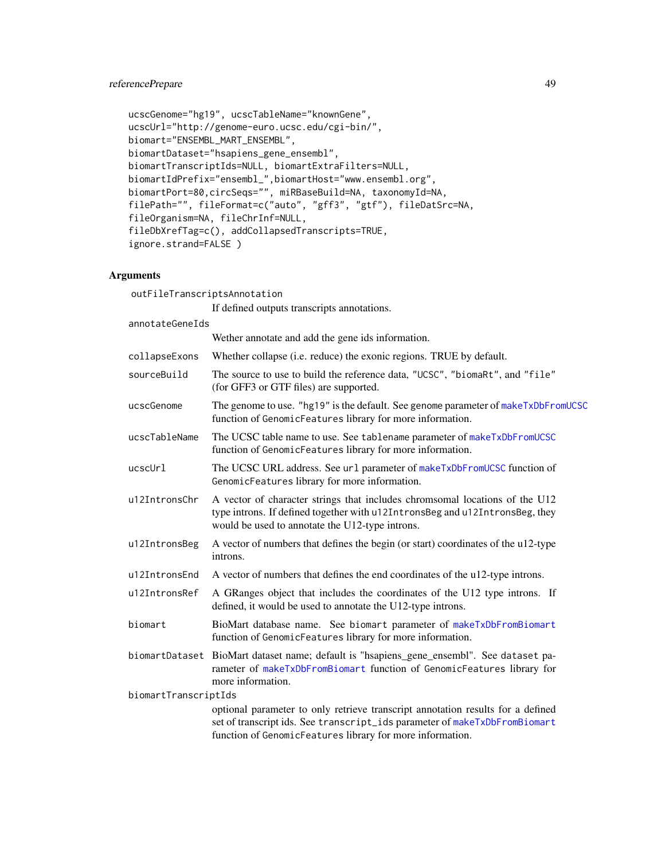# <span id="page-48-0"></span>referencePrepare 49

```
ucscGenome="hg19", ucscTableName="knownGene",
ucscUrl="http://genome-euro.ucsc.edu/cgi-bin/",
biomart="ENSEMBL_MART_ENSEMBL",
biomartDataset="hsapiens_gene_ensembl",
biomartTranscriptIds=NULL, biomartExtraFilters=NULL,
biomartIdPrefix="ensembl_",biomartHost="www.ensembl.org",
biomartPort=80,circSeqs="", miRBaseBuild=NA, taxonomyId=NA,
filePath="", fileFormat=c("auto", "gff3", "gtf"), fileDatSrc=NA,
fileOrganism=NA, fileChrInf=NULL,
fileDbXrefTag=c(), addCollapsedTranscripts=TRUE,
ignore.strand=FALSE )
```
# Arguments

outFileTranscriptsAnnotation If defined outputs transcripts annotations. annotateGeneIds Wether annotate and add the gene ids information. collapseExons Whether collapse (i.e. reduce) the exonic regions. TRUE by default. sourceBuild The source to use to build the reference data, "UCSC", "biomaRt", and "file" (for GFF3 or GTF files) are supported. ucscGenome The genome to use. "hg19" is the default. See genome parameter of [makeTxDbFromUCSC](#page-0-0) function of GenomicFeatures library for more information. ucscTableName The UCSC table name to use. See tablename parameter of [makeTxDbFromUCSC](#page-0-0) function of GenomicFeatures library for more information. ucscUrl The UCSC URL address. See url parameter of [makeTxDbFromUCSC](#page-0-0) function of GenomicFeatures library for more information. u12IntronsChr A vector of character strings that includes chromsomal locations of the U12 type introns. If defined together with u12IntronsBeg and u12IntronsBeg, they would be used to annotate the U12-type introns. u12IntronsBeg A vector of numbers that defines the begin (or start) coordinates of the u12-type introns. u12IntronsEnd A vector of numbers that defines the end coordinates of the u12-type introns. u12IntronsRef A GRanges object that includes the coordinates of the U12 type introns. If defined, it would be used to annotate the U12-type introns. biomart BioMart database name. See biomart parameter of [makeTxDbFromBiomart](#page-0-0) function of GenomicFeatures library for more information. biomartDataset BioMart dataset name; default is "hsapiens\_gene\_ensembl". See dataset parameter of [makeTxDbFromBiomart](#page-0-0) function of GenomicFeatures library for more information. biomartTranscriptIds optional parameter to only retrieve transcript annotation results for a defined set of transcript ids. See transcript\_ids parameter of [makeTxDbFromBiomart](#page-0-0) function of GenomicFeatures library for more information.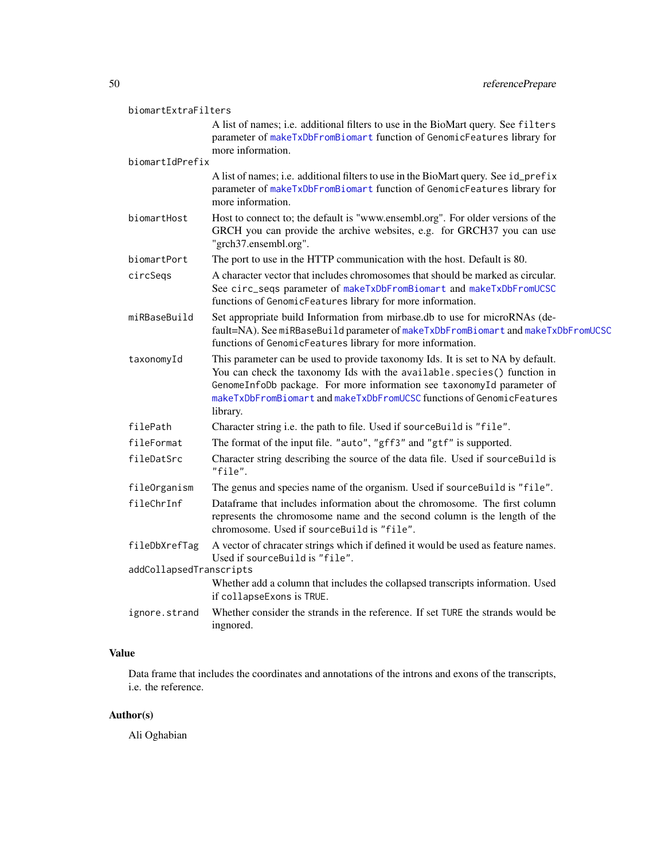<span id="page-49-0"></span>

| biomartExtraFilters                      |                                                                                                                                                                                                                                                                                                                            |
|------------------------------------------|----------------------------------------------------------------------------------------------------------------------------------------------------------------------------------------------------------------------------------------------------------------------------------------------------------------------------|
|                                          | A list of names; i.e. additional filters to use in the BioMart query. See filters<br>parameter of makeTxDbFromBiomart function of GenomicFeatures library for<br>more information.                                                                                                                                         |
| biomartIdPrefix                          |                                                                                                                                                                                                                                                                                                                            |
|                                          | A list of names; i.e. additional filters to use in the BioMart query. See id_prefix<br>parameter of makeTxDbFromBiomart function of GenomicFeatures library for<br>more information.                                                                                                                                       |
| biomartHost                              | Host to connect to; the default is "www.ensembl.org". For older versions of the<br>GRCH you can provide the archive websites, e.g. for GRCH37 you can use<br>"grch37.ensembl.org".                                                                                                                                         |
| biomartPort                              | The port to use in the HTTP communication with the host. Default is 80.                                                                                                                                                                                                                                                    |
| circSeqs                                 | A character vector that includes chromosomes that should be marked as circular.<br>See circ_seqs parameter of makeTxDbFromBiomart and makeTxDbFromUCSC<br>functions of GenomicFeatures library for more information.                                                                                                       |
| miRBaseBuild                             | Set appropriate build Information from mirbase.db to use for microRNAs (de-<br>fault=NA). See miRBaseBuild parameter of makeTxDbFromBiomart and makeTxDbFromUCSC<br>functions of GenomicFeatures library for more information.                                                                                             |
| taxonomyId                               | This parameter can be used to provide taxonomy Ids. It is set to NA by default.<br>You can check the taxonomy Ids with the available. species() function in<br>GenomeInfoDb package. For more information see taxonomyId parameter of<br>makeTxDbFromBiomart and makeTxDbFromUCSC functions of GenomicFeatures<br>library. |
| filePath                                 | Character string i.e. the path to file. Used if sourceBuild is "file".                                                                                                                                                                                                                                                     |
| fileFormat                               | The format of the input file. "auto", "gff3" and "gtf" is supported.                                                                                                                                                                                                                                                       |
| fileDatSrc                               | Character string describing the source of the data file. Used if sourceBuild is<br>"file".                                                                                                                                                                                                                                 |
| fileOrganism                             | The genus and species name of the organism. Used if sourceBuild is "file".                                                                                                                                                                                                                                                 |
| fileChrInf                               | Dataframe that includes information about the chromosome. The first column<br>represents the chromosome name and the second column is the length of the<br>chromosome. Used if sourceBuild is "file".                                                                                                                      |
| fileDbXrefTag<br>addCollapsedTranscripts | A vector of chracater strings which if defined it would be used as feature names.<br>Used if sourceBuild is "file".                                                                                                                                                                                                        |
|                                          | Whether add a column that includes the collapsed transcripts information. Used<br>if collapseExons is TRUE.                                                                                                                                                                                                                |
| ignore.strand                            | Whether consider the strands in the reference. If set TURE the strands would be<br>ingnored.                                                                                                                                                                                                                               |

# Value

Data frame that includes the coordinates and annotations of the introns and exons of the transcripts, i.e. the reference.

# Author(s)

Ali Oghabian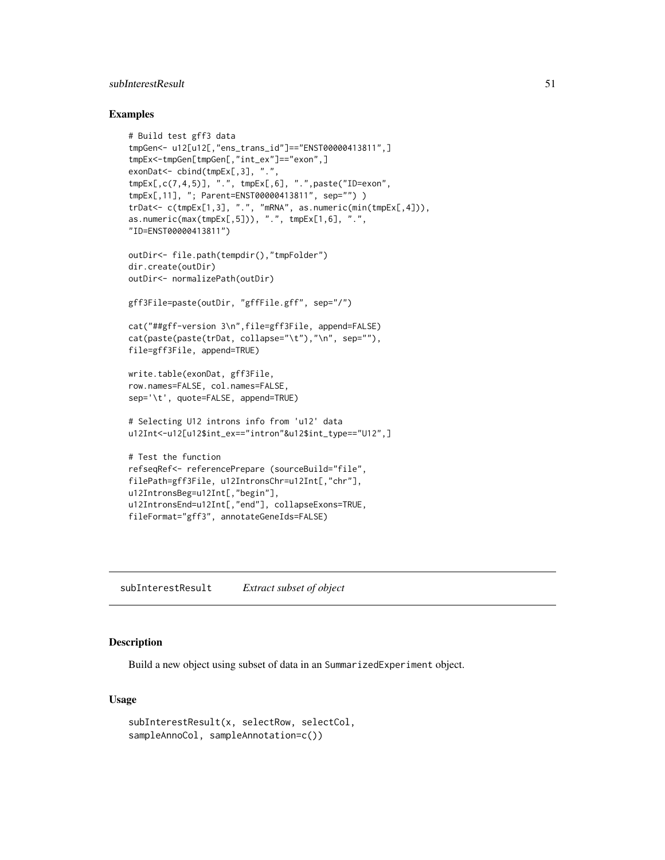# <span id="page-50-0"></span>subInterestResult 51

#### Examples

```
# Build test gff3 data
tmpGen<- u12[u12[,"ens_trans_id"]=="ENST00000413811",]
tmpEx<-tmpGen[tmpGen[,"int_ex"]=="exon",]
exonDat<- cbind(tmpEx[,3], ".",
tmpEx[,c(7,4,5)], ".", tmpEx[,6], ".",paste("ID=exon",
tmpEx[,11], "; Parent=ENST00000413811", sep="") )
trDat<- c(tmpEx[1,3], ".", "mRNA", as.numeric(min(tmpEx[,4])),
as.numeric(max(tmpEx[,5])), ".", tmpEx[1,6], ".",
"ID=ENST00000413811")
outDir<- file.path(tempdir(),"tmpFolder")
dir.create(outDir)
outDir<- normalizePath(outDir)
gff3File=paste(outDir, "gffFile.gff", sep="/")
cat("##gff-version 3\n",file=gff3File, append=FALSE)
cat(paste(paste(trDat, collapse="\t"),"\n", sep=""),
file=gff3File, append=TRUE)
write.table(exonDat, gff3File,
row.names=FALSE, col.names=FALSE,
sep='\t', quote=FALSE, append=TRUE)
# Selecting U12 introns info from 'u12' data
u12Int<-u12[u12$int_ex=="intron"&u12$int_type=="U12",]
# Test the function
refseqRef<- referencePrepare (sourceBuild="file",
filePath=gff3File, u12IntronsChr=u12Int[,"chr"],
u12IntronsBeg=u12Int[,"begin"],
u12IntronsEnd=u12Int[,"end"], collapseExons=TRUE,
fileFormat="gff3", annotateGeneIds=FALSE)
```
subInterestResult *Extract subset of object*

### Description

Build a new object using subset of data in an SummarizedExperiment object.

# Usage

```
subInterestResult(x, selectRow, selectCol,
sampleAnnoCol, sampleAnnotation=c())
```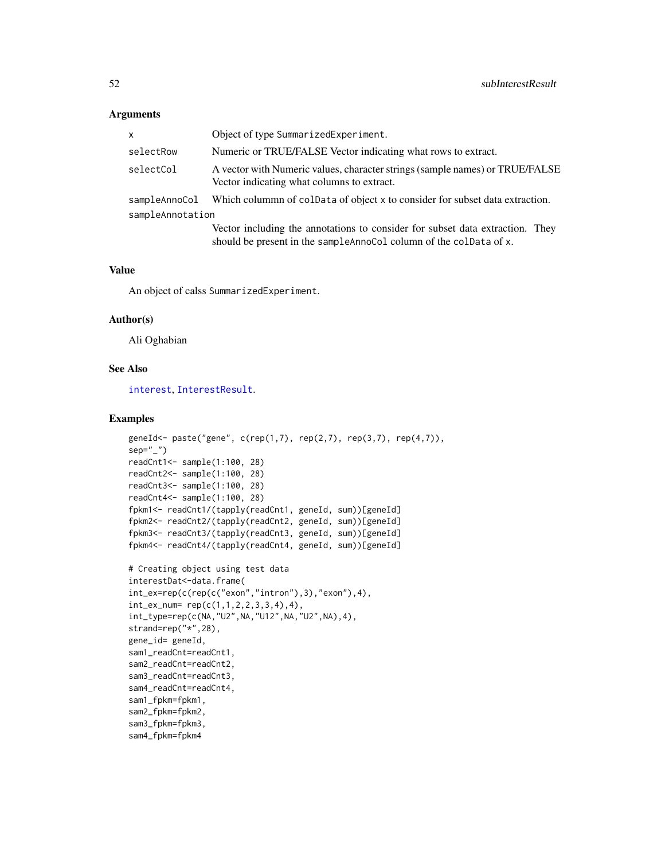#### <span id="page-51-0"></span>Arguments

| $\mathsf{x}$     | Object of type SummarizedExperiment.                                                                                                                |  |
|------------------|-----------------------------------------------------------------------------------------------------------------------------------------------------|--|
| selectRow        | Numeric or TRUE/FALSE Vector indicating what rows to extract.                                                                                       |  |
| selectCol        | A vector with Numeric values, character strings (sample names) or TRUE/FALSE<br>Vector indicating what columns to extract.                          |  |
| sampleAnnoCol    | Which column of coldata of object x to consider for subset data extraction.                                                                         |  |
| sampleAnnotation |                                                                                                                                                     |  |
|                  | Vector including the annotations to consider for subset data extraction. They<br>should be present in the sampleAnnoCol column of the colData of x. |  |

### Value

An object of calss SummarizedExperiment.

#### Author(s)

Ali Oghabian

#### See Also

[interest](#page-22-1), [InterestResult](#page-28-1).

# Examples

```
geneId<- paste("gene", c(rep(1,7), rep(2,7), rep(3,7), rep(4,7)),
sep=""readCnt1<- sample(1:100, 28)
readCnt2<- sample(1:100, 28)
readCnt3<- sample(1:100, 28)
readCnt4<- sample(1:100, 28)
fpkm1<- readCnt1/(tapply(readCnt1, geneId, sum))[geneId]
fpkm2<- readCnt2/(tapply(readCnt2, geneId, sum))[geneId]
fpkm3<- readCnt3/(tapply(readCnt3, geneId, sum))[geneId]
fpkm4<- readCnt4/(tapply(readCnt4, geneId, sum))[geneId]
# Creating object using test data
interestDat<-data.frame(
int\_exp(c(rep(c("exon", "intron"),3), "exon"),4),int\_ex\_num= rep(c(1,1,2,2,3,3,4),4),int_type=rep(c(NA,"U2",NA,"U12",NA,"U2",NA),4),
strand=rep("*",28),
gene_id= geneId,
sam1_readCnt=readCnt1,
sam2_readCnt=readCnt2,
sam3_readCnt=readCnt3,
sam4_readCnt=readCnt4,
sam1_fpkm=fpkm1,
sam2_fpkm=fpkm2,
sam3_fpkm=fpkm3,
sam4_fpkm=fpkm4
```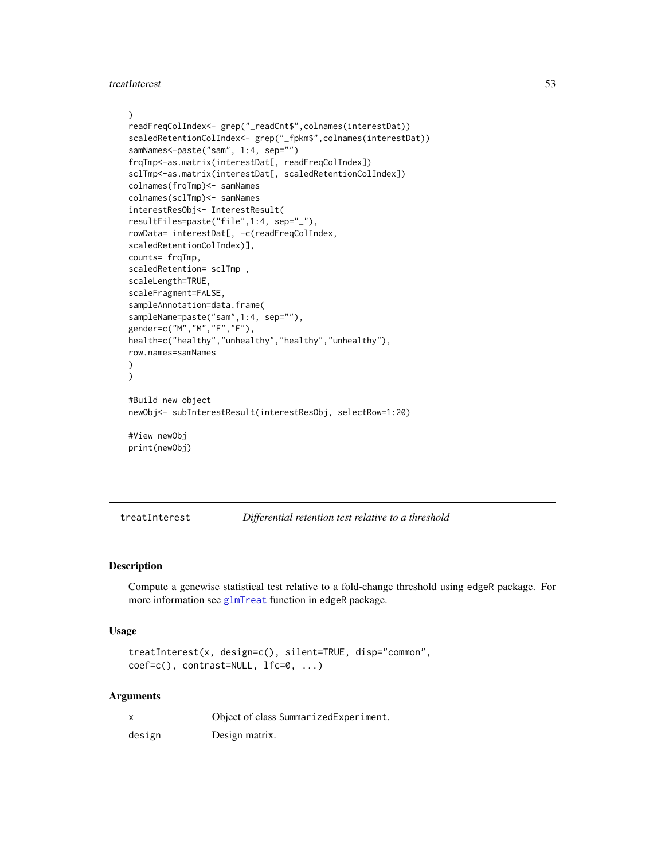<span id="page-52-0"></span>treatInterest 53

```
\lambdareadFreqColIndex<- grep("_readCnt$",colnames(interestDat))
scaledRetentionColIndex<- grep("_fpkm$",colnames(interestDat))
samNames<-paste("sam", 1:4, sep="")
frqTmp<-as.matrix(interestDat[, readFreqColIndex])
sclTmp<-as.matrix(interestDat[, scaledRetentionColIndex])
colnames(frqTmp)<- samNames
colnames(sclTmp)<- samNames
interestResObj<- InterestResult(
resultFiles=paste("file",1:4, sep="_"),
rowData= interestDat[, -c(readFreqColIndex,
scaledRetentionColIndex)],
counts= frqTmp,
scaledRetention= sclTmp ,
scaleLength=TRUE,
scaleFragment=FALSE,
sampleAnnotation=data.frame(
sampleName=paste("sam",1:4, sep=""),
gender=c("M","M","F","F"),
health=c("healthy","unhealthy","healthy","unhealthy"),
row.names=samNames
)
)
#Build new object
newObj<- subInterestResult(interestResObj, selectRow=1:20)
#View newObj
print(newObj)
```
<span id="page-52-1"></span>treatInterest *Differential retention test relative to a threshold*

#### Description

Compute a genewise statistical test relative to a fold-change threshold using edgeR package. For more information see [glmTreat](#page-0-0) function in edgeR package.

#### Usage

```
treatInterest(x, design=c(), silent=TRUE, disp="common",
coef=c(), contrast=NULL, lfc=0, ...)
```
#### Arguments

| X      | Object of class SummarizedExperiment. |
|--------|---------------------------------------|
| design | Design matrix.                        |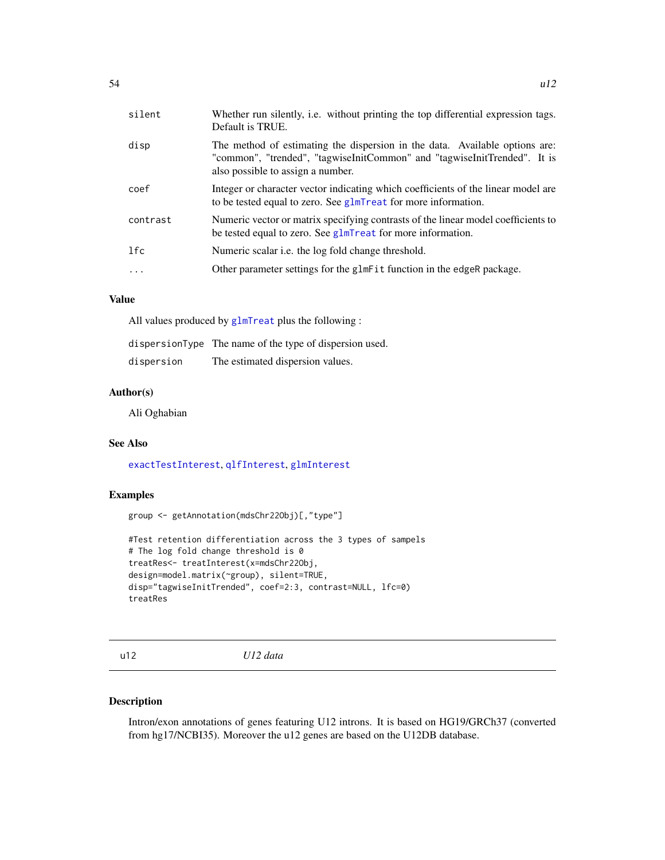<span id="page-53-0"></span>

| silent    | Whether run silently, i.e. without printing the top differential expression tags.<br>Default is TRUE.                                                                                        |
|-----------|----------------------------------------------------------------------------------------------------------------------------------------------------------------------------------------------|
| disp      | The method of estimating the dispersion in the data. Available options are:<br>"common", "trended", "tagwiseInitCommon" and "tagwiseInitTrended". It is<br>also possible to assign a number. |
| coef      | Integer or character vector indicating which coefficients of the linear model are<br>to be tested equal to zero. See glmTreat for more information.                                          |
| contrast  | Numeric vector or matrix specifying contrasts of the linear model coefficients to<br>be tested equal to zero. See glmTreat for more information.                                             |
| 1fc       | Numeric scalar <i>i.e.</i> the log fold change threshold.                                                                                                                                    |
| $\ddotsc$ | Other parameter settings for the glmFit function in the edgeR package.                                                                                                                       |

# Value

All values produced by [glmTreat](#page-0-0) plus the following :

|            | dispersionType The name of the type of dispersion used. |
|------------|---------------------------------------------------------|
| dispersion | The estimated dispersion values.                        |

#### Author(s)

Ali Oghabian

# See Also

[exactTestInterest](#page-17-1), [qlfInterest](#page-44-1), [glmInterest](#page-21-1)

# Examples

```
group <- getAnnotation(mdsChr22Obj)[,"type"]
```

```
#Test retention differentiation across the 3 types of sampels
# The log fold change threshold is 0
treatRes<- treatInterest(x=mdsChr22Obj,
design=model.matrix(~group), silent=TRUE,
disp="tagwiseInitTrended", coef=2:3, contrast=NULL, lfc=0)
treatRes
```
u12 *U12 data*

### Description

Intron/exon annotations of genes featuring U12 introns. It is based on HG19/GRCh37 (converted from hg17/NCBI35). Moreover the u12 genes are based on the U12DB database.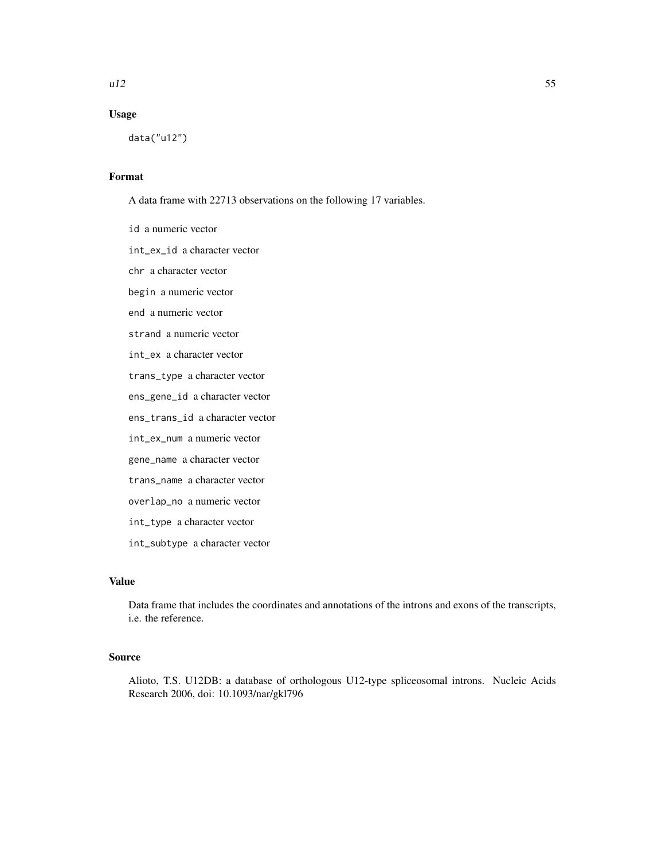#### $u12$  55

# Usage

data("u12")

# Format

A data frame with 22713 observations on the following 17 variables.

id a numeric vector int\_ex\_id a character vector chr a character vector begin a numeric vector end a numeric vector strand a numeric vector int\_ex a character vector trans\_type a character vector ens\_gene\_id a character vector ens\_trans\_id a character vector int\_ex\_num a numeric vector gene\_name a character vector trans\_name a character vector overlap\_no a numeric vector int\_type a character vector

int\_subtype a character vector

# Value

Data frame that includes the coordinates and annotations of the introns and exons of the transcripts, i.e. the reference.

# Source

Alioto, T.S. U12DB: a database of orthologous U12-type spliceosomal introns. Nucleic Acids Research 2006, doi: 10.1093/nar/gkl796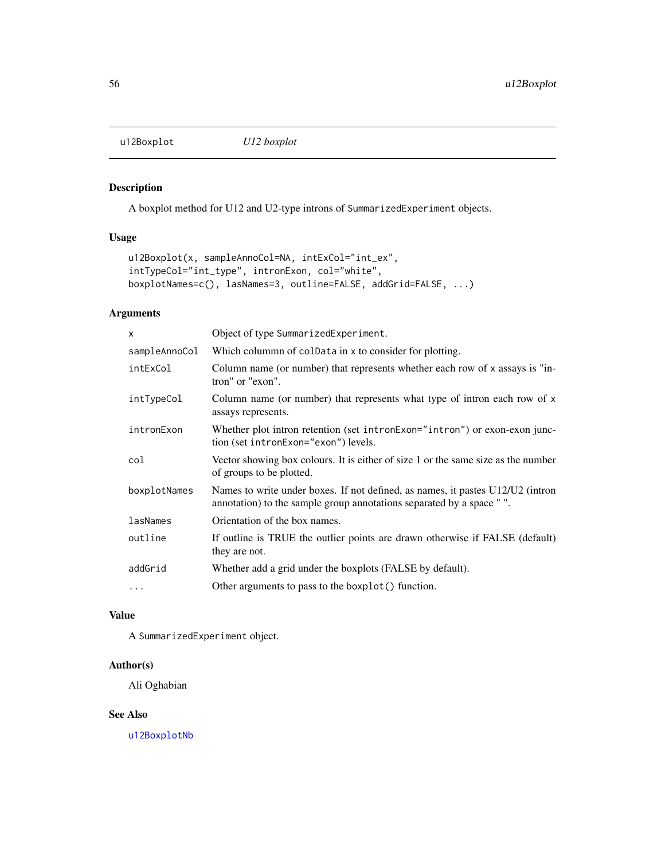<span id="page-55-1"></span><span id="page-55-0"></span>u12Boxplot *U12 boxplot*

# Description

A boxplot method for U12 and U2-type introns of SummarizedExperiment objects.

#### Usage

```
u12Boxplot(x, sampleAnnoCol=NA, intExCol="int_ex",
intTypeCol="int_type", intronExon, col="white",
boxplotNames=c(), lasNames=3, outline=FALSE, addGrid=FALSE, ...)
```
# Arguments

| x             | Object of type SummarizedExperiment.                                                                                                                    |
|---------------|---------------------------------------------------------------------------------------------------------------------------------------------------------|
| sampleAnnoCol | Which colummn of coldata in x to consider for plotting.                                                                                                 |
| intExCol      | Column name (or number) that represents whether each row of x assays is "in-<br>tron" or "exon".                                                        |
| intTypeCol    | Column name (or number) that represents what type of intron each row of x<br>assays represents.                                                         |
| intronExon    | Whether plot intron retention (set intronExon="intron") or exon-exon junc-<br>tion (set intronExon="exon") levels.                                      |
| col           | Vector showing box colours. It is either of size 1 or the same size as the number<br>of groups to be plotted.                                           |
| boxplotNames  | Names to write under boxes. If not defined, as names, it pastes U12/U2 (intron<br>annotation) to the sample group annotations separated by a space " ". |
| lasNames      | Orientation of the box names.                                                                                                                           |
| outline       | If outline is TRUE the outlier points are drawn otherwise if FALSE (default)<br>they are not.                                                           |
| addGrid       | Whether add a grid under the boxplots (FALSE by default).                                                                                               |
| .             | Other arguments to pass to the boxplot () function.                                                                                                     |

# Value

A SummarizedExperiment object.

# Author(s)

Ali Oghabian

# See Also

[u12BoxplotNb](#page-56-1)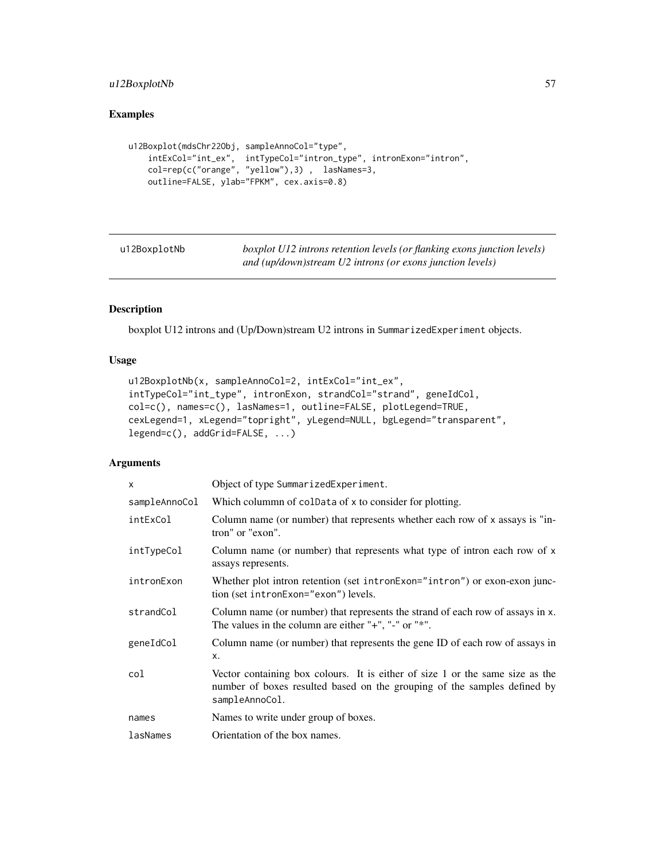# <span id="page-56-0"></span>u12BoxplotNb 57

# Examples

```
u12Boxplot(mdsChr22Obj, sampleAnnoCol="type",
    intExCol="int_ex", intTypeCol="intron_type", intronExon="intron",
   col=rep(c("orange", "yellow"),3) , lasNames=3,
   outline=FALSE, ylab="FPKM", cex.axis=0.8)
```
<span id="page-56-1"></span>

| u12BoxplotNb | boxplot U12 introns retention levels (or flanking exons junction levels) |
|--------------|--------------------------------------------------------------------------|
|              | and (up/down)stream U2 introns (or exons junction levels)                |

# Description

boxplot U12 introns and (Up/Down)stream U2 introns in SummarizedExperiment objects.

### Usage

```
u12BoxplotNb(x, sampleAnnoCol=2, intExCol="int_ex",
intTypeCol="int_type", intronExon, strandCol="strand", geneIdCol,
col=c(), names=c(), lasNames=1, outline=FALSE, plotLegend=TRUE,
cexLegend=1, xLegend="topright", yLegend=NULL, bgLegend="transparent",
legend=c(), addGrid=FALSE, ...)
```
# Arguments

| x             | Object of type SummarizedExperiment.                                                                                                                                        |
|---------------|-----------------------------------------------------------------------------------------------------------------------------------------------------------------------------|
| sampleAnnoCol | Which colummn of colData of x to consider for plotting.                                                                                                                     |
| intExCol      | Column name (or number) that represents whether each row of x assays is "in-<br>tron" or "exon".                                                                            |
| intTypeCol    | Column name (or number) that represents what type of intron each row of x<br>assays represents.                                                                             |
| intronExon    | Whether plot intron retention (set intronExon="intron") or exon-exon junc-<br>tion (set intronExon="exon") levels.                                                          |
| strandCol     | Column name (or number) that represents the strand of each row of assays in x.<br>The values in the column are either " $+$ ", " $-$ " or " $*$ ".                          |
| geneIdCol     | Column name (or number) that represents the gene ID of each row of assays in<br>X.                                                                                          |
| col           | Vector containing box colours. It is either of size 1 or the same size as the<br>number of boxes resulted based on the grouping of the samples defined by<br>sampleAnnoCol. |
| names         | Names to write under group of boxes.                                                                                                                                        |
| lasNames      | Orientation of the box names.                                                                                                                                               |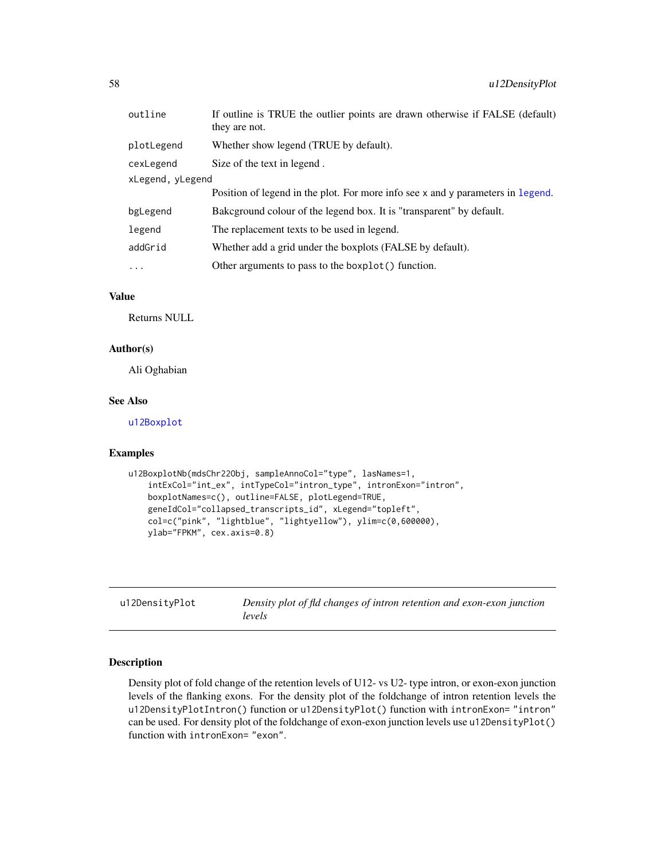<span id="page-57-0"></span>

| outline          | If outline is TRUE the outlier points are drawn otherwise if FALSE (default)<br>they are not. |
|------------------|-----------------------------------------------------------------------------------------------|
| plotLegend       | Whether show legend (TRUE by default).                                                        |
| cexLegend        | Size of the text in legend.                                                                   |
| xLegend, yLegend |                                                                                               |
|                  | Position of legend in the plot. For more info see x and y parameters in legend.               |
| bgLegend         | Bakeground colour of the legend box. It is "transparent" by default.                          |
| legend           | The replacement texts to be used in legend.                                                   |
| addGrid          | Whether add a grid under the boxplots (FALSE by default).                                     |
| $\cdots$         | Other arguments to pass to the boxplot () function.                                           |

#### Value

Returns NULL

#### Author(s)

Ali Oghabian

### See Also

[u12Boxplot](#page-55-1)

# Examples

```
u12BoxplotNb(mdsChr22Obj, sampleAnnoCol="type", lasNames=1,
    intExCol="int_ex", intTypeCol="intron_type", intronExon="intron",
   boxplotNames=c(), outline=FALSE, plotLegend=TRUE,
   geneIdCol="collapsed_transcripts_id", xLegend="topleft",
    col=c("pink", "lightblue", "lightyellow"), ylim=c(0,600000),
    ylab="FPKM", cex.axis=0.8)
```
u12DensityPlot *Density plot of fld changes of intron retention and exon-exon junction levels*

# <span id="page-57-1"></span>Description

Density plot of fold change of the retention levels of U12- vs U2- type intron, or exon-exon junction levels of the flanking exons. For the density plot of the foldchange of intron retention levels the u12DensityPlotIntron() function or u12DensityPlot() function with intronExon= "intron" can be used. For density plot of the foldchange of exon-exon junction levels use u12DensityPlot() function with intronExon= "exon".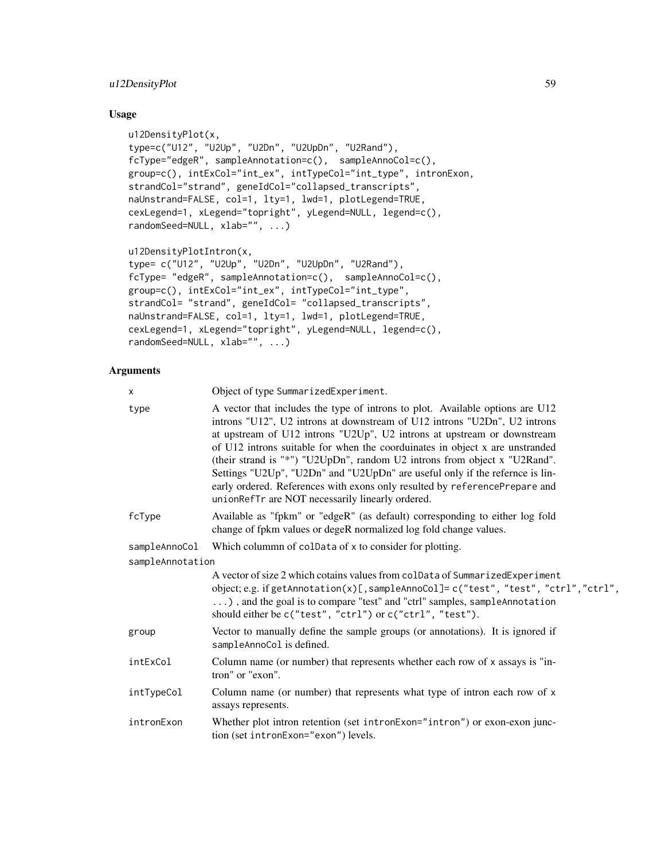# u12DensityPlot 59

# Usage

```
u12DensityPlot(x,
type=c("U12", "U2Up", "U2Dn", "U2UpDn", "U2Rand"),
fcType="edgeR", sampleAnnotation=c(), sampleAnnoCol=c(),
group=c(), intExCol="int_ex", intTypeCol="int_type", intronExon,
strandCol="strand", geneIdCol="collapsed_transcripts",
naUnstrand=FALSE, col=1, lty=1, lwd=1, plotLegend=TRUE,
cexLegend=1, xLegend="topright", yLegend=NULL, legend=c(),
randomSeed=NULL, xlab="", ...)
u12DensityPlotIntron(x,
type= c("U12", "U2Up", "U2Dn", "U2UpDn", "U2Rand"),
fcType= "edgeR", sampleAnnotation=c(), sampleAnnoCol=c(),
group=c(), intExCol="int_ex", intTypeCol="int_type",
strandCol= "strand", geneIdCol= "collapsed_transcripts",
naUnstrand=FALSE, col=1, lty=1, lwd=1, plotLegend=TRUE,
cexLegend=1, xLegend="topright", yLegend=NULL, legend=c(),
```

```
randomSeed=NULL, xlab="", ...)
```
# Arguments

| x                | Object of type SummarizedExperiment.                                                                                                                                                                                                                                                                                                                                                                                                                                                                                                                                                                                 |
|------------------|----------------------------------------------------------------------------------------------------------------------------------------------------------------------------------------------------------------------------------------------------------------------------------------------------------------------------------------------------------------------------------------------------------------------------------------------------------------------------------------------------------------------------------------------------------------------------------------------------------------------|
| type             | A vector that includes the type of introns to plot. Available options are U12<br>introns "U12", U2 introns at downstream of U12 introns "U2Dn", U2 introns<br>at upstream of U12 introns "U2Up", U2 introns at upstream or downstream<br>of U12 introns suitable for when the coorduinates in object x are unstranded<br>(their strand is "*") "U2UpDn", random U2 introns from object x "U2Rand".<br>Settings "U2Up", "U2Dn" and "U2UpDn" are useful only if the refernce is lin-<br>early ordered. References with exons only resulted by referencePrepare and<br>unionRefTr are NOT necessarily linearly ordered. |
| fcType           | Available as "fpkm" or "edgeR" (as default) corresponding to either log fold<br>change of fpkm values or degeR normalized log fold change values.                                                                                                                                                                                                                                                                                                                                                                                                                                                                    |
| sampleAnnoCol    | Which colummn of colData of x to consider for plotting.                                                                                                                                                                                                                                                                                                                                                                                                                                                                                                                                                              |
| sampleAnnotation |                                                                                                                                                                                                                                                                                                                                                                                                                                                                                                                                                                                                                      |
|                  | A vector of size 2 which cotains values from colData of SummarizedExperiment<br>object; e.g. if getAnnotation(x)[, sampleAnnoCol]= c("test", "test", "ctrl", "ctrl",<br>), and the goal is to compare "test" and "ctrl" samples, sampleAnnotation<br>should either be c("test", "ctrl") or c("ctrl", "test").                                                                                                                                                                                                                                                                                                        |
| group            | Vector to manually define the sample groups (or annotations). It is ignored if<br>sampleAnnoCol is defined.                                                                                                                                                                                                                                                                                                                                                                                                                                                                                                          |
| intExCol         | Column name (or number) that represents whether each row of x assays is "in-<br>tron" or "exon".                                                                                                                                                                                                                                                                                                                                                                                                                                                                                                                     |
| intTypeCol       | Column name (or number) that represents what type of intron each row of x<br>assays represents.                                                                                                                                                                                                                                                                                                                                                                                                                                                                                                                      |
| intronExon       | Whether plot intron retention (set intronExon="intron") or exon-exon junc-<br>tion (set intronExon="exon") levels.                                                                                                                                                                                                                                                                                                                                                                                                                                                                                                   |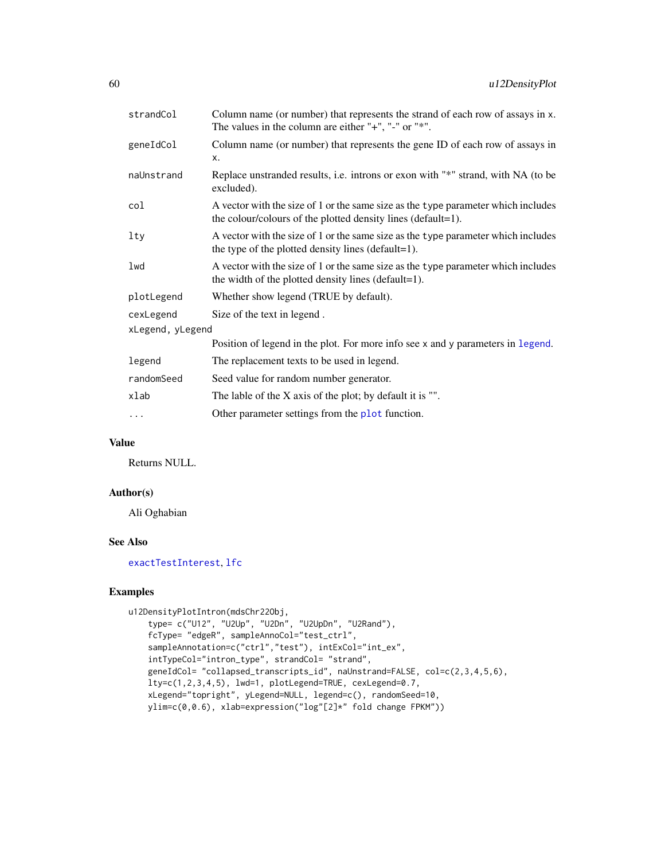<span id="page-59-0"></span>

| Column name (or number) that represents the strand of each row of assays in x.<br>The values in the column are either " $+$ ", " $-$ " or " $*$ ". |
|----------------------------------------------------------------------------------------------------------------------------------------------------|
| Column name (or number) that represents the gene ID of each row of assays in<br>X.                                                                 |
| Replace unstranded results, i.e. introns or exon with "*" strand, with NA (to be<br>excluded).                                                     |
| A vector with the size of 1 or the same size as the type parameter which includes<br>the colour/colours of the plotted density lines (default=1).  |
| A vector with the size of 1 or the same size as the type parameter which includes<br>the type of the plotted density lines (default=1).            |
| A vector with the size of 1 or the same size as the type parameter which includes<br>the width of the plotted density lines (default=1).           |
| Whether show legend (TRUE by default).                                                                                                             |
| Size of the text in legend.                                                                                                                        |
| xLegend, yLegend                                                                                                                                   |
| Position of legend in the plot. For more info see x and y parameters in legend.                                                                    |
| The replacement texts to be used in legend.                                                                                                        |
| Seed value for random number generator.                                                                                                            |
| The lable of the $X$ axis of the plot; by default it is "".                                                                                        |
| Other parameter settings from the plot function.                                                                                                   |
|                                                                                                                                                    |

# Value

Returns NULL.

#### Author(s)

Ali Oghabian

#### See Also

[exactTestInterest](#page-17-1), [lfc](#page-33-1)

# Examples

```
u12DensityPlotIntron(mdsChr22Obj,
    type= c("U12", "U2Up", "U2Dn", "U2UpDn", "U2Rand"),
    fcType= "edgeR", sampleAnnoCol="test_ctrl",
    sampleAnnotation=c("ctrl","test"), intExCol="int_ex",
    intTypeCol="intron_type", strandCol= "strand",
   geneIdCol= "collapsed_transcripts_id", naUnstrand=FALSE, col=c(2,3,4,5,6),
   lty=c(1,2,3,4,5), lwd=1, plotLegend=TRUE, cexLegend=0.7,
   xLegend="topright", yLegend=NULL, legend=c(), randomSeed=10,
   ylim=c(0,0.6), xlab=expression("log"[2]*" fold change FPKM"))
```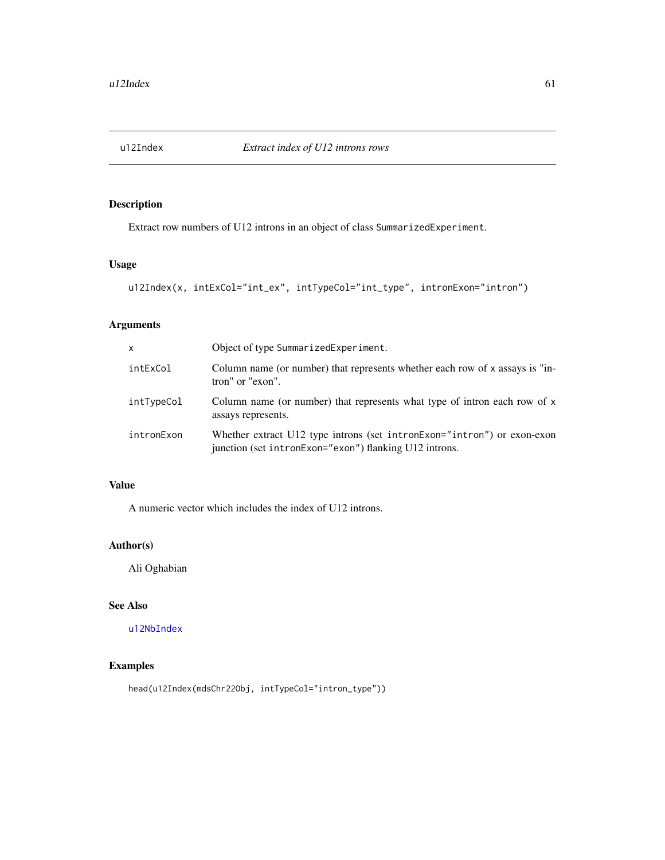<span id="page-60-1"></span><span id="page-60-0"></span>

Extract row numbers of U12 introns in an object of class SummarizedExperiment.

# Usage

```
u12Index(x, intExCol="int_ex", intTypeCol="int_type", intronExon="intron")
```
# Arguments

| x          | Object of type SummarizedExperiment.                                                                                              |
|------------|-----------------------------------------------------------------------------------------------------------------------------------|
| intExCol   | Column name (or number) that represents whether each row of $x$ assays is "in-<br>tron" or "exon".                                |
| intTypeCol | Column name (or number) that represents what type of intron each row of x<br>assays represents.                                   |
| intronExon | Whether extract U12 type introns (set intronExon="intron") or exon-exon<br>junction (set intronExon="exon") flanking U12 introns. |

# Value

A numeric vector which includes the index of U12 introns.

# Author(s)

Ali Oghabian

# See Also

[u12NbIndex](#page-61-1)

# Examples

head(u12Index(mdsChr22Obj, intTypeCol="intron\_type"))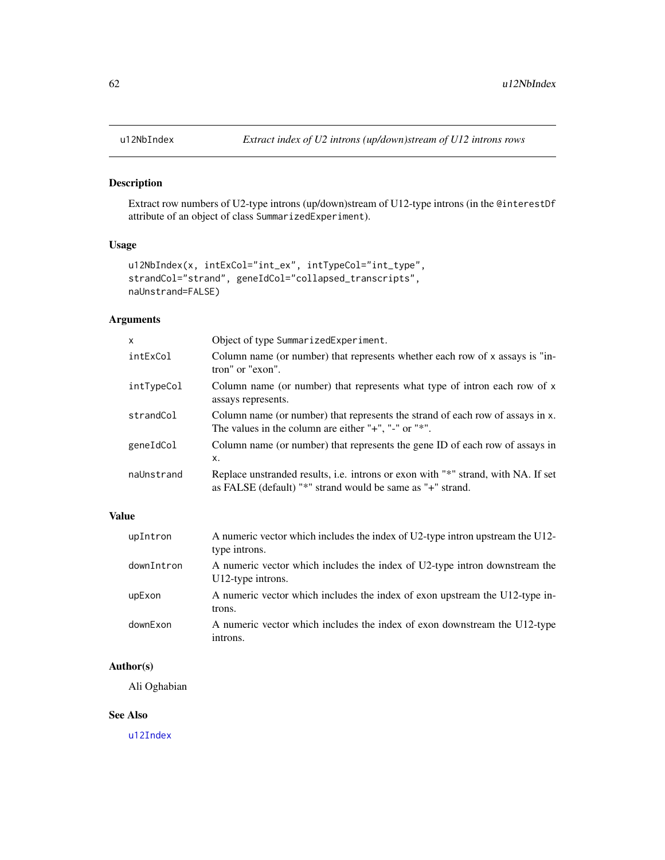<span id="page-61-1"></span><span id="page-61-0"></span>

Extract row numbers of U2-type introns (up/down)stream of U12-type introns (in the @interestDf attribute of an object of class SummarizedExperiment).

# Usage

```
u12NbIndex(x, intExCol="int_ex", intTypeCol="int_type",
strandCol="strand", geneIdCol="collapsed_transcripts",
naUnstrand=FALSE)
```
# Arguments

| Object of type SummarizedExperiment.                                                                                                               |
|----------------------------------------------------------------------------------------------------------------------------------------------------|
| Column name (or number) that represents whether each row of x assays is "in-<br>tron" or "exon".                                                   |
| Column name (or number) that represents what type of intron each row of x<br>assays represents.                                                    |
| Column name (or number) that represents the strand of each row of assays in x.<br>The values in the column are either " $+$ ", " $-$ " or " $*$ ". |
| Column name (or number) that represents the gene ID of each row of assays in<br>Χ.                                                                 |
| Replace unstranded results, i.e. introns or exon with "*" strand, with NA. If set<br>as FALSE (default) "*" strand would be same as "+" strand.    |
|                                                                                                                                                    |

## Value

| upIntron   | A numeric vector which includes the index of U2-type intron upstream the U12-<br>type introns.  |
|------------|-------------------------------------------------------------------------------------------------|
| downIntron | A numeric vector which includes the index of U2-type intron downstream the<br>U12-type introns. |
| upExon     | A numeric vector which includes the index of exon upstream the U12-type in-<br>trons.           |
| downExon   | A numeric vector which includes the index of exon downstream the U12-type<br>introns.           |

# Author(s)

Ali Oghabian

### See Also

[u12Index](#page-60-1)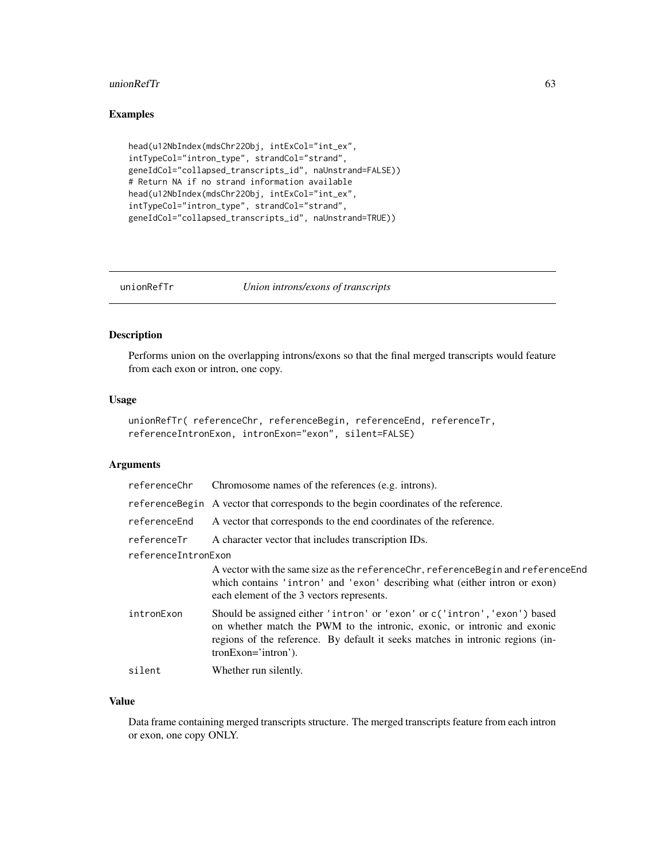#### <span id="page-62-0"></span> $\mu$  unionRefTr 63

# Examples

```
head(u12NbIndex(mdsChr22Obj, intExCol="int_ex",
intTypeCol="intron_type", strandCol="strand",
geneIdCol="collapsed_transcripts_id", naUnstrand=FALSE))
# Return NA if no strand information available
head(u12NbIndex(mdsChr22Obj, intExCol="int_ex",
intTypeCol="intron_type", strandCol="strand",
geneIdCol="collapsed_transcripts_id", naUnstrand=TRUE))
```

```
unionRefTr Union introns/exons of transcripts
```
# Description

Performs union on the overlapping introns/exons so that the final merged transcripts would feature from each exon or intron, one copy.

# Usage

```
unionRefTr( referenceChr, referenceBegin, referenceEnd, referenceTr,
referenceIntronExon, intronExon="exon", silent=FALSE)
```
# Arguments

|                     | referenceChr Chromosome names of the references (e.g. introns).                                                                                                                                                                                                 |
|---------------------|-----------------------------------------------------------------------------------------------------------------------------------------------------------------------------------------------------------------------------------------------------------------|
|                     | reference Begin A vector that corresponds to the begin coordinates of the reference.                                                                                                                                                                            |
| referenceEnd        | A vector that corresponds to the end coordinates of the reference.                                                                                                                                                                                              |
| referenceTr         | A character vector that includes transcription IDs.                                                                                                                                                                                                             |
| referenceIntronExon |                                                                                                                                                                                                                                                                 |
|                     | A vector with the same size as the referenceChr, referenceBegin and referenceEnd<br>which contains 'intron' and 'exon' describing what (either intron or exon)<br>each element of the 3 vectors represents.                                                     |
| intronExon          | Should be assigned either 'intron' or 'exon' or c('intron', 'exon') based<br>on whether match the PWM to the intronic, exonic, or intronic and exonic<br>regions of the reference. By default it seeks matches in intronic regions (in-<br>$tronExon='intron'.$ |
| silent              | Whether run silently.                                                                                                                                                                                                                                           |
|                     |                                                                                                                                                                                                                                                                 |

# Value

Data frame containing merged transcripts structure. The merged transcripts feature from each intron or exon, one copy ONLY.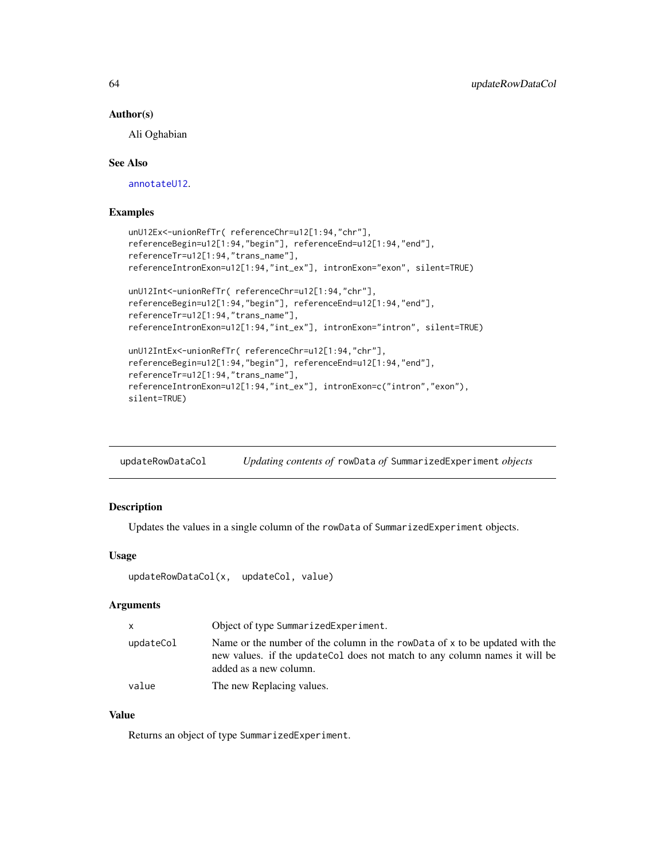#### Author(s)

Ali Oghabian

### See Also

[annotateU12](#page-3-1).

# Examples

```
unU12Ex<-unionRefTr( referenceChr=u12[1:94,"chr"],
referenceBegin=u12[1:94,"begin"], referenceEnd=u12[1:94,"end"],
referenceTr=u12[1:94,"trans_name"],
referenceIntronExon=u12[1:94,"int_ex"], intronExon="exon", silent=TRUE)
unU12Int<-unionRefTr( referenceChr=u12[1:94,"chr"],
referenceBegin=u12[1:94,"begin"], referenceEnd=u12[1:94,"end"],
referenceTr=u12[1:94,"trans_name"],
referenceIntronExon=u12[1:94,"int_ex"], intronExon="intron", silent=TRUE)
unU12IntEx<-unionRefTr( referenceChr=u12[1:94,"chr"],
referenceBegin=u12[1:94,"begin"], referenceEnd=u12[1:94,"end"],
referenceTr=u12[1:94,"trans_name"],
referenceIntronExon=u12[1:94,"int_ex"], intronExon=c("intron","exon"),
silent=TRUE)
```
updateRowDataCol *Updating contents of* rowData *of* SummarizedExperiment *objects*

# Description

Updates the values in a single column of the rowData of SummarizedExperiment objects.

## Usage

```
updateRowDataCol(x, updateCol, value)
```
### Arguments

| X         | Object of type SummarizedExperiment.                                                                                                                                                 |
|-----------|--------------------------------------------------------------------------------------------------------------------------------------------------------------------------------------|
| updateCol | Name or the number of the column in the rowData of x to be updated with the<br>new values. if the update Col does not match to any column names it will be<br>added as a new column. |
| value     | The new Replacing values.                                                                                                                                                            |

# Value

Returns an object of type SummarizedExperiment.

<span id="page-63-0"></span>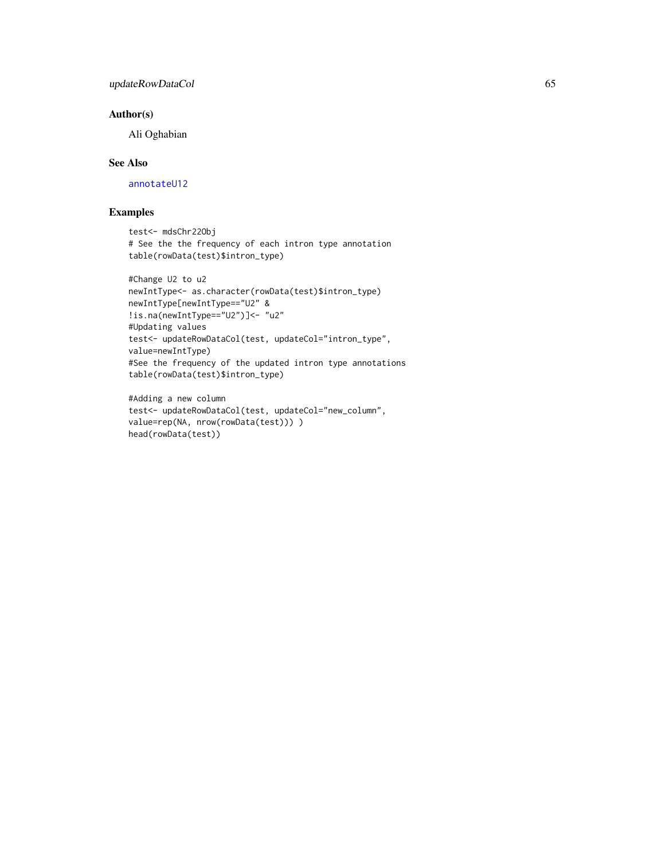# <span id="page-64-0"></span>updateRowDataCol 65

# Author(s)

Ali Oghabian

# See Also

[annotateU12](#page-3-1)

# Examples

```
test<- mdsChr22Obj
# See the the frequency of each intron type annotation
table(rowData(test)$intron_type)
```

```
#Change U2 to u2
newIntType<- as.character(rowData(test)$intron_type)
newIntType[newIntType=="U2" &
!is.na(newIntType=="U2")]<- "u2"
#Updating values
test<- updateRowDataCol(test, updateCol="intron_type",
value=newIntType)
#See the frequency of the updated intron type annotations
table(rowData(test)$intron_type)
```

```
#Adding a new column
test<- updateRowDataCol(test, updateCol="new_column",
value=rep(NA, nrow(rowData(test))) )
head(rowData(test))
```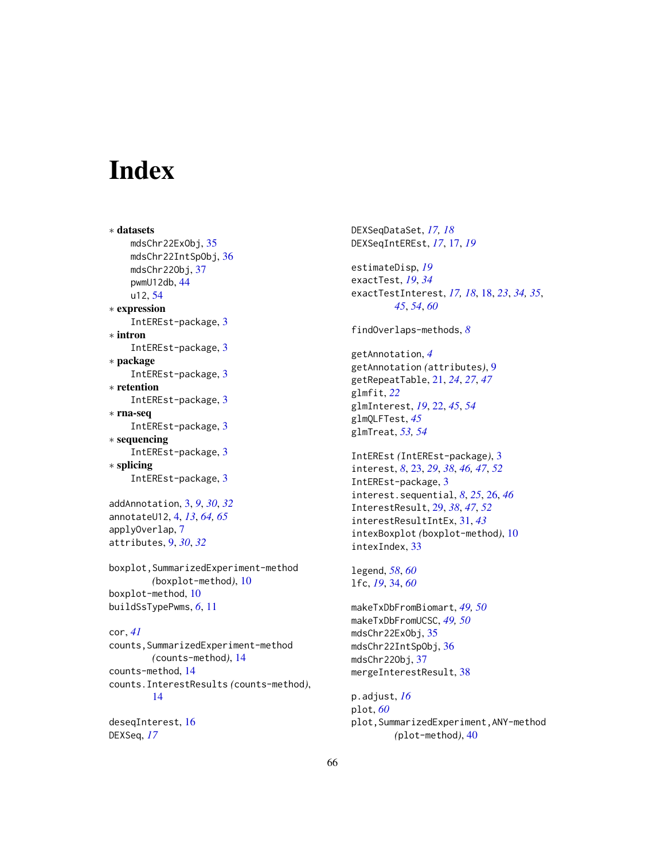# <span id="page-65-0"></span>**Index**

∗ datasets mdsChr22ExObj, [35](#page-34-0) mdsChr22IntSpObj, [36](#page-35-0) mdsChr22Obj, [37](#page-36-0) pwmU12db, [44](#page-43-0) u12, [54](#page-53-0) ∗ expression IntEREst-package, [3](#page-2-0) ∗ intron IntEREst-package, [3](#page-2-0) ∗ package IntEREst-package, [3](#page-2-0) ∗ retention IntEREst-package, [3](#page-2-0) ∗ rna-seq IntEREst-package, [3](#page-2-0) ∗ sequencing IntEREst-package, [3](#page-2-0) ∗ splicing IntEREst-package, [3](#page-2-0)

addAnnotation, [3,](#page-2-0) *[9](#page-8-0)*, *[30](#page-29-0)*, *[32](#page-31-0)* annotateU12, [4,](#page-3-0) *[13](#page-12-0)*, *[64,](#page-63-0) [65](#page-64-0)* applyOverlap, [7](#page-6-0) attributes, [9,](#page-8-0) *[30](#page-29-0)*, *[32](#page-31-0)*

boxplot,SummarizedExperiment-method *(*boxplot-method*)*, [10](#page-9-0) boxplot-method, [10](#page-9-0) buildSsTypePwms, *[6](#page-5-0)*, [11](#page-10-0)

cor, *[41](#page-40-0)* counts,SummarizedExperiment-method *(*counts-method*)*, [14](#page-13-0) counts-method, [14](#page-13-0) counts.InterestResults *(*counts-method*)*, [14](#page-13-0)

deseqInterest, [16](#page-15-0) DEXSeq, *[17](#page-16-0)*

DEXSeqDataSet, *[17,](#page-16-0) [18](#page-17-0)* DEXSeqIntEREst, *[17](#page-16-0)*, [17,](#page-16-0) *[19](#page-18-0)*

estimateDisp, *[19](#page-18-0)* exactTest, *[19](#page-18-0)*, *[34](#page-33-0)* exactTestInterest, *[17,](#page-16-0) [18](#page-17-0)*, [18,](#page-17-0) *[23](#page-22-0)*, *[34,](#page-33-0) [35](#page-34-0)*, *[45](#page-44-0)*, *[54](#page-53-0)*, *[60](#page-59-0)*

findOverlaps-methods, *[8](#page-7-0)*

getAnnotation, *[4](#page-3-0)* getAnnotation *(*attributes*)*, [9](#page-8-0) getRepeatTable, [21,](#page-20-0) *[24](#page-23-0)*, *[27](#page-26-0)*, *[47](#page-46-0)* glmfit, *[22](#page-21-0)* glmInterest, *[19](#page-18-0)*, [22,](#page-21-0) *[45](#page-44-0)*, *[54](#page-53-0)* glmQLFTest, *[45](#page-44-0)* glmTreat, *[53,](#page-52-0) [54](#page-53-0)*

IntEREst *(*IntEREst-package*)*, [3](#page-2-0) interest, *[8](#page-7-0)*, [23,](#page-22-0) *[29](#page-28-0)*, *[38](#page-37-0)*, *[46,](#page-45-0) [47](#page-46-0)*, *[52](#page-51-0)* IntEREst-package, [3](#page-2-0) interest.sequential, *[8](#page-7-0)*, *[25](#page-24-0)*, [26,](#page-25-0) *[46](#page-45-0)* InterestResult, [29,](#page-28-0) *[38](#page-37-0)*, *[47](#page-46-0)*, *[52](#page-51-0)* interestResultIntEx, [31,](#page-30-0) *[43](#page-42-0)* intexBoxplot *(*boxplot-method*)*, [10](#page-9-0) intexIndex, [33](#page-32-0)

legend, *[58](#page-57-0)*, *[60](#page-59-0)* lfc, *[19](#page-18-0)*, [34,](#page-33-0) *[60](#page-59-0)*

makeTxDbFromBiomart, *[49,](#page-48-0) [50](#page-49-0)* makeTxDbFromUCSC, *[49,](#page-48-0) [50](#page-49-0)* mdsChr22ExObj, [35](#page-34-0) mdsChr22IntSpObj, [36](#page-35-0) mdsChr22Obj, [37](#page-36-0) mergeInterestResult, [38](#page-37-0)

p.adjust, *[16](#page-15-0)* plot, *[60](#page-59-0)* plot, SummarizedExperiment, ANY-method *(*plot-method*)*, [40](#page-39-0)